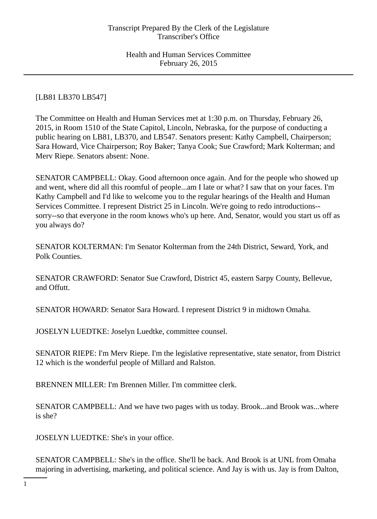# [LB81 LB370 LB547]

The Committee on Health and Human Services met at 1:30 p.m. on Thursday, February 26, 2015, in Room 1510 of the State Capitol, Lincoln, Nebraska, for the purpose of conducting a public hearing on LB81, LB370, and LB547. Senators present: Kathy Campbell, Chairperson; Sara Howard, Vice Chairperson; Roy Baker; Tanya Cook; Sue Crawford; Mark Kolterman; and Merv Riepe. Senators absent: None.

SENATOR CAMPBELL: Okay. Good afternoon once again. And for the people who showed up and went, where did all this roomful of people...am I late or what? I saw that on your faces. I'm Kathy Campbell and I'd like to welcome you to the regular hearings of the Health and Human Services Committee. I represent District 25 in Lincoln. We're going to redo introductions- sorry--so that everyone in the room knows who's up here. And, Senator, would you start us off as you always do?

SENATOR KOLTERMAN: I'm Senator Kolterman from the 24th District, Seward, York, and Polk Counties.

SENATOR CRAWFORD: Senator Sue Crawford, District 45, eastern Sarpy County, Bellevue, and Offutt.

SENATOR HOWARD: Senator Sara Howard. I represent District 9 in midtown Omaha.

JOSELYN LUEDTKE: Joselyn Luedtke, committee counsel.

SENATOR RIEPE: I'm Merv Riepe. I'm the legislative representative, state senator, from District 12 which is the wonderful people of Millard and Ralston.

BRENNEN MILLER: I'm Brennen Miller. I'm committee clerk.

SENATOR CAMPBELL: And we have two pages with us today. Brook...and Brook was...where is she?

JOSELYN LUEDTKE: She's in your office.

SENATOR CAMPBELL: She's in the office. She'll be back. And Brook is at UNL from Omaha majoring in advertising, marketing, and political science. And Jay is with us. Jay is from Dalton,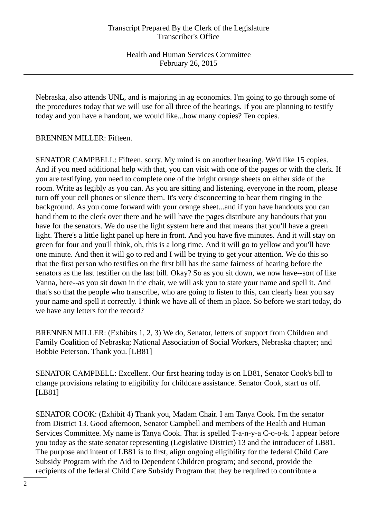Nebraska, also attends UNL, and is majoring in ag economics. I'm going to go through some of the procedures today that we will use for all three of the hearings. If you are planning to testify today and you have a handout, we would like...how many copies? Ten copies.

# BRENNEN MILLER: Fifteen.

SENATOR CAMPBELL: Fifteen, sorry. My mind is on another hearing. We'd like 15 copies. And if you need additional help with that, you can visit with one of the pages or with the clerk. If you are testifying, you need to complete one of the bright orange sheets on either side of the room. Write as legibly as you can. As you are sitting and listening, everyone in the room, please turn off your cell phones or silence them. It's very disconcerting to hear them ringing in the background. As you come forward with your orange sheet...and if you have handouts you can hand them to the clerk over there and he will have the pages distribute any handouts that you have for the senators. We do use the light system here and that means that you'll have a green light. There's a little light panel up here in front. And you have five minutes. And it will stay on green for four and you'll think, oh, this is a long time. And it will go to yellow and you'll have one minute. And then it will go to red and I will be trying to get your attention. We do this so that the first person who testifies on the first bill has the same fairness of hearing before the senators as the last testifier on the last bill. Okay? So as you sit down, we now have--sort of like Vanna, here--as you sit down in the chair, we will ask you to state your name and spell it. And that's so that the people who transcribe, who are going to listen to this, can clearly hear you say your name and spell it correctly. I think we have all of them in place. So before we start today, do we have any letters for the record?

BRENNEN MILLER: (Exhibits 1, 2, 3) We do, Senator, letters of support from Children and Family Coalition of Nebraska; National Association of Social Workers, Nebraska chapter; and Bobbie Peterson. Thank you. [LB81]

SENATOR CAMPBELL: Excellent. Our first hearing today is on LB81, Senator Cook's bill to change provisions relating to eligibility for childcare assistance. Senator Cook, start us off. [LB81]

SENATOR COOK: (Exhibit 4) Thank you, Madam Chair. I am Tanya Cook. I'm the senator from District 13. Good afternoon, Senator Campbell and members of the Health and Human Services Committee. My name is Tanya Cook. That is spelled T-a-n-y-a C-o-o-k. I appear before you today as the state senator representing (Legislative District) 13 and the introducer of LB81. The purpose and intent of LB81 is to first, align ongoing eligibility for the federal Child Care Subsidy Program with the Aid to Dependent Children program; and second, provide the recipients of the federal Child Care Subsidy Program that they be required to contribute a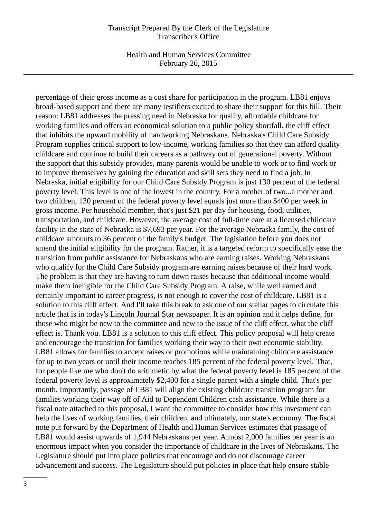Health and Human Services Committee February 26, 2015

percentage of their gross income as a cost share for participation in the program. LB81 enjoys broad-based support and there are many testifiers excited to share their support for this bill. Their reason: LB81 addresses the pressing need in Nebraska for quality, affordable childcare for working families and offers an economical solution to a public policy shortfall, the cliff effect that inhibits the upward mobility of hardworking Nebraskans. Nebraska's Child Care Subsidy Program supplies critical support to low-income, working families so that they can afford quality childcare and continue to build their careers as a pathway out of generational poverty. Without the support that this subsidy provides, many parents would be unable to work or to find work or to improve themselves by gaining the education and skill sets they need to find a job. In Nebraska, initial eligibility for our Child Care Subsidy Program is just 130 percent of the federal poverty level. This level is one of the lowest in the country. For a mother of two...a mother and two children, 130 percent of the federal poverty level equals just more than \$400 per week in gross income. Per household member, that's just \$21 per day for housing, food, utilities, transportation, and childcare. However, the average cost of full-time care at a licensed childcare facility in the state of Nebraska is \$7,693 per year. For the average Nebraska family, the cost of childcare amounts to 36 percent of the family's budget. The legislation before you does not amend the initial eligibility for the program. Rather, it is a targeted reform to specifically ease the transition from public assistance for Nebraskans who are earning raises. Working Nebraskans who qualify for the Child Care Subsidy program are earning raises because of their hard work. The problem is that they are having to turn down raises because that additional income would make them ineligible for the Child Care Subsidy Program. A raise, while well earned and certainly important to career progress, is not enough to cover the cost of childcare. LB81 is a solution to this cliff effect. And I'll take this break to ask one of our stellar pages to circulate this article that is in today's Lincoln Journal Star newspaper. It is an opinion and it helps define, for those who might be new to the committee and new to the issue of the cliff effect, what the cliff effect is. Thank you. LB81 is a solution to this cliff effect. This policy proposal will help create and encourage the transition for families working their way to their own economic stability. LB81 allows for families to accept raises or promotions while maintaining childcare assistance for up to two years or until their income reaches 185 percent of the federal poverty level. That, for people like me who don't do arithmetic by what the federal poverty level is 185 percent of the federal poverty level is approximately \$2,400 for a single parent with a single child. That's per month. Importantly, passage of LB81 will align the existing childcare transition program for families working their way off of Aid to Dependent Children cash assistance. While there is a fiscal note attached to this proposal, I want the committee to consider how this investment can help the lives of working families, their children, and ultimately, our state's economy. The fiscal note put forward by the Department of Health and Human Services estimates that passage of LB81 would assist upwards of 1,944 Nebraskans per year. Almost 2,000 families per year is an enormous impact when you consider the importance of childcare in the lives of Nebraskans. The Legislature should put into place policies that encourage and do not discourage career advancement and success. The Legislature should put policies in place that help ensure stable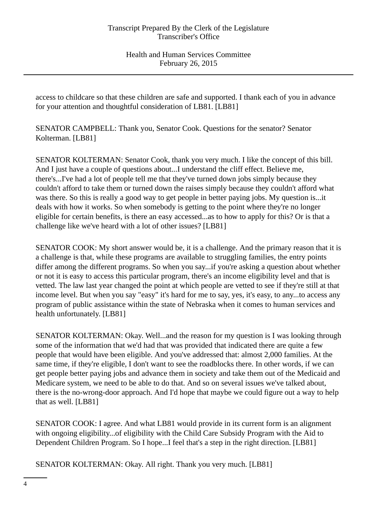access to childcare so that these children are safe and supported. I thank each of you in advance for your attention and thoughtful consideration of LB81. [LB81]

SENATOR CAMPBELL: Thank you, Senator Cook. Questions for the senator? Senator Kolterman. [LB81]

SENATOR KOLTERMAN: Senator Cook, thank you very much. I like the concept of this bill. And I just have a couple of questions about...I understand the cliff effect. Believe me, there's...I've had a lot of people tell me that they've turned down jobs simply because they couldn't afford to take them or turned down the raises simply because they couldn't afford what was there. So this is really a good way to get people in better paying jobs. My question is...it deals with how it works. So when somebody is getting to the point where they're no longer eligible for certain benefits, is there an easy accessed...as to how to apply for this? Or is that a challenge like we've heard with a lot of other issues? [LB81]

SENATOR COOK: My short answer would be, it is a challenge. And the primary reason that it is a challenge is that, while these programs are available to struggling families, the entry points differ among the different programs. So when you say...if you're asking a question about whether or not it is easy to access this particular program, there's an income eligibility level and that is vetted. The law last year changed the point at which people are vetted to see if they're still at that income level. But when you say "easy" it's hard for me to say, yes, it's easy, to any...to access any program of public assistance within the state of Nebraska when it comes to human services and health unfortunately. [LB81]

SENATOR KOLTERMAN: Okay. Well...and the reason for my question is I was looking through some of the information that we'd had that was provided that indicated there are quite a few people that would have been eligible. And you've addressed that: almost 2,000 families. At the same time, if they're eligible, I don't want to see the roadblocks there. In other words, if we can get people better paying jobs and advance them in society and take them out of the Medicaid and Medicare system, we need to be able to do that. And so on several issues we've talked about, there is the no-wrong-door approach. And I'd hope that maybe we could figure out a way to help that as well. [LB81]

SENATOR COOK: I agree. And what LB81 would provide in its current form is an alignment with ongoing eligibility...of eligibility with the Child Care Subsidy Program with the Aid to Dependent Children Program. So I hope...I feel that's a step in the right direction. [LB81]

SENATOR KOLTERMAN: Okay. All right. Thank you very much. [LB81]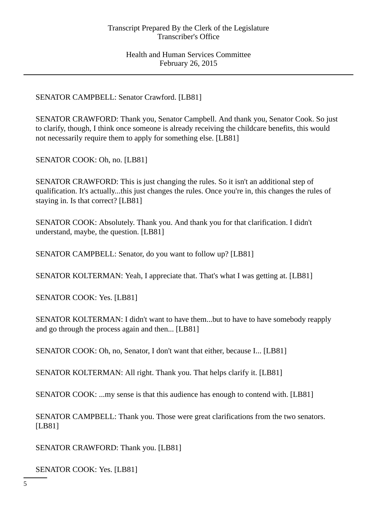SENATOR CAMPBELL: Senator Crawford. [LB81]

SENATOR CRAWFORD: Thank you, Senator Campbell. And thank you, Senator Cook. So just to clarify, though, I think once someone is already receiving the childcare benefits, this would not necessarily require them to apply for something else. [LB81]

SENATOR COOK: Oh, no. [LB81]

SENATOR CRAWFORD: This is just changing the rules. So it isn't an additional step of qualification. It's actually...this just changes the rules. Once you're in, this changes the rules of staying in. Is that correct? [LB81]

SENATOR COOK: Absolutely. Thank you. And thank you for that clarification. I didn't understand, maybe, the question. [LB81]

SENATOR CAMPBELL: Senator, do you want to follow up? [LB81]

SENATOR KOLTERMAN: Yeah, I appreciate that. That's what I was getting at. [LB81]

SENATOR COOK: Yes. [LB81]

SENATOR KOLTERMAN: I didn't want to have them...but to have to have somebody reapply and go through the process again and then... [LB81]

SENATOR COOK: Oh, no, Senator, I don't want that either, because I... [LB81]

SENATOR KOLTERMAN: All right. Thank you. That helps clarify it. [LB81]

SENATOR COOK: ...my sense is that this audience has enough to contend with. [LB81]

SENATOR CAMPBELL: Thank you. Those were great clarifications from the two senators. [LB81]

SENATOR CRAWFORD: Thank you. [LB81]

SENATOR COOK: Yes. [LB81]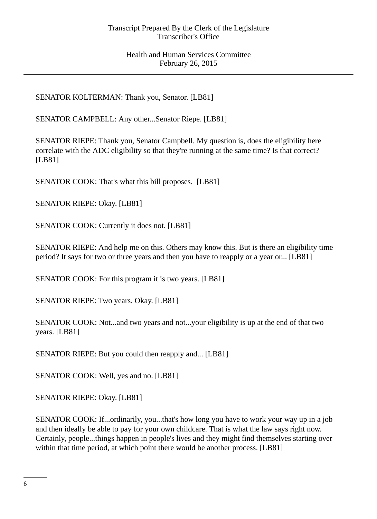SENATOR KOLTERMAN: Thank you, Senator. [LB81]

SENATOR CAMPBELL: Any other...Senator Riepe. [LB81]

SENATOR RIEPE: Thank you, Senator Campbell. My question is, does the eligibility here correlate with the ADC eligibility so that they're running at the same time? Is that correct? [LB81]

SENATOR COOK: That's what this bill proposes. [LB81]

SENATOR RIEPE: Okay. [LB81]

SENATOR COOK: Currently it does not. [LB81]

SENATOR RIEPE: And help me on this. Others may know this. But is there an eligibility time period? It says for two or three years and then you have to reapply or a year or... [LB81]

SENATOR COOK: For this program it is two years. [LB81]

SENATOR RIEPE: Two years. Okay. [LB81]

SENATOR COOK: Not...and two years and not...your eligibility is up at the end of that two years. [LB81]

SENATOR RIEPE: But you could then reapply and... [LB81]

SENATOR COOK: Well, yes and no. [LB81]

SENATOR RIEPE: Okay. [LB81]

SENATOR COOK: If...ordinarily, you...that's how long you have to work your way up in a job and then ideally be able to pay for your own childcare. That is what the law says right now. Certainly, people...things happen in people's lives and they might find themselves starting over within that time period, at which point there would be another process. [LB81]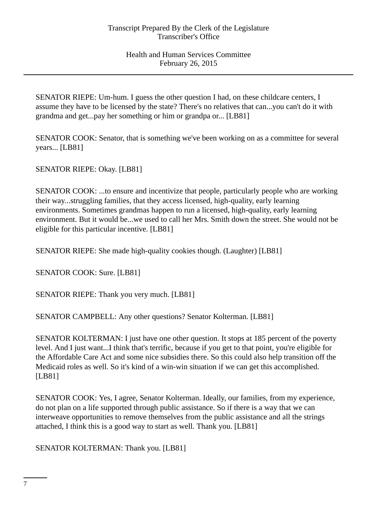SENATOR RIEPE: Um-hum. I guess the other question I had, on these childcare centers, I assume they have to be licensed by the state? There's no relatives that can...you can't do it with grandma and get...pay her something or him or grandpa or... [LB81]

SENATOR COOK: Senator, that is something we've been working on as a committee for several years... [LB81]

SENATOR RIEPE: Okay. [LB81]

SENATOR COOK: ...to ensure and incentivize that people, particularly people who are working their way...struggling families, that they access licensed, high-quality, early learning environments. Sometimes grandmas happen to run a licensed, high-quality, early learning environment. But it would be...we used to call her Mrs. Smith down the street. She would not be eligible for this particular incentive. [LB81]

SENATOR RIEPE: She made high-quality cookies though. (Laughter) [LB81]

SENATOR COOK: Sure. [LB81]

SENATOR RIEPE: Thank you very much. [LB81]

SENATOR CAMPBELL: Any other questions? Senator Kolterman. [LB81]

SENATOR KOLTERMAN: I just have one other question. It stops at 185 percent of the poverty level. And I just want...I think that's terrific, because if you get to that point, you're eligible for the Affordable Care Act and some nice subsidies there. So this could also help transition off the Medicaid roles as well. So it's kind of a win-win situation if we can get this accomplished. [LB81]

SENATOR COOK: Yes, I agree, Senator Kolterman. Ideally, our families, from my experience, do not plan on a life supported through public assistance. So if there is a way that we can interweave opportunities to remove themselves from the public assistance and all the strings attached, I think this is a good way to start as well. Thank you. [LB81]

SENATOR KOLTERMAN: Thank you. [LB81]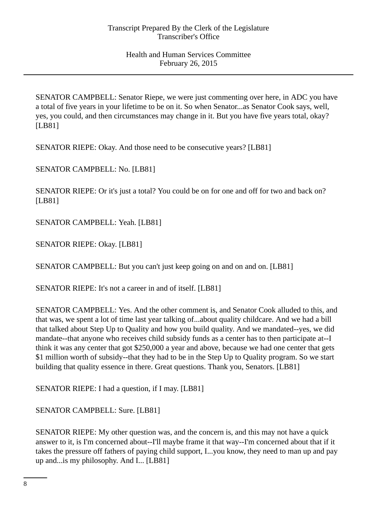SENATOR CAMPBELL: Senator Riepe, we were just commenting over here, in ADC you have a total of five years in your lifetime to be on it. So when Senator...as Senator Cook says, well, yes, you could, and then circumstances may change in it. But you have five years total, okay? [LB81]

SENATOR RIEPE: Okay. And those need to be consecutive years? [LB81]

SENATOR CAMPBELL: No. [LB81]

SENATOR RIEPE: Or it's just a total? You could be on for one and off for two and back on? [LB81]

SENATOR CAMPBELL: Yeah. [LB81]

SENATOR RIEPE: Okay. [LB81]

SENATOR CAMPBELL: But you can't just keep going on and on and on. [LB81]

SENATOR RIEPE: It's not a career in and of itself. [LB81]

SENATOR CAMPBELL: Yes. And the other comment is, and Senator Cook alluded to this, and that was, we spent a lot of time last year talking of...about quality childcare. And we had a bill that talked about Step Up to Quality and how you build quality. And we mandated--yes, we did mandate--that anyone who receives child subsidy funds as a center has to then participate at--I think it was any center that got \$250,000 a year and above, because we had one center that gets \$1 million worth of subsidy--that they had to be in the Step Up to Quality program. So we start building that quality essence in there. Great questions. Thank you, Senators. [LB81]

SENATOR RIEPE: I had a question, if I may. [LB81]

SENATOR CAMPBELL: Sure. [LB81]

SENATOR RIEPE: My other question was, and the concern is, and this may not have a quick answer to it, is I'm concerned about--I'll maybe frame it that way--I'm concerned about that if it takes the pressure off fathers of paying child support, I...you know, they need to man up and pay up and...is my philosophy. And I... [LB81]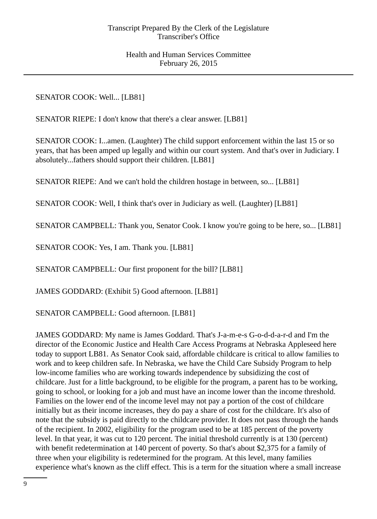SENATOR COOK: Well... [LB81]

SENATOR RIEPE: I don't know that there's a clear answer. [LB81]

SENATOR COOK: I...amen. (Laughter) The child support enforcement within the last 15 or so years, that has been amped up legally and within our court system. And that's over in Judiciary. I absolutely...fathers should support their children. [LB81]

SENATOR RIEPE: And we can't hold the children hostage in between, so... [LB81]

SENATOR COOK: Well, I think that's over in Judiciary as well. (Laughter) [LB81]

SENATOR CAMPBELL: Thank you, Senator Cook. I know you're going to be here, so... [LB81]

SENATOR COOK: Yes, I am. Thank you. [LB81]

SENATOR CAMPBELL: Our first proponent for the bill? [LB81]

JAMES GODDARD: (Exhibit 5) Good afternoon. [LB81]

SENATOR CAMPBELL: Good afternoon. [LB81]

JAMES GODDARD: My name is James Goddard. That's J-a-m-e-s G-o-d-d-a-r-d and I'm the director of the Economic Justice and Health Care Access Programs at Nebraska Appleseed here today to support LB81. As Senator Cook said, affordable childcare is critical to allow families to work and to keep children safe. In Nebraska, we have the Child Care Subsidy Program to help low-income families who are working towards independence by subsidizing the cost of childcare. Just for a little background, to be eligible for the program, a parent has to be working, going to school, or looking for a job and must have an income lower than the income threshold. Families on the lower end of the income level may not pay a portion of the cost of childcare initially but as their income increases, they do pay a share of cost for the childcare. It's also of note that the subsidy is paid directly to the childcare provider. It does not pass through the hands of the recipient. In 2002, eligibility for the program used to be at 185 percent of the poverty level. In that year, it was cut to 120 percent. The initial threshold currently is at 130 (percent) with benefit redetermination at 140 percent of poverty. So that's about \$2,375 for a family of three when your eligibility is redetermined for the program. At this level, many families experience what's known as the cliff effect. This is a term for the situation where a small increase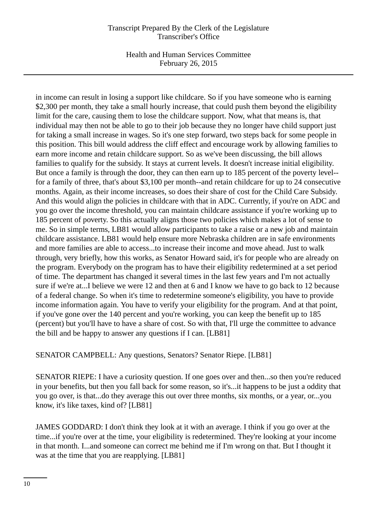Health and Human Services Committee February 26, 2015

in income can result in losing a support like childcare. So if you have someone who is earning \$2,300 per month, they take a small hourly increase, that could push them beyond the eligibility limit for the care, causing them to lose the childcare support. Now, what that means is, that individual may then not be able to go to their job because they no longer have child support just for taking a small increase in wages. So it's one step forward, two steps back for some people in this position. This bill would address the cliff effect and encourage work by allowing families to earn more income and retain childcare support. So as we've been discussing, the bill allows families to qualify for the subsidy. It stays at current levels. It doesn't increase initial eligibility. But once a family is through the door, they can then earn up to 185 percent of the poverty level- for a family of three, that's about \$3,100 per month--and retain childcare for up to 24 consecutive months. Again, as their income increases, so does their share of cost for the Child Care Subsidy. And this would align the policies in childcare with that in ADC. Currently, if you're on ADC and you go over the income threshold, you can maintain childcare assistance if you're working up to 185 percent of poverty. So this actually aligns those two policies which makes a lot of sense to me. So in simple terms, LB81 would allow participants to take a raise or a new job and maintain childcare assistance. LB81 would help ensure more Nebraska children are in safe environments and more families are able to access...to increase their income and move ahead. Just to walk through, very briefly, how this works, as Senator Howard said, it's for people who are already on the program. Everybody on the program has to have their eligibility redetermined at a set period of time. The department has changed it several times in the last few years and I'm not actually sure if we're at...I believe we were 12 and then at 6 and I know we have to go back to 12 because of a federal change. So when it's time to redetermine someone's eligibility, you have to provide income information again. You have to verify your eligibility for the program. And at that point, if you've gone over the 140 percent and you're working, you can keep the benefit up to 185 (percent) but you'll have to have a share of cost. So with that, I'll urge the committee to advance the bill and be happy to answer any questions if I can. [LB81]

SENATOR CAMPBELL: Any questions, Senators? Senator Riepe. [LB81]

SENATOR RIEPE: I have a curiosity question. If one goes over and then...so then you're reduced in your benefits, but then you fall back for some reason, so it's...it happens to be just a oddity that you go over, is that...do they average this out over three months, six months, or a year, or...you know, it's like taxes, kind of? [LB81]

JAMES GODDARD: I don't think they look at it with an average. I think if you go over at the time...if you're over at the time, your eligibility is redetermined. They're looking at your income in that month. I...and someone can correct me behind me if I'm wrong on that. But I thought it was at the time that you are reapplying. [LB81]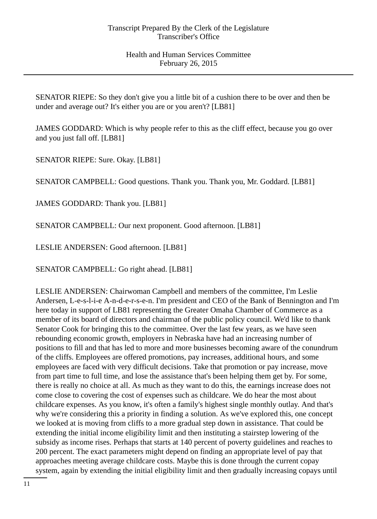SENATOR RIEPE: So they don't give you a little bit of a cushion there to be over and then be under and average out? It's either you are or you aren't? [LB81]

JAMES GODDARD: Which is why people refer to this as the cliff effect, because you go over and you just fall off. [LB81]

SENATOR RIEPE: Sure. Okay. [LB81]

SENATOR CAMPBELL: Good questions. Thank you. Thank you, Mr. Goddard. [LB81]

JAMES GODDARD: Thank you. [LB81]

SENATOR CAMPBELL: Our next proponent. Good afternoon. [LB81]

LESLIE ANDERSEN: Good afternoon. [LB81]

SENATOR CAMPBELL: Go right ahead. [LB81]

LESLIE ANDERSEN: Chairwoman Campbell and members of the committee, I'm Leslie Andersen, L-e-s-l-i-e A-n-d-e-r-s-e-n. I'm president and CEO of the Bank of Bennington and I'm here today in support of LB81 representing the Greater Omaha Chamber of Commerce as a member of its board of directors and chairman of the public policy council. We'd like to thank Senator Cook for bringing this to the committee. Over the last few years, as we have seen rebounding economic growth, employers in Nebraska have had an increasing number of positions to fill and that has led to more and more businesses becoming aware of the conundrum of the cliffs. Employees are offered promotions, pay increases, additional hours, and some employees are faced with very difficult decisions. Take that promotion or pay increase, move from part time to full time, and lose the assistance that's been helping them get by. For some, there is really no choice at all. As much as they want to do this, the earnings increase does not come close to covering the cost of expenses such as childcare. We do hear the most about childcare expenses. As you know, it's often a family's highest single monthly outlay. And that's why we're considering this a priority in finding a solution. As we've explored this, one concept we looked at is moving from cliffs to a more gradual step down in assistance. That could be extending the initial income eligibility limit and then instituting a stairstep lowering of the subsidy as income rises. Perhaps that starts at 140 percent of poverty guidelines and reaches to 200 percent. The exact parameters might depend on finding an appropriate level of pay that approaches meeting average childcare costs. Maybe this is done through the current copay system, again by extending the initial eligibility limit and then gradually increasing copays until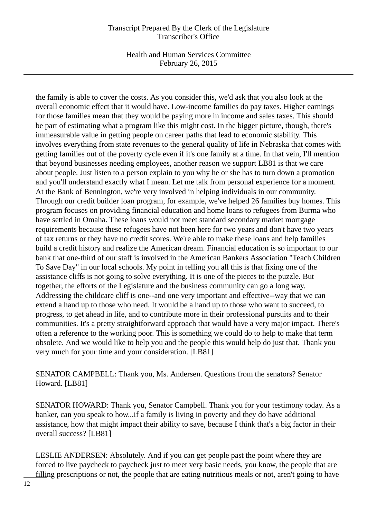Health and Human Services Committee February 26, 2015

the family is able to cover the costs. As you consider this, we'd ask that you also look at the overall economic effect that it would have. Low-income families do pay taxes. Higher earnings for those families mean that they would be paying more in income and sales taxes. This should be part of estimating what a program like this might cost. In the bigger picture, though, there's immeasurable value in getting people on career paths that lead to economic stability. This involves everything from state revenues to the general quality of life in Nebraska that comes with getting families out of the poverty cycle even if it's one family at a time. In that vein, I'll mention that beyond businesses needing employees, another reason we support LB81 is that we care about people. Just listen to a person explain to you why he or she has to turn down a promotion and you'll understand exactly what I mean. Let me talk from personal experience for a moment. At the Bank of Bennington, we're very involved in helping individuals in our community. Through our credit builder loan program, for example, we've helped 26 families buy homes. This program focuses on providing financial education and home loans to refugees from Burma who have settled in Omaha. These loans would not meet standard secondary market mortgage requirements because these refugees have not been here for two years and don't have two years of tax returns or they have no credit scores. We're able to make these loans and help families build a credit history and realize the American dream. Financial education is so important to our bank that one-third of our staff is involved in the American Bankers Association "Teach Children To Save Day" in our local schools. My point in telling you all this is that fixing one of the assistance cliffs is not going to solve everything. It is one of the pieces to the puzzle. But together, the efforts of the Legislature and the business community can go a long way. Addressing the childcare cliff is one--and one very important and effective--way that we can extend a hand up to those who need. It would be a hand up to those who want to succeed, to progress, to get ahead in life, and to contribute more in their professional pursuits and to their communities. It's a pretty straightforward approach that would have a very major impact. There's often a reference to the working poor. This is something we could do to help to make that term obsolete. And we would like to help you and the people this would help do just that. Thank you very much for your time and your consideration. [LB81]

SENATOR CAMPBELL: Thank you, Ms. Andersen. Questions from the senators? Senator Howard. [LB81]

SENATOR HOWARD: Thank you, Senator Campbell. Thank you for your testimony today. As a banker, can you speak to how...if a family is living in poverty and they do have additional assistance, how that might impact their ability to save, because I think that's a big factor in their overall success? [LB81]

LESLIE ANDERSEN: Absolutely. And if you can get people past the point where they are forced to live paycheck to paycheck just to meet very basic needs, you know, the people that are filling prescriptions or not, the people that are eating nutritious meals or not, aren't going to have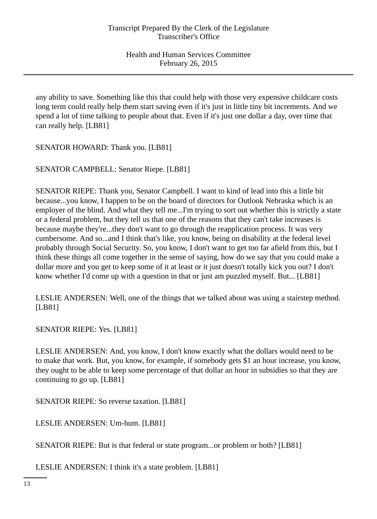any ability to save. Something like this that could help with those very expensive childcare costs long term could really help them start saving even if it's just in little tiny bit increments. And we spend a lot of time talking to people about that. Even if it's just one dollar a day, over time that can really help. [LB81]

SENATOR HOWARD: Thank you. [LB81]

SENATOR CAMPBELL: Senator Riepe. [LB81]

SENATOR RIEPE: Thank you, Senator Campbell. I want to kind of lead into this a little bit because...you know, I happen to be on the board of directors for Outlook Nebraska which is an employer of the blind. And what they tell me...I'm trying to sort out whether this is strictly a state or a federal problem, but they tell us that one of the reasons that they can't take increases is because maybe they're...they don't want to go through the reapplication process. It was very cumbersome. And so...and I think that's like, you know, being on disability at the federal level probably through Social Security. So, you know, I don't want to get too far afield from this, but I think these things all come together in the sense of saying, how do we say that you could make a dollar more and you get to keep some of it at least or it just doesn't totally kick you out? I don't know whether I'd come up with a question in that or just am puzzled myself. But... [LB81]

LESLIE ANDERSEN: Well, one of the things that we talked about was using a stairstep method. [LB81]

SENATOR RIEPE: Yes. [LB81]

LESLIE ANDERSEN: And, you know, I don't know exactly what the dollars would need to be to make that work. But, you know, for example, if somebody gets \$1 an hour increase, you know, they ought to be able to keep some percentage of that dollar an hour in subsidies so that they are continuing to go up. [LB81]

SENATOR RIEPE: So reverse taxation. [LB81]

LESLIE ANDERSEN: Um-hum. [LB81]

SENATOR RIEPE: But is that federal or state program...or problem or both? [LB81]

LESLIE ANDERSEN: I think it's a state problem. [LB81]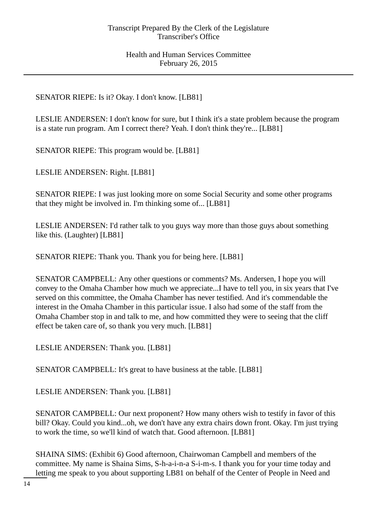# SENATOR RIEPE: Is it? Okay. I don't know. [LB81]

LESLIE ANDERSEN: I don't know for sure, but I think it's a state problem because the program is a state run program. Am I correct there? Yeah. I don't think they're... [LB81]

SENATOR RIEPE: This program would be. [LB81]

LESLIE ANDERSEN: Right. [LB81]

SENATOR RIEPE: I was just looking more on some Social Security and some other programs that they might be involved in. I'm thinking some of... [LB81]

LESLIE ANDERSEN: I'd rather talk to you guys way more than those guys about something like this. (Laughter) [LB81]

SENATOR RIEPE: Thank you. Thank you for being here. [LB81]

SENATOR CAMPBELL: Any other questions or comments? Ms. Andersen, I hope you will convey to the Omaha Chamber how much we appreciate...I have to tell you, in six years that I've served on this committee, the Omaha Chamber has never testified. And it's commendable the interest in the Omaha Chamber in this particular issue. I also had some of the staff from the Omaha Chamber stop in and talk to me, and how committed they were to seeing that the cliff effect be taken care of, so thank you very much. [LB81]

LESLIE ANDERSEN: Thank you. [LB81]

SENATOR CAMPBELL: It's great to have business at the table. [LB81]

LESLIE ANDERSEN: Thank you. [LB81]

SENATOR CAMPBELL: Our next proponent? How many others wish to testify in favor of this bill? Okay. Could you kind...oh, we don't have any extra chairs down front. Okay. I'm just trying to work the time, so we'll kind of watch that. Good afternoon. [LB81]

SHAINA SIMS: (Exhibit 6) Good afternoon, Chairwoman Campbell and members of the committee. My name is Shaina Sims, S-h-a-i-n-a S-i-m-s. I thank you for your time today and letting me speak to you about supporting LB81 on behalf of the Center of People in Need and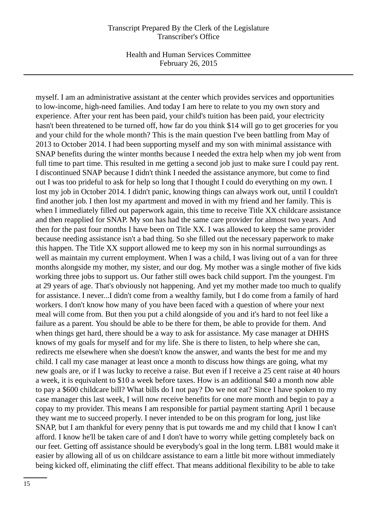Health and Human Services Committee February 26, 2015

myself. I am an administrative assistant at the center which provides services and opportunities to low-income, high-need families. And today I am here to relate to you my own story and experience. After your rent has been paid, your child's tuition has been paid, your electricity hasn't been threatened to be turned off, how far do you think \$14 will go to get groceries for you and your child for the whole month? This is the main question I've been battling from May of 2013 to October 2014. I had been supporting myself and my son with minimal assistance with SNAP benefits during the winter months because I needed the extra help when my job went from full time to part time. This resulted in me getting a second job just to make sure I could pay rent. I discontinued SNAP because I didn't think I needed the assistance anymore, but come to find out I was too prideful to ask for help so long that I thought I could do everything on my own. I lost my job in October 2014. I didn't panic, knowing things can always work out, until I couldn't find another job. I then lost my apartment and moved in with my friend and her family. This is when I immediately filled out paperwork again, this time to receive Title XX childcare assistance and then reapplied for SNAP. My son has had the same care provider for almost two years. And then for the past four months I have been on Title XX. I was allowed to keep the same provider because needing assistance isn't a bad thing. So she filled out the necessary paperwork to make this happen. The Title XX support allowed me to keep my son in his normal surroundings as well as maintain my current employment. When I was a child, I was living out of a van for three months alongside my mother, my sister, and our dog. My mother was a single mother of five kids working three jobs to support us. Our father still owes back child support. I'm the youngest. I'm at 29 years of age. That's obviously not happening. And yet my mother made too much to qualify for assistance. I never...I didn't come from a wealthy family, but I do come from a family of hard workers. I don't know how many of you have been faced with a question of where your next meal will come from. But then you put a child alongside of you and it's hard to not feel like a failure as a parent. You should be able to be there for them, be able to provide for them. And when things get hard, there should be a way to ask for assistance. My case manager at DHHS knows of my goals for myself and for my life. She is there to listen, to help where she can, redirects me elsewhere when she doesn't know the answer, and wants the best for me and my child. I call my case manager at least once a month to discuss how things are going, what my new goals are, or if I was lucky to receive a raise. But even if I receive a 25 cent raise at 40 hours a week, it is equivalent to \$10 a week before taxes. How is an additional \$40 a month now able to pay a \$600 childcare bill? What bills do I not pay? Do we not eat? Since I have spoken to my case manager this last week, I will now receive benefits for one more month and begin to pay a copay to my provider. This means I am responsible for partial payment starting April 1 because they want me to succeed properly. I never intended to be on this program for long, just like SNAP, but I am thankful for every penny that is put towards me and my child that I know I can't afford. I know he'll be taken care of and I don't have to worry while getting completely back on our feet. Getting off assistance should be everybody's goal in the long term. LB81 would make it easier by allowing all of us on childcare assistance to earn a little bit more without immediately being kicked off, eliminating the cliff effect. That means additional flexibility to be able to take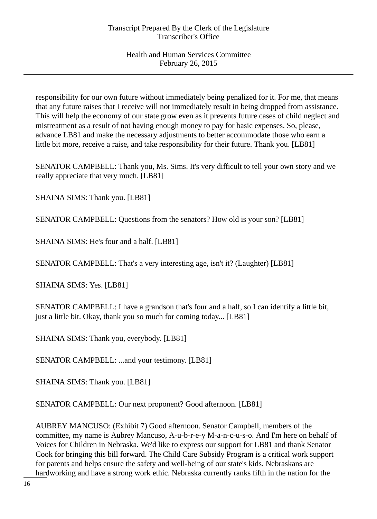responsibility for our own future without immediately being penalized for it. For me, that means that any future raises that I receive will not immediately result in being dropped from assistance. This will help the economy of our state grow even as it prevents future cases of child neglect and mistreatment as a result of not having enough money to pay for basic expenses. So, please, advance LB81 and make the necessary adjustments to better accommodate those who earn a little bit more, receive a raise, and take responsibility for their future. Thank you. [LB81]

SENATOR CAMPBELL: Thank you, Ms. Sims. It's very difficult to tell your own story and we really appreciate that very much. [LB81]

SHAINA SIMS: Thank you. [LB81]

SENATOR CAMPBELL: Questions from the senators? How old is your son? [LB81]

SHAINA SIMS: He's four and a half. [LB81]

SENATOR CAMPBELL: That's a very interesting age, isn't it? (Laughter) [LB81]

SHAINA SIMS: Yes. [LB81]

SENATOR CAMPBELL: I have a grandson that's four and a half, so I can identify a little bit, just a little bit. Okay, thank you so much for coming today... [LB81]

SHAINA SIMS: Thank you, everybody. [LB81]

SENATOR CAMPBELL: ...and your testimony. [LB81]

SHAINA SIMS: Thank you. [LB81]

SENATOR CAMPBELL: Our next proponent? Good afternoon. [LB81]

AUBREY MANCUSO: (Exhibit 7) Good afternoon. Senator Campbell, members of the committee, my name is Aubrey Mancuso, A-u-b-r-e-y M-a-n-c-u-s-o. And I'm here on behalf of Voices for Children in Nebraska. We'd like to express our support for LB81 and thank Senator Cook for bringing this bill forward. The Child Care Subsidy Program is a critical work support for parents and helps ensure the safety and well-being of our state's kids. Nebraskans are hardworking and have a strong work ethic. Nebraska currently ranks fifth in the nation for the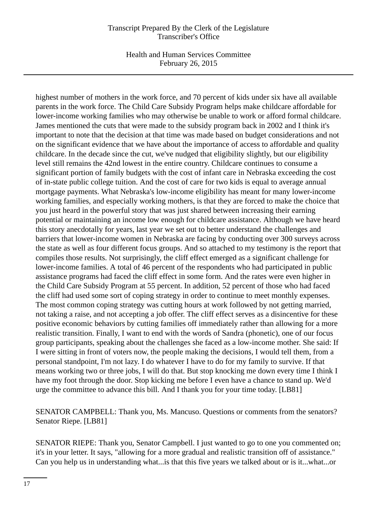Health and Human Services Committee February 26, 2015

highest number of mothers in the work force, and 70 percent of kids under six have all available parents in the work force. The Child Care Subsidy Program helps make childcare affordable for lower-income working families who may otherwise be unable to work or afford formal childcare. James mentioned the cuts that were made to the subsidy program back in 2002 and I think it's important to note that the decision at that time was made based on budget considerations and not on the significant evidence that we have about the importance of access to affordable and quality childcare. In the decade since the cut, we've nudged that eligibility slightly, but our eligibility level still remains the 42nd lowest in the entire country. Childcare continues to consume a significant portion of family budgets with the cost of infant care in Nebraska exceeding the cost of in-state public college tuition. And the cost of care for two kids is equal to average annual mortgage payments. What Nebraska's low-income eligibility has meant for many lower-income working families, and especially working mothers, is that they are forced to make the choice that you just heard in the powerful story that was just shared between increasing their earning potential or maintaining an income low enough for childcare assistance. Although we have heard this story anecdotally for years, last year we set out to better understand the challenges and barriers that lower-income women in Nebraska are facing by conducting over 300 surveys across the state as well as four different focus groups. And so attached to my testimony is the report that compiles those results. Not surprisingly, the cliff effect emerged as a significant challenge for lower-income families. A total of 46 percent of the respondents who had participated in public assistance programs had faced the cliff effect in some form. And the rates were even higher in the Child Care Subsidy Program at 55 percent. In addition, 52 percent of those who had faced the cliff had used some sort of coping strategy in order to continue to meet monthly expenses. The most common coping strategy was cutting hours at work followed by not getting married, not taking a raise, and not accepting a job offer. The cliff effect serves as a disincentive for these positive economic behaviors by cutting families off immediately rather than allowing for a more realistic transition. Finally, I want to end with the words of Sandra (phonetic), one of our focus group participants, speaking about the challenges she faced as a low-income mother. She said: If I were sitting in front of voters now, the people making the decisions, I would tell them, from a personal standpoint, I'm not lazy. I do whatever I have to do for my family to survive. If that means working two or three jobs, I will do that. But stop knocking me down every time I think I have my foot through the door. Stop kicking me before I even have a chance to stand up. We'd urge the committee to advance this bill. And I thank you for your time today. [LB81]

SENATOR CAMPBELL: Thank you, Ms. Mancuso. Questions or comments from the senators? Senator Riepe. [LB81]

SENATOR RIEPE: Thank you, Senator Campbell. I just wanted to go to one you commented on; it's in your letter. It says, "allowing for a more gradual and realistic transition off of assistance." Can you help us in understanding what...is that this five years we talked about or is it...what...or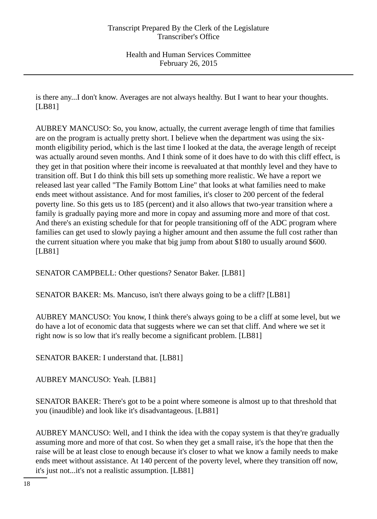is there any...I don't know. Averages are not always healthy. But I want to hear your thoughts. [LB81]

AUBREY MANCUSO: So, you know, actually, the current average length of time that families are on the program is actually pretty short. I believe when the department was using the sixmonth eligibility period, which is the last time I looked at the data, the average length of receipt was actually around seven months. And I think some of it does have to do with this cliff effect, is they get in that position where their income is reevaluated at that monthly level and they have to transition off. But I do think this bill sets up something more realistic. We have a report we released last year called "The Family Bottom Line" that looks at what families need to make ends meet without assistance. And for most families, it's closer to 200 percent of the federal poverty line. So this gets us to 185 (percent) and it also allows that two-year transition where a family is gradually paying more and more in copay and assuming more and more of that cost. And there's an existing schedule for that for people transitioning off of the ADC program where families can get used to slowly paying a higher amount and then assume the full cost rather than the current situation where you make that big jump from about \$180 to usually around \$600. [LB81]

SENATOR CAMPBELL: Other questions? Senator Baker. [LB81]

SENATOR BAKER: Ms. Mancuso, isn't there always going to be a cliff? [LB81]

AUBREY MANCUSO: You know, I think there's always going to be a cliff at some level, but we do have a lot of economic data that suggests where we can set that cliff. And where we set it right now is so low that it's really become a significant problem. [LB81]

SENATOR BAKER: I understand that. [LB81]

AUBREY MANCUSO: Yeah. [LB81]

SENATOR BAKER: There's got to be a point where someone is almost up to that threshold that you (inaudible) and look like it's disadvantageous. [LB81]

AUBREY MANCUSO: Well, and I think the idea with the copay system is that they're gradually assuming more and more of that cost. So when they get a small raise, it's the hope that then the raise will be at least close to enough because it's closer to what we know a family needs to make ends meet without assistance. At 140 percent of the poverty level, where they transition off now, it's just not...it's not a realistic assumption. [LB81]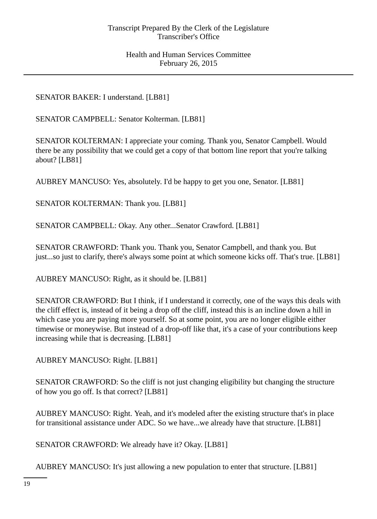SENATOR BAKER: I understand. [LB81]

SENATOR CAMPBELL: Senator Kolterman. [LB81]

SENATOR KOLTERMAN: I appreciate your coming. Thank you, Senator Campbell. Would there be any possibility that we could get a copy of that bottom line report that you're talking about? [LB81]

AUBREY MANCUSO: Yes, absolutely. I'd be happy to get you one, Senator. [LB81]

SENATOR KOLTERMAN: Thank you. [LB81]

SENATOR CAMPBELL: Okay. Any other...Senator Crawford. [LB81]

SENATOR CRAWFORD: Thank you. Thank you, Senator Campbell, and thank you. But just...so just to clarify, there's always some point at which someone kicks off. That's true. [LB81]

AUBREY MANCUSO: Right, as it should be. [LB81]

SENATOR CRAWFORD: But I think, if I understand it correctly, one of the ways this deals with the cliff effect is, instead of it being a drop off the cliff, instead this is an incline down a hill in which case you are paying more yourself. So at some point, you are no longer eligible either timewise or moneywise. But instead of a drop-off like that, it's a case of your contributions keep increasing while that is decreasing. [LB81]

AUBREY MANCUSO: Right. [LB81]

SENATOR CRAWFORD: So the cliff is not just changing eligibility but changing the structure of how you go off. Is that correct? [LB81]

AUBREY MANCUSO: Right. Yeah, and it's modeled after the existing structure that's in place for transitional assistance under ADC. So we have...we already have that structure. [LB81]

SENATOR CRAWFORD: We already have it? Okay. [LB81]

AUBREY MANCUSO: It's just allowing a new population to enter that structure. [LB81]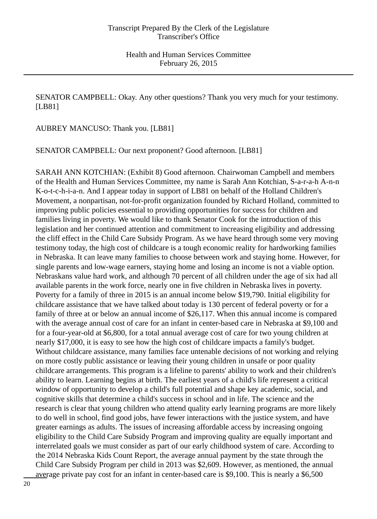SENATOR CAMPBELL: Okay. Any other questions? Thank you very much for your testimony. [LB81]

AUBREY MANCUSO: Thank you. [LB81]

SENATOR CAMPBELL: Our next proponent? Good afternoon. [LB81]

SARAH ANN KOTCHIAN: (Exhibit 8) Good afternoon. Chairwoman Campbell and members of the Health and Human Services Committee, my name is Sarah Ann Kotchian, S-a-r-a-h A-n-n K-o-t-c-h-i-a-n. And I appear today in support of LB81 on behalf of the Holland Children's Movement, a nonpartisan, not-for-profit organization founded by Richard Holland, committed to improving public policies essential to providing opportunities for success for children and families living in poverty. We would like to thank Senator Cook for the introduction of this legislation and her continued attention and commitment to increasing eligibility and addressing the cliff effect in the Child Care Subsidy Program. As we have heard through some very moving testimony today, the high cost of childcare is a tough economic reality for hardworking families in Nebraska. It can leave many families to choose between work and staying home. However, for single parents and low-wage earners, staying home and losing an income is not a viable option. Nebraskans value hard work, and although 70 percent of all children under the age of six had all available parents in the work force, nearly one in five children in Nebraska lives in poverty. Poverty for a family of three in 2015 is an annual income below \$19,790. Initial eligibility for childcare assistance that we have talked about today is 130 percent of federal poverty or for a family of three at or below an annual income of \$26,117. When this annual income is compared with the average annual cost of care for an infant in center-based care in Nebraska at \$9,100 and for a four-year-old at \$6,800, for a total annual average cost of care for two young children at nearly \$17,000, it is easy to see how the high cost of childcare impacts a family's budget. Without childcare assistance, many families face untenable decisions of not working and relying on more costly public assistance or leaving their young children in unsafe or poor quality childcare arrangements. This program is a lifeline to parents' ability to work and their children's ability to learn. Learning begins at birth. The earliest years of a child's life represent a critical window of opportunity to develop a child's full potential and shape key academic, social, and cognitive skills that determine a child's success in school and in life. The science and the research is clear that young children who attend quality early learning programs are more likely to do well in school, find good jobs, have fewer interactions with the justice system, and have greater earnings as adults. The issues of increasing affordable access by increasing ongoing eligibility to the Child Care Subsidy Program and improving quality are equally important and interrelated goals we must consider as part of our early childhood system of care. According to the 2014 Nebraska Kids Count Report, the average annual payment by the state through the Child Care Subsidy Program per child in 2013 was \$2,609. However, as mentioned, the annual average private pay cost for an infant in center-based care is \$9,100. This is nearly a \$6,500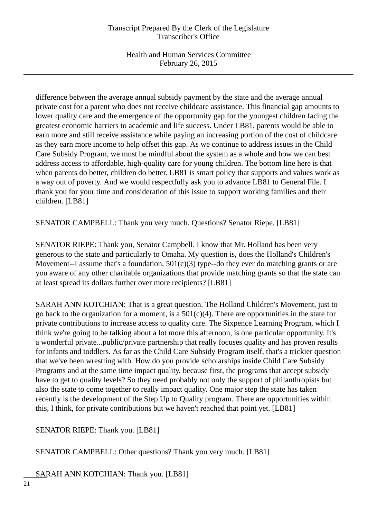difference between the average annual subsidy payment by the state and the average annual private cost for a parent who does not receive childcare assistance. This financial gap amounts to lower quality care and the emergence of the opportunity gap for the youngest children facing the greatest economic barriers to academic and life success. Under LB81, parents would be able to earn more and still receive assistance while paying an increasing portion of the cost of childcare as they earn more income to help offset this gap. As we continue to address issues in the Child Care Subsidy Program, we must be mindful about the system as a whole and how we can best address access to affordable, high-quality care for young children. The bottom line here is that when parents do better, children do better. LB81 is smart policy that supports and values work as a way out of poverty. And we would respectfully ask you to advance LB81 to General File. I thank you for your time and consideration of this issue to support working families and their children. [LB81]

SENATOR CAMPBELL: Thank you very much. Questions? Senator Riepe. [LB81]

SENATOR RIEPE: Thank you, Senator Campbell. I know that Mr. Holland has been very generous to the state and particularly to Omaha. My question is, does the Holland's Children's Movement--I assume that's a foundation,  $501(c)(3)$  type--do they ever do matching grants or are you aware of any other charitable organizations that provide matching grants so that the state can at least spread its dollars further over more recipients? [LB81]

SARAH ANN KOTCHIAN: That is a great question. The Holland Children's Movement, just to go back to the organization for a moment, is a  $501(c)(4)$ . There are opportunities in the state for private contributions to increase access to quality care. The Sixpence Learning Program, which I think we're going to be talking about a lot more this afternoon, is one particular opportunity. It's a wonderful private...public/private partnership that really focuses quality and has proven results for infants and toddlers. As far as the Child Care Subsidy Program itself, that's a trickier question that we've been wrestling with. How do you provide scholarships inside Child Care Subsidy Programs and at the same time impact quality, because first, the programs that accept subsidy have to get to quality levels? So they need probably not only the support of philanthropists but also the state to come together to really impact quality. One major step the state has taken recently is the development of the Step Up to Quality program. There are opportunities within this, I think, for private contributions but we haven't reached that point yet. [LB81]

SENATOR RIEPE: Thank you. [LB81]

SENATOR CAMPBELL: Other questions? Thank you very much. [LB81]

SARAH ANN KOTCHIAN: Thank you. [LB81]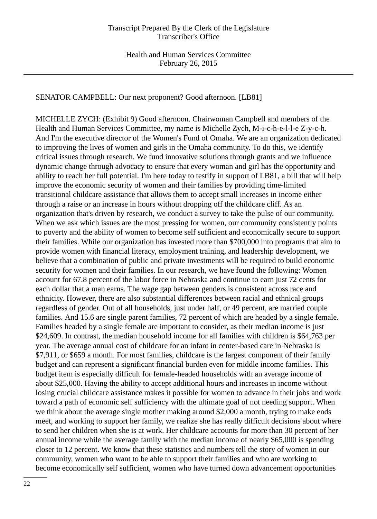SENATOR CAMPBELL: Our next proponent? Good afternoon. [LB81]

MICHELLE ZYCH: (Exhibit 9) Good afternoon. Chairwoman Campbell and members of the Health and Human Services Committee, my name is Michelle Zych, M-i-c-h-e-l-l-e Z-y-c-h. And I'm the executive director of the Women's Fund of Omaha. We are an organization dedicated to improving the lives of women and girls in the Omaha community. To do this, we identify critical issues through research. We fund innovative solutions through grants and we influence dynamic change through advocacy to ensure that every woman and girl has the opportunity and ability to reach her full potential. I'm here today to testify in support of LB81, a bill that will help improve the economic security of women and their families by providing time-limited transitional childcare assistance that allows them to accept small increases in income either through a raise or an increase in hours without dropping off the childcare cliff. As an organization that's driven by research, we conduct a survey to take the pulse of our community. When we ask which issues are the most pressing for women, our community consistently points to poverty and the ability of women to become self sufficient and economically secure to support their families. While our organization has invested more than \$700,000 into programs that aim to provide women with financial literacy, employment training, and leadership development, we believe that a combination of public and private investments will be required to build economic security for women and their families. In our research, we have found the following: Women account for 67.8 percent of the labor force in Nebraska and continue to earn just 72 cents for each dollar that a man earns. The wage gap between genders is consistent across race and ethnicity. However, there are also substantial differences between racial and ethnical groups regardless of gender. Out of all households, just under half, or 49 percent, are married couple families. And 15.6 are single parent families, 72 percent of which are headed by a single female. Families headed by a single female are important to consider, as their median income is just \$24,609. In contrast, the median household income for all families with children is \$64,763 per year. The average annual cost of childcare for an infant in center-based care in Nebraska is \$7,911, or \$659 a month. For most families, childcare is the largest component of their family budget and can represent a significant financial burden even for middle income families. This budget item is especially difficult for female-headed households with an average income of about \$25,000. Having the ability to accept additional hours and increases in income without losing crucial childcare assistance makes it possible for women to advance in their jobs and work toward a path of economic self sufficiency with the ultimate goal of not needing support. When we think about the average single mother making around \$2,000 a month, trying to make ends meet, and working to support her family, we realize she has really difficult decisions about where to send her children when she is at work. Her childcare accounts for more than 30 percent of her annual income while the average family with the median income of nearly \$65,000 is spending closer to 12 percent. We know that these statistics and numbers tell the story of women in our community, women who want to be able to support their families and who are working to become economically self sufficient, women who have turned down advancement opportunities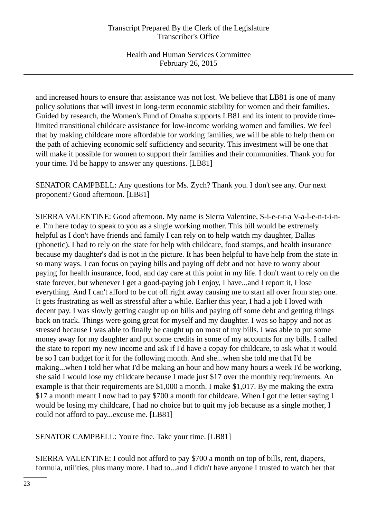and increased hours to ensure that assistance was not lost. We believe that LB81 is one of many policy solutions that will invest in long-term economic stability for women and their families. Guided by research, the Women's Fund of Omaha supports LB81 and its intent to provide timelimited transitional childcare assistance for low-income working women and families. We feel that by making childcare more affordable for working families, we will be able to help them on the path of achieving economic self sufficiency and security. This investment will be one that will make it possible for women to support their families and their communities. Thank you for your time. I'd be happy to answer any questions. [LB81]

SENATOR CAMPBELL: Any questions for Ms. Zych? Thank you. I don't see any. Our next proponent? Good afternoon. [LB81]

SIERRA VALENTINE: Good afternoon. My name is Sierra Valentine, S-i-e-r-r-a V-a-l-e-n-t-i-ne. I'm here today to speak to you as a single working mother. This bill would be extremely helpful as I don't have friends and family I can rely on to help watch my daughter, Dallas (phonetic). I had to rely on the state for help with childcare, food stamps, and health insurance because my daughter's dad is not in the picture. It has been helpful to have help from the state in so many ways. I can focus on paying bills and paying off debt and not have to worry about paying for health insurance, food, and day care at this point in my life. I don't want to rely on the state forever, but whenever I get a good-paying job I enjoy, I have...and I report it, I lose everything. And I can't afford to be cut off right away causing me to start all over from step one. It gets frustrating as well as stressful after a while. Earlier this year, I had a job I loved with decent pay. I was slowly getting caught up on bills and paying off some debt and getting things back on track. Things were going great for myself and my daughter. I was so happy and not as stressed because I was able to finally be caught up on most of my bills. I was able to put some money away for my daughter and put some credits in some of my accounts for my bills. I called the state to report my new income and ask if I'd have a copay for childcare, to ask what it would be so I can budget for it for the following month. And she...when she told me that I'd be making...when I told her what I'd be making an hour and how many hours a week I'd be working, she said I would lose my childcare because I made just \$17 over the monthly requirements. An example is that their requirements are \$1,000 a month. I make \$1,017. By me making the extra \$17 a month meant I now had to pay \$700 a month for childcare. When I got the letter saying I would be losing my childcare, I had no choice but to quit my job because as a single mother, I could not afford to pay...excuse me. [LB81]

SENATOR CAMPBELL: You're fine. Take your time. [LB81]

SIERRA VALENTINE: I could not afford to pay \$700 a month on top of bills, rent, diapers, formula, utilities, plus many more. I had to...and I didn't have anyone I trusted to watch her that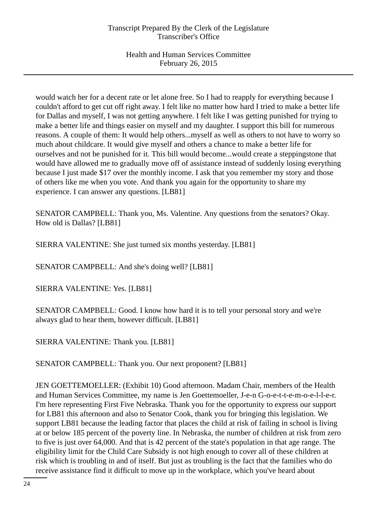would watch her for a decent rate or let alone free. So I had to reapply for everything because I couldn't afford to get cut off right away. I felt like no matter how hard I tried to make a better life for Dallas and myself, I was not getting anywhere. I felt like I was getting punished for trying to make a better life and things easier on myself and my daughter. I support this bill for numerous reasons. A couple of them: It would help others...myself as well as others to not have to worry so much about childcare. It would give myself and others a chance to make a better life for ourselves and not be punished for it. This bill would become...would create a steppingstone that would have allowed me to gradually move off of assistance instead of suddenly losing everything because I just made \$17 over the monthly income. I ask that you remember my story and those of others like me when you vote. And thank you again for the opportunity to share my experience. I can answer any questions. [LB81]

SENATOR CAMPBELL: Thank you, Ms. Valentine. Any questions from the senators? Okay. How old is Dallas? [LB81]

SIERRA VALENTINE: She just turned six months yesterday. [LB81]

SENATOR CAMPBELL: And she's doing well? [LB81]

SIERRA VALENTINE: Yes. [LB81]

SENATOR CAMPBELL: Good. I know how hard it is to tell your personal story and we're always glad to hear them, however difficult. [LB81]

SIERRA VALENTINE: Thank you. [LB81]

SENATOR CAMPBELL: Thank you. Our next proponent? [LB81]

JEN GOETTEMOELLER: (Exhibit 10) Good afternoon. Madam Chair, members of the Health and Human Services Committee, my name is Jen Goettemoeller, J-e-n G-o-e-t-t-e-m-o-e-l-l-e-r. I'm here representing First Five Nebraska. Thank you for the opportunity to express our support for LB81 this afternoon and also to Senator Cook, thank you for bringing this legislation. We support LB81 because the leading factor that places the child at risk of failing in school is living at or below 185 percent of the poverty line. In Nebraska, the number of children at risk from zero to five is just over 64,000. And that is 42 percent of the state's population in that age range. The eligibility limit for the Child Care Subsidy is not high enough to cover all of these children at risk which is troubling in and of itself. But just as troubling is the fact that the families who do receive assistance find it difficult to move up in the workplace, which you've heard about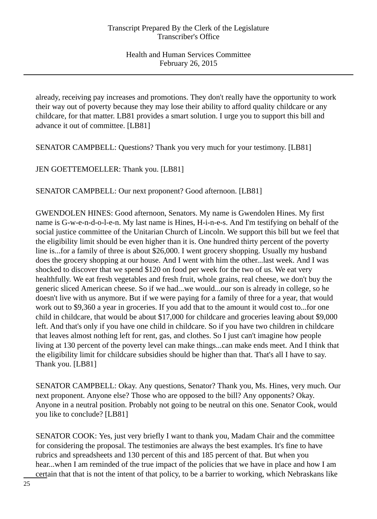already, receiving pay increases and promotions. They don't really have the opportunity to work their way out of poverty because they may lose their ability to afford quality childcare or any childcare, for that matter. LB81 provides a smart solution. I urge you to support this bill and advance it out of committee. [LB81]

SENATOR CAMPBELL: Questions? Thank you very much for your testimony. [LB81]

JEN GOETTEMOELLER: Thank you. [LB81]

SENATOR CAMPBELL: Our next proponent? Good afternoon. [LB81]

GWENDOLEN HINES: Good afternoon, Senators. My name is Gwendolen Hines. My first name is G-w-e-n-d-o-l-e-n. My last name is Hines, H-i-n-e-s. And I'm testifying on behalf of the social justice committee of the Unitarian Church of Lincoln. We support this bill but we feel that the eligibility limit should be even higher than it is. One hundred thirty percent of the poverty line is...for a family of three is about \$26,000. I went grocery shopping. Usually my husband does the grocery shopping at our house. And I went with him the other...last week. And I was shocked to discover that we spend \$120 on food per week for the two of us. We eat very healthfully. We eat fresh vegetables and fresh fruit, whole grains, real cheese, we don't buy the generic sliced American cheese. So if we had...we would...our son is already in college, so he doesn't live with us anymore. But if we were paying for a family of three for a year, that would work out to \$9,360 a year in groceries. If you add that to the amount it would cost to...for one child in childcare, that would be about \$17,000 for childcare and groceries leaving about \$9,000 left. And that's only if you have one child in childcare. So if you have two children in childcare that leaves almost nothing left for rent, gas, and clothes. So I just can't imagine how people living at 130 percent of the poverty level can make things...can make ends meet. And I think that the eligibility limit for childcare subsidies should be higher than that. That's all I have to say. Thank you. [LB81]

SENATOR CAMPBELL: Okay. Any questions, Senator? Thank you, Ms. Hines, very much. Our next proponent. Anyone else? Those who are opposed to the bill? Any opponents? Okay. Anyone in a neutral position. Probably not going to be neutral on this one. Senator Cook, would you like to conclude? [LB81]

SENATOR COOK: Yes, just very briefly I want to thank you, Madam Chair and the committee for considering the proposal. The testimonies are always the best examples. It's fine to have rubrics and spreadsheets and 130 percent of this and 185 percent of that. But when you hear...when I am reminded of the true impact of the policies that we have in place and how I am certain that that is not the intent of that policy, to be a barrier to working, which Nebraskans like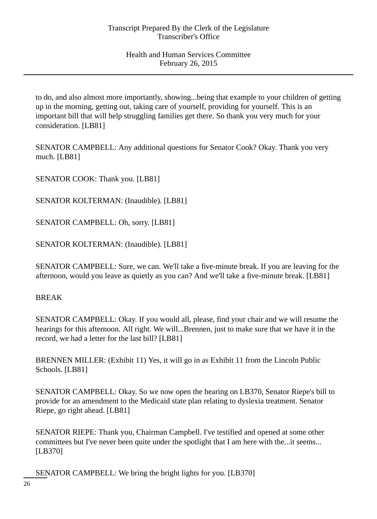to do, and also almost more importantly, showing...being that example to your children of getting up in the morning, getting out, taking care of yourself, providing for yourself. This is an important bill that will help struggling families get there. So thank you very much for your consideration. [LB81]

SENATOR CAMPBELL: Any additional questions for Senator Cook? Okay. Thank you very much. [LB81]

SENATOR COOK: Thank you. [LB81]

SENATOR KOLTERMAN: (Inaudible). [LB81]

SENATOR CAMPBELL: Oh, sorry. [LB81]

SENATOR KOLTERMAN: (Inaudible). [LB81]

SENATOR CAMPBELL: Sure, we can. We'll take a five-minute break. If you are leaving for the afternoon, would you leave as quietly as you can? And we'll take a five-minute break. [LB81]

# BREAK

SENATOR CAMPBELL: Okay. If you would all, please, find your chair and we will resume the hearings for this afternoon. All right. We will...Brennen, just to make sure that we have it in the record, we had a letter for the last bill? [LB81]

BRENNEN MILLER: (Exhibit 11) Yes, it will go in as Exhibit 11 from the Lincoln Public Schools. [LB81]

SENATOR CAMPBELL: Okay. So we now open the hearing on LB370, Senator Riepe's bill to provide for an amendment to the Medicaid state plan relating to dyslexia treatment. Senator Riepe, go right ahead. [LB81]

SENATOR RIEPE: Thank you, Chairman Campbell. I've testified and opened at some other committees but I've never been quite under the spotlight that I am here with the...it seems... [LB370]

SENATOR CAMPBELL: We bring the bright lights for you. [LB370]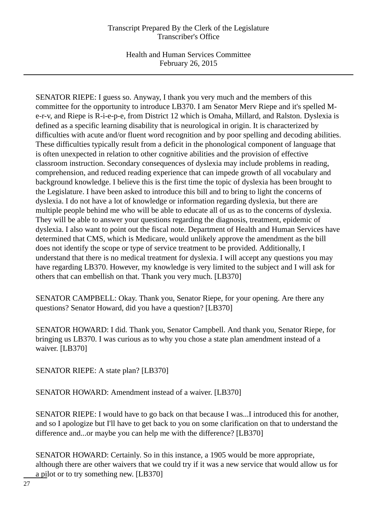Health and Human Services Committee February 26, 2015

SENATOR RIEPE: I guess so. Anyway, I thank you very much and the members of this committee for the opportunity to introduce LB370. I am Senator Merv Riepe and it's spelled Me-r-v, and Riepe is R-i-e-p-e, from District 12 which is Omaha, Millard, and Ralston. Dyslexia is defined as a specific learning disability that is neurological in origin. It is characterized by difficulties with acute and/or fluent word recognition and by poor spelling and decoding abilities. These difficulties typically result from a deficit in the phonological component of language that is often unexpected in relation to other cognitive abilities and the provision of effective classroom instruction. Secondary consequences of dyslexia may include problems in reading, comprehension, and reduced reading experience that can impede growth of all vocabulary and background knowledge. I believe this is the first time the topic of dyslexia has been brought to the Legislature. I have been asked to introduce this bill and to bring to light the concerns of dyslexia. I do not have a lot of knowledge or information regarding dyslexia, but there are multiple people behind me who will be able to educate all of us as to the concerns of dyslexia. They will be able to answer your questions regarding the diagnosis, treatment, epidemic of dyslexia. I also want to point out the fiscal note. Department of Health and Human Services have determined that CMS, which is Medicare, would unlikely approve the amendment as the bill does not identify the scope or type of service treatment to be provided. Additionally, I understand that there is no medical treatment for dyslexia. I will accept any questions you may have regarding LB370. However, my knowledge is very limited to the subject and I will ask for others that can embellish on that. Thank you very much. [LB370]

SENATOR CAMPBELL: Okay. Thank you, Senator Riepe, for your opening. Are there any questions? Senator Howard, did you have a question? [LB370]

SENATOR HOWARD: I did. Thank you, Senator Campbell. And thank you, Senator Riepe, for bringing us LB370. I was curious as to why you chose a state plan amendment instead of a waiver. [LB370]

SENATOR RIEPE: A state plan? [LB370]

SENATOR HOWARD: Amendment instead of a waiver. [LB370]

SENATOR RIEPE: I would have to go back on that because I was...I introduced this for another, and so I apologize but I'll have to get back to you on some clarification on that to understand the difference and...or maybe you can help me with the difference? [LB370]

SENATOR HOWARD: Certainly. So in this instance, a 1905 would be more appropriate, although there are other waivers that we could try if it was a new service that would allow us for a pilot or to try something new. [LB370]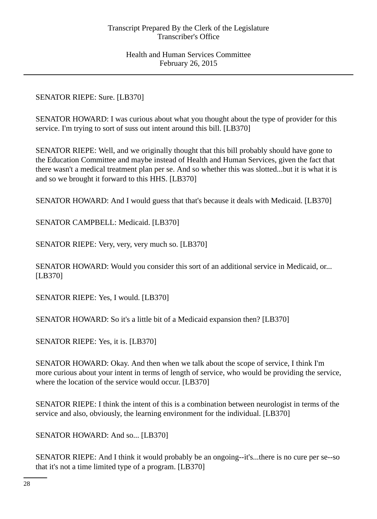SENATOR RIEPE: Sure. [LB370]

SENATOR HOWARD: I was curious about what you thought about the type of provider for this service. I'm trying to sort of suss out intent around this bill. [LB370]

SENATOR RIEPE: Well, and we originally thought that this bill probably should have gone to the Education Committee and maybe instead of Health and Human Services, given the fact that there wasn't a medical treatment plan per se. And so whether this was slotted...but it is what it is and so we brought it forward to this HHS. [LB370]

SENATOR HOWARD: And I would guess that that's because it deals with Medicaid. [LB370]

SENATOR CAMPBELL: Medicaid. [LB370]

SENATOR RIEPE: Very, very, very much so. [LB370]

SENATOR HOWARD: Would you consider this sort of an additional service in Medicaid, or... [LB370]

SENATOR RIEPE: Yes, I would. [LB370]

SENATOR HOWARD: So it's a little bit of a Medicaid expansion then? [LB370]

SENATOR RIEPE: Yes, it is. [LB370]

SENATOR HOWARD: Okay. And then when we talk about the scope of service, I think I'm more curious about your intent in terms of length of service, who would be providing the service, where the location of the service would occur. [LB370]

SENATOR RIEPE: I think the intent of this is a combination between neurologist in terms of the service and also, obviously, the learning environment for the individual. [LB370]

SENATOR HOWARD: And so... [LB370]

SENATOR RIEPE: And I think it would probably be an ongoing--it's...there is no cure per se--so that it's not a time limited type of a program. [LB370]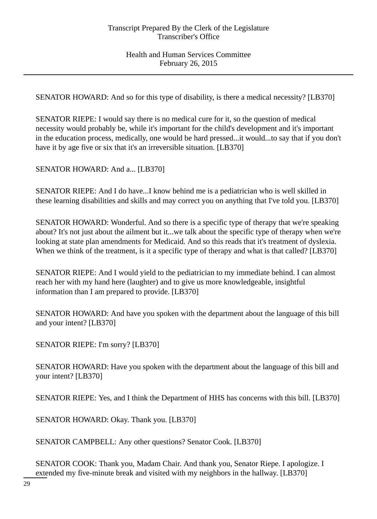SENATOR HOWARD: And so for this type of disability, is there a medical necessity? [LB370]

SENATOR RIEPE: I would say there is no medical cure for it, so the question of medical necessity would probably be, while it's important for the child's development and it's important in the education process, medically, one would be hard pressed...it would...to say that if you don't have it by age five or six that it's an irreversible situation. [LB370]

SENATOR HOWARD: And a... [LB370]

SENATOR RIEPE: And I do have...I know behind me is a pediatrician who is well skilled in these learning disabilities and skills and may correct you on anything that I've told you. [LB370]

SENATOR HOWARD: Wonderful. And so there is a specific type of therapy that we're speaking about? It's not just about the ailment but it...we talk about the specific type of therapy when we're looking at state plan amendments for Medicaid. And so this reads that it's treatment of dyslexia. When we think of the treatment, is it a specific type of therapy and what is that called? [LB370]

SENATOR RIEPE: And I would yield to the pediatrician to my immediate behind. I can almost reach her with my hand here (laughter) and to give us more knowledgeable, insightful information than I am prepared to provide. [LB370]

SENATOR HOWARD: And have you spoken with the department about the language of this bill and your intent? [LB370]

SENATOR RIEPE: I'm sorry? [LB370]

SENATOR HOWARD: Have you spoken with the department about the language of this bill and your intent? [LB370]

SENATOR RIEPE: Yes, and I think the Department of HHS has concerns with this bill. [LB370]

SENATOR HOWARD: Okay. Thank you. [LB370]

SENATOR CAMPBELL: Any other questions? Senator Cook. [LB370]

SENATOR COOK: Thank you, Madam Chair. And thank you, Senator Riepe. I apologize. I extended my five-minute break and visited with my neighbors in the hallway. [LB370]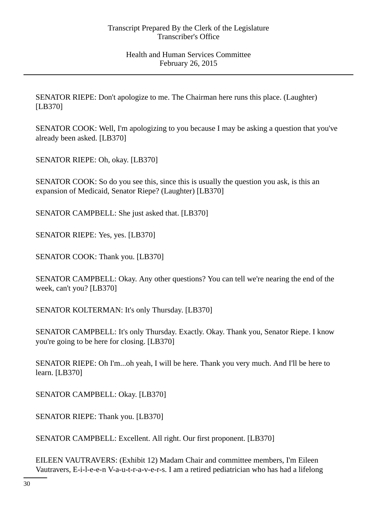SENATOR RIEPE: Don't apologize to me. The Chairman here runs this place. (Laughter) [LB370]

SENATOR COOK: Well, I'm apologizing to you because I may be asking a question that you've already been asked. [LB370]

SENATOR RIEPE: Oh, okay. [LB370]

SENATOR COOK: So do you see this, since this is usually the question you ask, is this an expansion of Medicaid, Senator Riepe? (Laughter) [LB370]

SENATOR CAMPBELL: She just asked that. [LB370]

SENATOR RIEPE: Yes, yes. [LB370]

SENATOR COOK: Thank you. [LB370]

SENATOR CAMPBELL: Okay. Any other questions? You can tell we're nearing the end of the week, can't you? [LB370]

SENATOR KOLTERMAN: It's only Thursday. [LB370]

SENATOR CAMPBELL: It's only Thursday. Exactly. Okay. Thank you, Senator Riepe. I know you're going to be here for closing. [LB370]

SENATOR RIEPE: Oh I'm...oh yeah, I will be here. Thank you very much. And I'll be here to learn. [LB370]

SENATOR CAMPBELL: Okay. [LB370]

SENATOR RIEPE: Thank you. [LB370]

SENATOR CAMPBELL: Excellent. All right. Our first proponent. [LB370]

EILEEN VAUTRAVERS: (Exhibit 12) Madam Chair and committee members, I'm Eileen Vautravers, E-i-l-e-e-n V-a-u-t-r-a-v-e-r-s. I am a retired pediatrician who has had a lifelong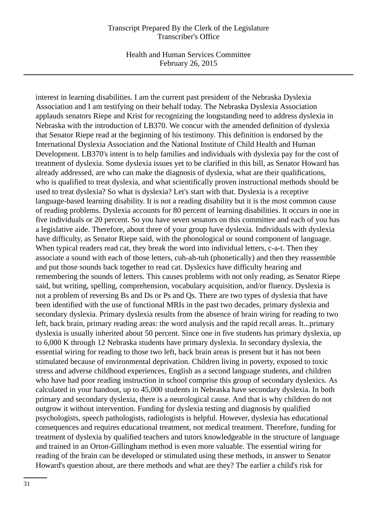Health and Human Services Committee February 26, 2015

interest in learning disabilities. I am the current past president of the Nebraska Dyslexia Association and I am testifying on their behalf today. The Nebraska Dyslexia Association applauds senators Riepe and Krist for recognizing the longstanding need to address dyslexia in Nebraska with the introduction of LB370. We concur with the amended definition of dyslexia that Senator Riepe read at the beginning of his testimony. This definition is endorsed by the International Dyslexia Association and the National Institute of Child Health and Human Development. LB370's intent is to help families and individuals with dyslexia pay for the cost of treatment of dyslexia. Some dyslexia issues yet to be clarified in this bill, as Senator Howard has already addressed, are who can make the diagnosis of dyslexia, what are their qualifications, who is qualified to treat dyslexia, and what scientifically proven instructional methods should be used to treat dyslexia? So what is dyslexia? Let's start with that. Dyslexia is a receptive language-based learning disability. It is not a reading disability but it is the most common cause of reading problems. Dyslexia accounts for 80 percent of learning disabilities. It occurs in one in five individuals or 20 percent. So you have seven senators on this committee and each of you has a legislative aide. Therefore, about three of your group have dyslexia. Individuals with dyslexia have difficulty, as Senator Riepe said, with the phonological or sound component of language. When typical readers read cat, they break the word into individual letters, c-a-t. Then they associate a sound with each of those letters, cuh-ah-tuh (phonetically) and then they reassemble and put those sounds back together to read cat. Dyslexics have difficulty hearing and remembering the sounds of letters. This causes problems with not only reading, as Senator Riepe said, but writing, spelling, comprehension, vocabulary acquisition, and/or fluency. Dyslexia is not a problem of reversing Bs and Ds or Ps and Qs. There are two types of dyslexia that have been identified with the use of functional MRIs in the past two decades, primary dyslexia and secondary dyslexia. Primary dyslexia results from the absence of brain wiring for reading to two left, back brain, primary reading areas: the word analysis and the rapid recall areas. It...primary dyslexia is usually inherited about 50 percent. Since one in five students has primary dyslexia, up to 6,000 K through 12 Nebraska students have primary dyslexia. In secondary dyslexia, the essential wiring for reading to those two left, back brain areas is present but it has not been stimulated because of environmental deprivation. Children living in poverty, exposed to toxic stress and adverse childhood experiences, English as a second language students, and children who have had poor reading instruction in school comprise this group of secondary dyslexics. As calculated in your handout, up to 45,000 students in Nebraska have secondary dyslexia. In both primary and secondary dyslexia, there is a neurological cause. And that is why children do not outgrow it without intervention. Funding for dyslexia testing and diagnosis by qualified psychologists, speech pathologists, radiologists is helpful. However, dyslexia has educational consequences and requires educational treatment, not medical treatment. Therefore, funding for treatment of dyslexia by qualified teachers and tutors knowledgeable in the structure of language and trained in an Orton-Gillingham method is even more valuable. The essential wiring for reading of the brain can be developed or stimulated using these methods, in answer to Senator Howard's question about, are there methods and what are they? The earlier a child's risk for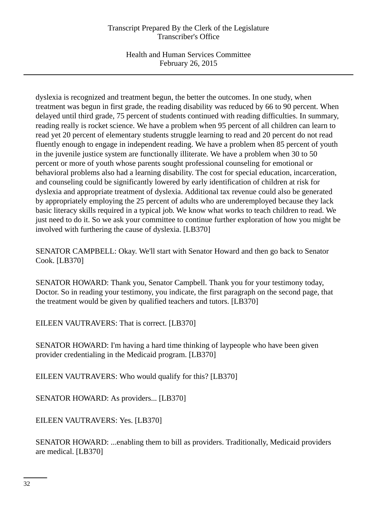Health and Human Services Committee February 26, 2015

dyslexia is recognized and treatment begun, the better the outcomes. In one study, when treatment was begun in first grade, the reading disability was reduced by 66 to 90 percent. When delayed until third grade, 75 percent of students continued with reading difficulties. In summary, reading really is rocket science. We have a problem when 95 percent of all children can learn to read yet 20 percent of elementary students struggle learning to read and 20 percent do not read fluently enough to engage in independent reading. We have a problem when 85 percent of youth in the juvenile justice system are functionally illiterate. We have a problem when 30 to 50 percent or more of youth whose parents sought professional counseling for emotional or behavioral problems also had a learning disability. The cost for special education, incarceration, and counseling could be significantly lowered by early identification of children at risk for dyslexia and appropriate treatment of dyslexia. Additional tax revenue could also be generated by appropriately employing the 25 percent of adults who are underemployed because they lack basic literacy skills required in a typical job. We know what works to teach children to read. We just need to do it. So we ask your committee to continue further exploration of how you might be involved with furthering the cause of dyslexia. [LB370]

SENATOR CAMPBELL: Okay. We'll start with Senator Howard and then go back to Senator Cook. [LB370]

SENATOR HOWARD: Thank you, Senator Campbell. Thank you for your testimony today, Doctor. So in reading your testimony, you indicate, the first paragraph on the second page, that the treatment would be given by qualified teachers and tutors. [LB370]

EILEEN VAUTRAVERS: That is correct. [LB370]

SENATOR HOWARD: I'm having a hard time thinking of laypeople who have been given provider credentialing in the Medicaid program. [LB370]

EILEEN VAUTRAVERS: Who would qualify for this? [LB370]

SENATOR HOWARD: As providers... [LB370]

EILEEN VAUTRAVERS: Yes. [LB370]

SENATOR HOWARD: ...enabling them to bill as providers. Traditionally, Medicaid providers are medical. [LB370]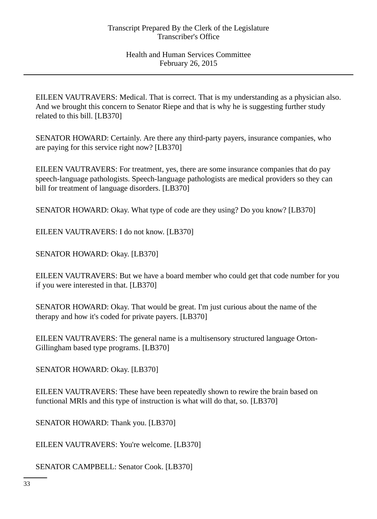EILEEN VAUTRAVERS: Medical. That is correct. That is my understanding as a physician also. And we brought this concern to Senator Riepe and that is why he is suggesting further study related to this bill. [LB370]

SENATOR HOWARD: Certainly. Are there any third-party payers, insurance companies, who are paying for this service right now? [LB370]

EILEEN VAUTRAVERS: For treatment, yes, there are some insurance companies that do pay speech-language pathologists. Speech-language pathologists are medical providers so they can bill for treatment of language disorders. [LB370]

SENATOR HOWARD: Okay. What type of code are they using? Do you know? [LB370]

EILEEN VAUTRAVERS: I do not know. [LB370]

SENATOR HOWARD: Okay. [LB370]

EILEEN VAUTRAVERS: But we have a board member who could get that code number for you if you were interested in that. [LB370]

SENATOR HOWARD: Okay. That would be great. I'm just curious about the name of the therapy and how it's coded for private payers. [LB370]

EILEEN VAUTRAVERS: The general name is a multisensory structured language Orton-Gillingham based type programs. [LB370]

SENATOR HOWARD: Okay. [LB370]

EILEEN VAUTRAVERS: These have been repeatedly shown to rewire the brain based on functional MRIs and this type of instruction is what will do that, so. [LB370]

SENATOR HOWARD: Thank you. [LB370]

EILEEN VAUTRAVERS: You're welcome. [LB370]

SENATOR CAMPBELL: Senator Cook. [LB370]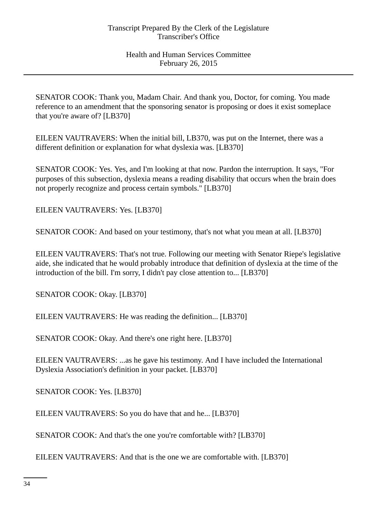SENATOR COOK: Thank you, Madam Chair. And thank you, Doctor, for coming. You made reference to an amendment that the sponsoring senator is proposing or does it exist someplace that you're aware of? [LB370]

EILEEN VAUTRAVERS: When the initial bill, LB370, was put on the Internet, there was a different definition or explanation for what dyslexia was. [LB370]

SENATOR COOK: Yes. Yes, and I'm looking at that now. Pardon the interruption. It says, "For purposes of this subsection, dyslexia means a reading disability that occurs when the brain does not properly recognize and process certain symbols." [LB370]

EILEEN VAUTRAVERS: Yes. [LB370]

SENATOR COOK: And based on your testimony, that's not what you mean at all. [LB370]

EILEEN VAUTRAVERS: That's not true. Following our meeting with Senator Riepe's legislative aide, she indicated that he would probably introduce that definition of dyslexia at the time of the introduction of the bill. I'm sorry, I didn't pay close attention to... [LB370]

SENATOR COOK: Okay. [LB370]

EILEEN VAUTRAVERS: He was reading the definition... [LB370]

SENATOR COOK: Okay. And there's one right here. [LB370]

EILEEN VAUTRAVERS: ...as he gave his testimony. And I have included the International Dyslexia Association's definition in your packet. [LB370]

SENATOR COOK: Yes. [LB370]

EILEEN VAUTRAVERS: So you do have that and he... [LB370]

SENATOR COOK: And that's the one you're comfortable with? [LB370]

EILEEN VAUTRAVERS: And that is the one we are comfortable with. [LB370]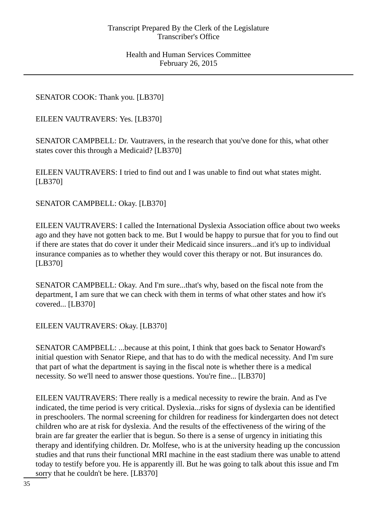SENATOR COOK: Thank you. [LB370]

EILEEN VAUTRAVERS: Yes. [LB370]

SENATOR CAMPBELL: Dr. Vautravers, in the research that you've done for this, what other states cover this through a Medicaid? [LB370]

EILEEN VAUTRAVERS: I tried to find out and I was unable to find out what states might. [LB370]

SENATOR CAMPBELL: Okay. [LB370]

EILEEN VAUTRAVERS: I called the International Dyslexia Association office about two weeks ago and they have not gotten back to me. But I would be happy to pursue that for you to find out if there are states that do cover it under their Medicaid since insurers...and it's up to individual insurance companies as to whether they would cover this therapy or not. But insurances do. [LB370]

SENATOR CAMPBELL: Okay. And I'm sure...that's why, based on the fiscal note from the department, I am sure that we can check with them in terms of what other states and how it's covered... [LB370]

EILEEN VAUTRAVERS: Okay. [LB370]

SENATOR CAMPBELL: ...because at this point, I think that goes back to Senator Howard's initial question with Senator Riepe, and that has to do with the medical necessity. And I'm sure that part of what the department is saying in the fiscal note is whether there is a medical necessity. So we'll need to answer those questions. You're fine... [LB370]

EILEEN VAUTRAVERS: There really is a medical necessity to rewire the brain. And as I've indicated, the time period is very critical. Dyslexia...risks for signs of dyslexia can be identified in preschoolers. The normal screening for children for readiness for kindergarten does not detect children who are at risk for dyslexia. And the results of the effectiveness of the wiring of the brain are far greater the earlier that is begun. So there is a sense of urgency in initiating this therapy and identifying children. Dr. Molfese, who is at the university heading up the concussion studies and that runs their functional MRI machine in the east stadium there was unable to attend today to testify before you. He is apparently ill. But he was going to talk about this issue and I'm sorry that he couldn't be here. [LB370]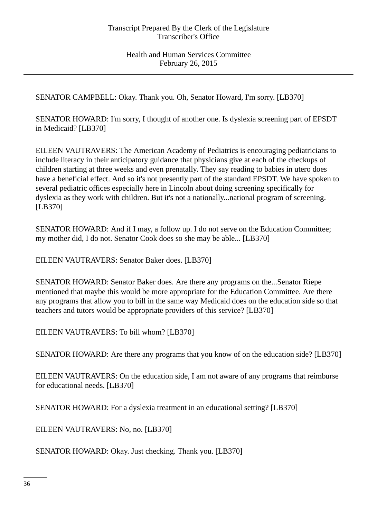SENATOR CAMPBELL: Okay. Thank you. Oh, Senator Howard, I'm sorry. [LB370]

SENATOR HOWARD: I'm sorry, I thought of another one. Is dyslexia screening part of EPSDT in Medicaid? [LB370]

EILEEN VAUTRAVERS: The American Academy of Pediatrics is encouraging pediatricians to include literacy in their anticipatory guidance that physicians give at each of the checkups of children starting at three weeks and even prenatally. They say reading to babies in utero does have a beneficial effect. And so it's not presently part of the standard EPSDT. We have spoken to several pediatric offices especially here in Lincoln about doing screening specifically for dyslexia as they work with children. But it's not a nationally...national program of screening. [LB370]

SENATOR HOWARD: And if I may, a follow up. I do not serve on the Education Committee; my mother did, I do not. Senator Cook does so she may be able... [LB370]

EILEEN VAUTRAVERS: Senator Baker does. [LB370]

SENATOR HOWARD: Senator Baker does. Are there any programs on the...Senator Riepe mentioned that maybe this would be more appropriate for the Education Committee. Are there any programs that allow you to bill in the same way Medicaid does on the education side so that teachers and tutors would be appropriate providers of this service? [LB370]

EILEEN VAUTRAVERS: To bill whom? [LB370]

SENATOR HOWARD: Are there any programs that you know of on the education side? [LB370]

EILEEN VAUTRAVERS: On the education side, I am not aware of any programs that reimburse for educational needs. [LB370]

SENATOR HOWARD: For a dyslexia treatment in an educational setting? [LB370]

EILEEN VAUTRAVERS: No, no. [LB370]

SENATOR HOWARD: Okay. Just checking. Thank you. [LB370]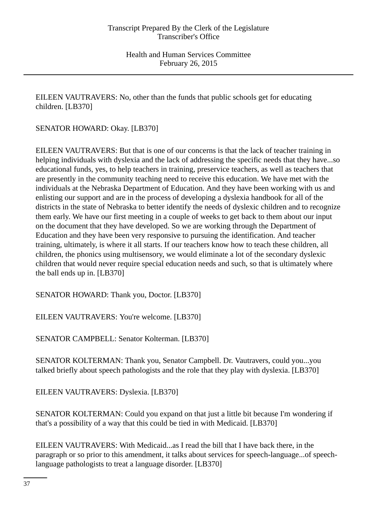EILEEN VAUTRAVERS: No, other than the funds that public schools get for educating children. [LB370]

SENATOR HOWARD: Okay. [LB370]

EILEEN VAUTRAVERS: But that is one of our concerns is that the lack of teacher training in helping individuals with dyslexia and the lack of addressing the specific needs that they have...so educational funds, yes, to help teachers in training, preservice teachers, as well as teachers that are presently in the community teaching need to receive this education. We have met with the individuals at the Nebraska Department of Education. And they have been working with us and enlisting our support and are in the process of developing a dyslexia handbook for all of the districts in the state of Nebraska to better identify the needs of dyslexic children and to recognize them early. We have our first meeting in a couple of weeks to get back to them about our input on the document that they have developed. So we are working through the Department of Education and they have been very responsive to pursuing the identification. And teacher training, ultimately, is where it all starts. If our teachers know how to teach these children, all children, the phonics using multisensory, we would eliminate a lot of the secondary dyslexic children that would never require special education needs and such, so that is ultimately where the ball ends up in. [LB370]

SENATOR HOWARD: Thank you, Doctor. [LB370]

EILEEN VAUTRAVERS: You're welcome. [LB370]

SENATOR CAMPBELL: Senator Kolterman. [LB370]

SENATOR KOLTERMAN: Thank you, Senator Campbell. Dr. Vautravers, could you...you talked briefly about speech pathologists and the role that they play with dyslexia. [LB370]

EILEEN VAUTRAVERS: Dyslexia. [LB370]

SENATOR KOLTERMAN: Could you expand on that just a little bit because I'm wondering if that's a possibility of a way that this could be tied in with Medicaid. [LB370]

EILEEN VAUTRAVERS: With Medicaid...as I read the bill that I have back there, in the paragraph or so prior to this amendment, it talks about services for speech-language...of speechlanguage pathologists to treat a language disorder. [LB370]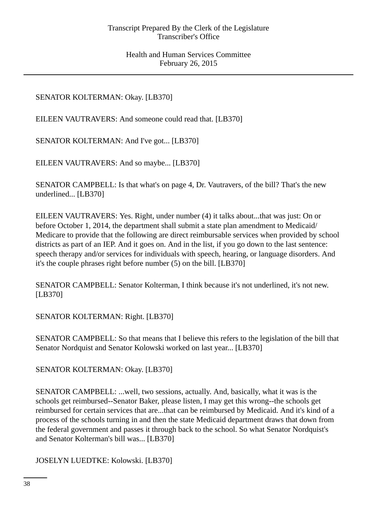# SENATOR KOLTERMAN: Okay. [LB370]

EILEEN VAUTRAVERS: And someone could read that. [LB370]

SENATOR KOLTERMAN: And I've got... [LB370]

EILEEN VAUTRAVERS: And so maybe... [LB370]

SENATOR CAMPBELL: Is that what's on page 4, Dr. Vautravers, of the bill? That's the new underlined... [LB370]

EILEEN VAUTRAVERS: Yes. Right, under number (4) it talks about...that was just: On or before October 1, 2014, the department shall submit a state plan amendment to Medicaid/ Medicare to provide that the following are direct reimbursable services when provided by school districts as part of an IEP. And it goes on. And in the list, if you go down to the last sentence: speech therapy and/or services for individuals with speech, hearing, or language disorders. And it's the couple phrases right before number (5) on the bill. [LB370]

SENATOR CAMPBELL: Senator Kolterman, I think because it's not underlined, it's not new. [LB370]

SENATOR KOLTERMAN: Right. [LB370]

SENATOR CAMPBELL: So that means that I believe this refers to the legislation of the bill that Senator Nordquist and Senator Kolowski worked on last year... [LB370]

SENATOR KOLTERMAN: Okay. [LB370]

SENATOR CAMPBELL: ...well, two sessions, actually. And, basically, what it was is the schools get reimbursed--Senator Baker, please listen, I may get this wrong--the schools get reimbursed for certain services that are...that can be reimbursed by Medicaid. And it's kind of a process of the schools turning in and then the state Medicaid department draws that down from the federal government and passes it through back to the school. So what Senator Nordquist's and Senator Kolterman's bill was... [LB370]

JOSELYN LUEDTKE: Kolowski. [LB370]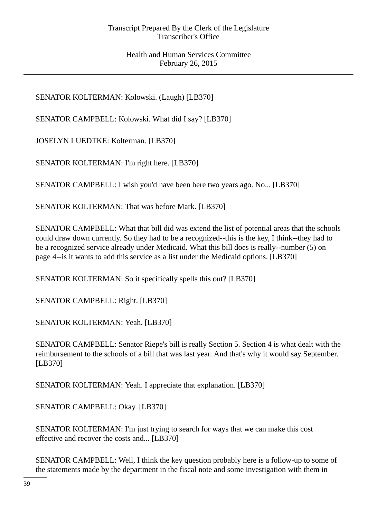SENATOR KOLTERMAN: Kolowski. (Laugh) [LB370]

SENATOR CAMPBELL: Kolowski. What did I say? [LB370]

JOSELYN LUEDTKE: Kolterman. [LB370]

SENATOR KOLTERMAN: I'm right here. [LB370]

SENATOR CAMPBELL: I wish you'd have been here two years ago. No... [LB370]

SENATOR KOLTERMAN: That was before Mark. [LB370]

SENATOR CAMPBELL: What that bill did was extend the list of potential areas that the schools could draw down currently. So they had to be a recognized--this is the key, I think--they had to be a recognized service already under Medicaid. What this bill does is really--number (5) on page 4--is it wants to add this service as a list under the Medicaid options. [LB370]

SENATOR KOLTERMAN: So it specifically spells this out? [LB370]

SENATOR CAMPBELL: Right. [LB370]

SENATOR KOLTERMAN: Yeah. [LB370]

SENATOR CAMPBELL: Senator Riepe's bill is really Section 5. Section 4 is what dealt with the reimbursement to the schools of a bill that was last year. And that's why it would say September. [LB370]

SENATOR KOLTERMAN: Yeah. I appreciate that explanation. [LB370]

SENATOR CAMPBELL: Okay. [LB370]

SENATOR KOLTERMAN: I'm just trying to search for ways that we can make this cost effective and recover the costs and... [LB370]

SENATOR CAMPBELL: Well, I think the key question probably here is a follow-up to some of the statements made by the department in the fiscal note and some investigation with them in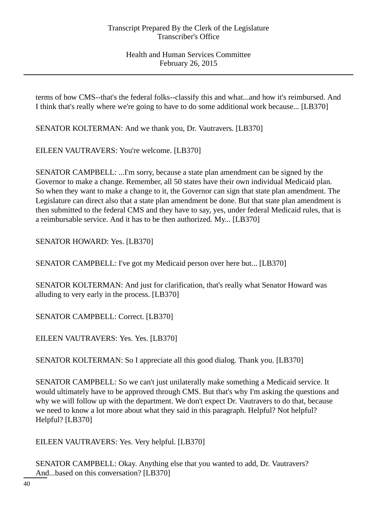terms of how CMS--that's the federal folks--classify this and what...and how it's reimbursed. And I think that's really where we're going to have to do some additional work because... [LB370]

SENATOR KOLTERMAN: And we thank you, Dr. Vautravers. [LB370]

EILEEN VAUTRAVERS: You're welcome. [LB370]

SENATOR CAMPBELL: ...I'm sorry, because a state plan amendment can be signed by the Governor to make a change. Remember, all 50 states have their own individual Medicaid plan. So when they want to make a change to it, the Governor can sign that state plan amendment. The Legislature can direct also that a state plan amendment be done. But that state plan amendment is then submitted to the federal CMS and they have to say, yes, under federal Medicaid rules, that is a reimbursable service. And it has to be then authorized. My... [LB370]

SENATOR HOWARD: Yes. [LB370]

SENATOR CAMPBELL: I've got my Medicaid person over here but... [LB370]

SENATOR KOLTERMAN: And just for clarification, that's really what Senator Howard was alluding to very early in the process. [LB370]

SENATOR CAMPBELL: Correct. [LB370]

EILEEN VAUTRAVERS: Yes. Yes. [LB370]

SENATOR KOLTERMAN: So I appreciate all this good dialog. Thank you. [LB370]

SENATOR CAMPBELL: So we can't just unilaterally make something a Medicaid service. It would ultimately have to be approved through CMS. But that's why I'm asking the questions and why we will follow up with the department. We don't expect Dr. Vautravers to do that, because we need to know a lot more about what they said in this paragraph. Helpful? Not helpful? Helpful? [LB370]

EILEEN VAUTRAVERS: Yes. Very helpful. [LB370]

SENATOR CAMPBELL: Okay. Anything else that you wanted to add, Dr. Vautravers? And...based on this conversation? [LB370]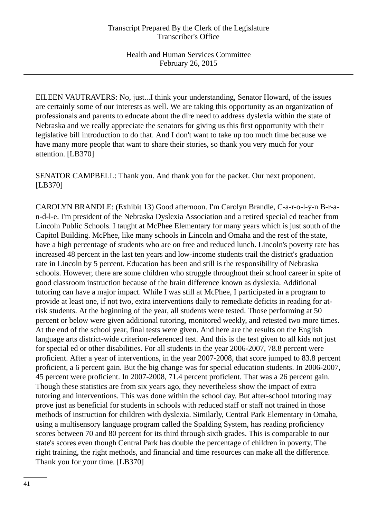EILEEN VAUTRAVERS: No, just...I think your understanding, Senator Howard, of the issues are certainly some of our interests as well. We are taking this opportunity as an organization of professionals and parents to educate about the dire need to address dyslexia within the state of Nebraska and we really appreciate the senators for giving us this first opportunity with their legislative bill introduction to do that. And I don't want to take up too much time because we have many more people that want to share their stories, so thank you very much for your attention. [LB370]

SENATOR CAMPBELL: Thank you. And thank you for the packet. Our next proponent. [LB370]

CAROLYN BRANDLE: (Exhibit 13) Good afternoon. I'm Carolyn Brandle, C-a-r-o-l-y-n B-r-an-d-l-e. I'm president of the Nebraska Dyslexia Association and a retired special ed teacher from Lincoln Public Schools. I taught at McPhee Elementary for many years which is just south of the Capitol Building. McPhee, like many schools in Lincoln and Omaha and the rest of the state, have a high percentage of students who are on free and reduced lunch. Lincoln's poverty rate has increased 48 percent in the last ten years and low-income students trail the district's graduation rate in Lincoln by 5 percent. Education has been and still is the responsibility of Nebraska schools. However, there are some children who struggle throughout their school career in spite of good classroom instruction because of the brain difference known as dyslexia. Additional tutoring can have a major impact. While I was still at McPhee, I participated in a program to provide at least one, if not two, extra interventions daily to remediate deficits in reading for atrisk students. At the beginning of the year, all students were tested. Those performing at 50 percent or below were given additional tutoring, monitored weekly, and retested two more times. At the end of the school year, final tests were given. And here are the results on the English language arts district-wide criterion-referenced test. And this is the test given to all kids not just for special ed or other disabilities. For all students in the year 2006-2007, 78.8 percent were proficient. After a year of interventions, in the year 2007-2008, that score jumped to 83.8 percent proficient, a 6 percent gain. But the big change was for special education students. In 2006-2007, 45 percent were proficient. In 2007-2008, 71.4 percent proficient. That was a 26 percent gain. Though these statistics are from six years ago, they nevertheless show the impact of extra tutoring and interventions. This was done within the school day. But after-school tutoring may prove just as beneficial for students in schools with reduced staff or staff not trained in those methods of instruction for children with dyslexia. Similarly, Central Park Elementary in Omaha, using a multisensory language program called the Spalding System, has reading proficiency scores between 70 and 80 percent for its third through sixth grades. This is comparable to our state's scores even though Central Park has double the percentage of children in poverty. The right training, the right methods, and financial and time resources can make all the difference. Thank you for your time. [LB370]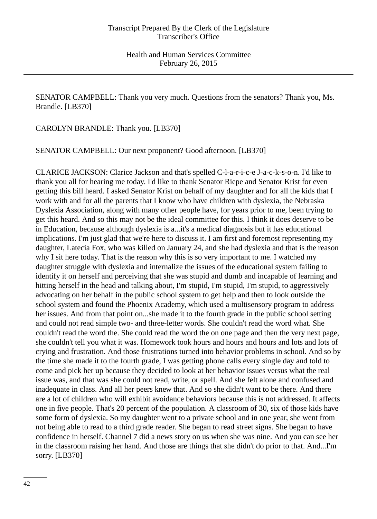SENATOR CAMPBELL: Thank you very much. Questions from the senators? Thank you, Ms. Brandle. [LB370]

CAROLYN BRANDLE: Thank you. [LB370]

SENATOR CAMPBELL: Our next proponent? Good afternoon. [LB370]

CLARICE JACKSON: Clarice Jackson and that's spelled C-l-a-r-i-c-e J-a-c-k-s-o-n. I'd like to thank you all for hearing me today. I'd like to thank Senator Riepe and Senator Krist for even getting this bill heard. I asked Senator Krist on behalf of my daughter and for all the kids that I work with and for all the parents that I know who have children with dyslexia, the Nebraska Dyslexia Association, along with many other people have, for years prior to me, been trying to get this heard. And so this may not be the ideal committee for this. I think it does deserve to be in Education, because although dyslexia is a...it's a medical diagnosis but it has educational implications. I'm just glad that we're here to discuss it. I am first and foremost representing my daughter, Latecia Fox, who was killed on January 24, and she had dyslexia and that is the reason why I sit here today. That is the reason why this is so very important to me. I watched my daughter struggle with dyslexia and internalize the issues of the educational system failing to identify it on herself and perceiving that she was stupid and dumb and incapable of learning and hitting herself in the head and talking about, I'm stupid, I'm stupid, I'm stupid, to aggressively advocating on her behalf in the public school system to get help and then to look outside the school system and found the Phoenix Academy, which used a multisensory program to address her issues. And from that point on...she made it to the fourth grade in the public school setting and could not read simple two- and three-letter words. She couldn't read the word what. She couldn't read the word the. She could read the word the on one page and then the very next page, she couldn't tell you what it was. Homework took hours and hours and hours and lots and lots of crying and frustration. And those frustrations turned into behavior problems in school. And so by the time she made it to the fourth grade, I was getting phone calls every single day and told to come and pick her up because they decided to look at her behavior issues versus what the real issue was, and that was she could not read, write, or spell. And she felt alone and confused and inadequate in class. And all her peers knew that. And so she didn't want to be there. And there are a lot of children who will exhibit avoidance behaviors because this is not addressed. It affects one in five people. That's 20 percent of the population. A classroom of 30, six of those kids have some form of dyslexia. So my daughter went to a private school and in one year, she went from not being able to read to a third grade reader. She began to read street signs. She began to have confidence in herself. Channel 7 did a news story on us when she was nine. And you can see her in the classroom raising her hand. And those are things that she didn't do prior to that. And...I'm sorry. [LB370]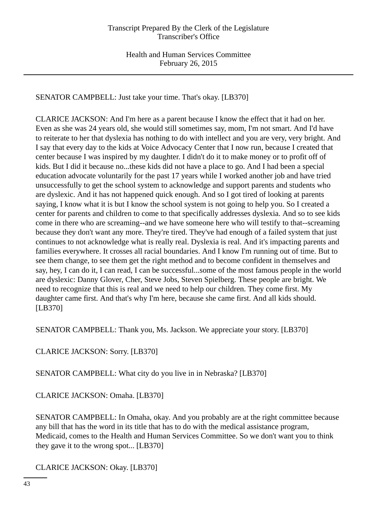SENATOR CAMPBELL: Just take your time. That's okay. [LB370]

CLARICE JACKSON: And I'm here as a parent because I know the effect that it had on her. Even as she was 24 years old, she would still sometimes say, mom, I'm not smart. And I'd have to reiterate to her that dyslexia has nothing to do with intellect and you are very, very bright. And I say that every day to the kids at Voice Advocacy Center that I now run, because I created that center because I was inspired by my daughter. I didn't do it to make money or to profit off of kids. But I did it because no...these kids did not have a place to go. And I had been a special education advocate voluntarily for the past 17 years while I worked another job and have tried unsuccessfully to get the school system to acknowledge and support parents and students who are dyslexic. And it has not happened quick enough. And so I got tired of looking at parents saying, I know what it is but I know the school system is not going to help you. So I created a center for parents and children to come to that specifically addresses dyslexia. And so to see kids come in there who are screaming--and we have someone here who will testify to that--screaming because they don't want any more. They're tired. They've had enough of a failed system that just continues to not acknowledge what is really real. Dyslexia is real. And it's impacting parents and families everywhere. It crosses all racial boundaries. And I know I'm running out of time. But to see them change, to see them get the right method and to become confident in themselves and say, hey, I can do it, I can read, I can be successful...some of the most famous people in the world are dyslexic: Danny Glover, Cher, Steve Jobs, Steven Spielberg. These people are bright. We need to recognize that this is real and we need to help our children. They come first. My daughter came first. And that's why I'm here, because she came first. And all kids should. [LB370]

SENATOR CAMPBELL: Thank you, Ms. Jackson. We appreciate your story. [LB370]

CLARICE JACKSON: Sorry. [LB370]

SENATOR CAMPBELL: What city do you live in in Nebraska? [LB370]

CLARICE JACKSON: Omaha. [LB370]

SENATOR CAMPBELL: In Omaha, okay. And you probably are at the right committee because any bill that has the word in its title that has to do with the medical assistance program, Medicaid, comes to the Health and Human Services Committee. So we don't want you to think they gave it to the wrong spot... [LB370]

CLARICE JACKSON: Okay. [LB370]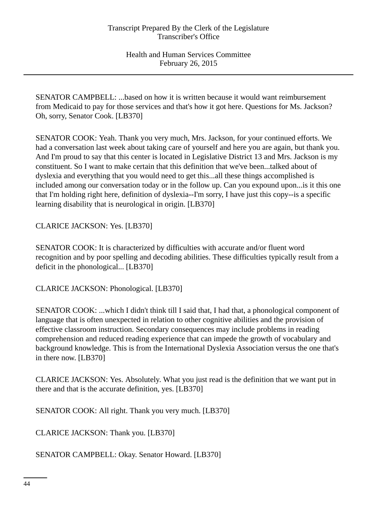SENATOR CAMPBELL: ...based on how it is written because it would want reimbursement from Medicaid to pay for those services and that's how it got here. Questions for Ms. Jackson? Oh, sorry, Senator Cook. [LB370]

SENATOR COOK: Yeah. Thank you very much, Mrs. Jackson, for your continued efforts. We had a conversation last week about taking care of yourself and here you are again, but thank you. And I'm proud to say that this center is located in Legislative District 13 and Mrs. Jackson is my constituent. So I want to make certain that this definition that we've been...talked about of dyslexia and everything that you would need to get this...all these things accomplished is included among our conversation today or in the follow up. Can you expound upon...is it this one that I'm holding right here, definition of dyslexia--I'm sorry, I have just this copy--is a specific learning disability that is neurological in origin. [LB370]

CLARICE JACKSON: Yes. [LB370]

SENATOR COOK: It is characterized by difficulties with accurate and/or fluent word recognition and by poor spelling and decoding abilities. These difficulties typically result from a deficit in the phonological... [LB370]

CLARICE JACKSON: Phonological. [LB370]

SENATOR COOK: ...which I didn't think till I said that, I had that, a phonological component of language that is often unexpected in relation to other cognitive abilities and the provision of effective classroom instruction. Secondary consequences may include problems in reading comprehension and reduced reading experience that can impede the growth of vocabulary and background knowledge. This is from the International Dyslexia Association versus the one that's in there now. [LB370]

CLARICE JACKSON: Yes. Absolutely. What you just read is the definition that we want put in there and that is the accurate definition, yes. [LB370]

SENATOR COOK: All right. Thank you very much. [LB370]

CLARICE JACKSON: Thank you. [LB370]

SENATOR CAMPBELL: Okay. Senator Howard. [LB370]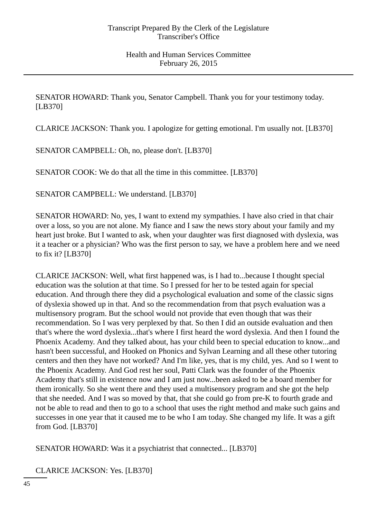SENATOR HOWARD: Thank you, Senator Campbell. Thank you for your testimony today. [LB370]

CLARICE JACKSON: Thank you. I apologize for getting emotional. I'm usually not. [LB370]

SENATOR CAMPBELL: Oh, no, please don't. [LB370]

SENATOR COOK: We do that all the time in this committee. [LB370]

SENATOR CAMPBELL: We understand. [LB370]

SENATOR HOWARD: No, yes, I want to extend my sympathies. I have also cried in that chair over a loss, so you are not alone. My fiance and I saw the news story about your family and my heart just broke. But I wanted to ask, when your daughter was first diagnosed with dyslexia, was it a teacher or a physician? Who was the first person to say, we have a problem here and we need to fix it? [LB370]

CLARICE JACKSON: Well, what first happened was, is I had to...because I thought special education was the solution at that time. So I pressed for her to be tested again for special education. And through there they did a psychological evaluation and some of the classic signs of dyslexia showed up in that. And so the recommendation from that psych evaluation was a multisensory program. But the school would not provide that even though that was their recommendation. So I was very perplexed by that. So then I did an outside evaluation and then that's where the word dyslexia...that's where I first heard the word dyslexia. And then I found the Phoenix Academy. And they talked about, has your child been to special education to know...and hasn't been successful, and Hooked on Phonics and Sylvan Learning and all these other tutoring centers and then they have not worked? And I'm like, yes, that is my child, yes. And so I went to the Phoenix Academy. And God rest her soul, Patti Clark was the founder of the Phoenix Academy that's still in existence now and I am just now...been asked to be a board member for them ironically. So she went there and they used a multisensory program and she got the help that she needed. And I was so moved by that, that she could go from pre-K to fourth grade and not be able to read and then to go to a school that uses the right method and make such gains and successes in one year that it caused me to be who I am today. She changed my life. It was a gift from God. [LB370]

SENATOR HOWARD: Was it a psychiatrist that connected... [LB370]

CLARICE JACKSON: Yes. [LB370]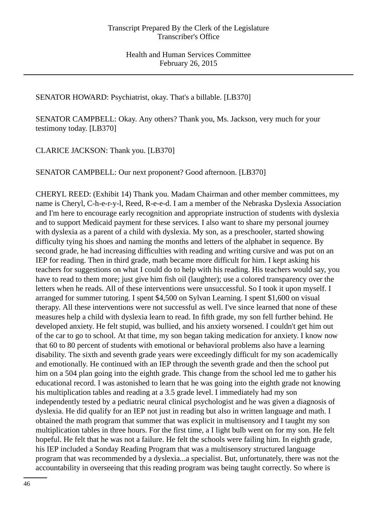SENATOR HOWARD: Psychiatrist, okay. That's a billable. [LB370]

SENATOR CAMPBELL: Okay. Any others? Thank you, Ms. Jackson, very much for your testimony today. [LB370]

CLARICE JACKSON: Thank you. [LB370]

SENATOR CAMPBELL: Our next proponent? Good afternoon. [LB370]

CHERYL REED: (Exhibit 14) Thank you. Madam Chairman and other member committees, my name is Cheryl, C-h-e-r-y-l, Reed, R-e-e-d. I am a member of the Nebraska Dyslexia Association and I'm here to encourage early recognition and appropriate instruction of students with dyslexia and to support Medicaid payment for these services. I also want to share my personal journey with dyslexia as a parent of a child with dyslexia. My son, as a preschooler, started showing difficulty tying his shoes and naming the months and letters of the alphabet in sequence. By second grade, he had increasing difficulties with reading and writing cursive and was put on an IEP for reading. Then in third grade, math became more difficult for him. I kept asking his teachers for suggestions on what I could do to help with his reading. His teachers would say, you have to read to them more; just give him fish oil (laughter); use a colored transparency over the letters when he reads. All of these interventions were unsuccessful. So I took it upon myself. I arranged for summer tutoring. I spent \$4,500 on Sylvan Learning. I spent \$1,600 on visual therapy. All these interventions were not successful as well. I've since learned that none of these measures help a child with dyslexia learn to read. In fifth grade, my son fell further behind. He developed anxiety. He felt stupid, was bullied, and his anxiety worsened. I couldn't get him out of the car to go to school. At that time, my son began taking medication for anxiety. I know now that 60 to 80 percent of students with emotional or behavioral problems also have a learning disability. The sixth and seventh grade years were exceedingly difficult for my son academically and emotionally. He continued with an IEP through the seventh grade and then the school put him on a 504 plan going into the eighth grade. This change from the school led me to gather his educational record. I was astonished to learn that he was going into the eighth grade not knowing his multiplication tables and reading at a 3.5 grade level. I immediately had my son independently tested by a pediatric neural clinical psychologist and he was given a diagnosis of dyslexia. He did qualify for an IEP not just in reading but also in written language and math. I obtained the math program that summer that was explicit in multisensory and I taught my son multiplication tables in three hours. For the first time, a I light bulb went on for my son. He felt hopeful. He felt that he was not a failure. He felt the schools were failing him. In eighth grade, his IEP included a Sonday Reading Program that was a multisensory structured language program that was recommended by a dyslexia...a specialist. But, unfortunately, there was not the accountability in overseeing that this reading program was being taught correctly. So where is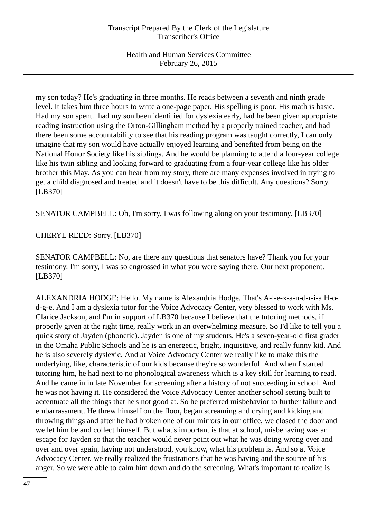my son today? He's graduating in three months. He reads between a seventh and ninth grade level. It takes him three hours to write a one-page paper. His spelling is poor. His math is basic. Had my son spent...had my son been identified for dyslexia early, had he been given appropriate reading instruction using the Orton-Gillingham method by a properly trained teacher, and had there been some accountability to see that his reading program was taught correctly, I can only imagine that my son would have actually enjoyed learning and benefited from being on the National Honor Society like his siblings. And he would be planning to attend a four-year college like his twin sibling and looking forward to graduating from a four-year college like his older brother this May. As you can hear from my story, there are many expenses involved in trying to get a child diagnosed and treated and it doesn't have to be this difficult. Any questions? Sorry. [LB370]

SENATOR CAMPBELL: Oh, I'm sorry, I was following along on your testimony. [LB370]

CHERYL REED: Sorry. [LB370]

SENATOR CAMPBELL: No, are there any questions that senators have? Thank you for your testimony. I'm sorry, I was so engrossed in what you were saying there. Our next proponent. [LB370]

ALEXANDRIA HODGE: Hello. My name is Alexandria Hodge. That's A-l-e-x-a-n-d-r-i-a H-od-g-e. And I am a dyslexia tutor for the Voice Advocacy Center, very blessed to work with Ms. Clarice Jackson, and I'm in support of LB370 because I believe that the tutoring methods, if properly given at the right time, really work in an overwhelming measure. So I'd like to tell you a quick story of Jayden (phonetic). Jayden is one of my students. He's a seven-year-old first grader in the Omaha Public Schools and he is an energetic, bright, inquisitive, and really funny kid. And he is also severely dyslexic. And at Voice Advocacy Center we really like to make this the underlying, like, characteristic of our kids because they're so wonderful. And when I started tutoring him, he had next to no phonological awareness which is a key skill for learning to read. And he came in in late November for screening after a history of not succeeding in school. And he was not having it. He considered the Voice Advocacy Center another school setting built to accentuate all the things that he's not good at. So he preferred misbehavior to further failure and embarrassment. He threw himself on the floor, began screaming and crying and kicking and throwing things and after he had broken one of our mirrors in our office, we closed the door and we let him be and collect himself. But what's important is that at school, misbehaving was an escape for Jayden so that the teacher would never point out what he was doing wrong over and over and over again, having not understood, you know, what his problem is. And so at Voice Advocacy Center, we really realized the frustrations that he was having and the source of his anger. So we were able to calm him down and do the screening. What's important to realize is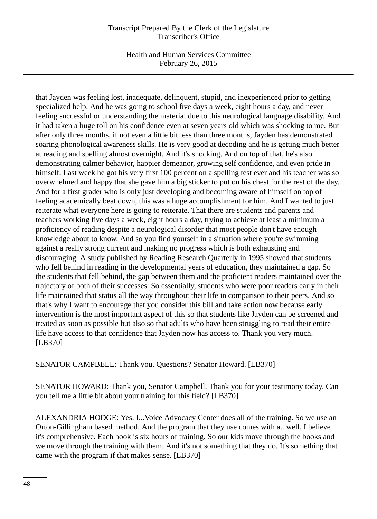Health and Human Services Committee February 26, 2015

that Jayden was feeling lost, inadequate, delinquent, stupid, and inexperienced prior to getting specialized help. And he was going to school five days a week, eight hours a day, and never feeling successful or understanding the material due to this neurological language disability. And it had taken a huge toll on his confidence even at seven years old which was shocking to me. But after only three months, if not even a little bit less than three months, Jayden has demonstrated soaring phonological awareness skills. He is very good at decoding and he is getting much better at reading and spelling almost overnight. And it's shocking. And on top of that, he's also demonstrating calmer behavior, happier demeanor, growing self confidence, and even pride in himself. Last week he got his very first 100 percent on a spelling test ever and his teacher was so overwhelmed and happy that she gave him a big sticker to put on his chest for the rest of the day. And for a first grader who is only just developing and becoming aware of himself on top of feeling academically beat down, this was a huge accomplishment for him. And I wanted to just reiterate what everyone here is going to reiterate. That there are students and parents and teachers working five days a week, eight hours a day, trying to achieve at least a minimum a proficiency of reading despite a neurological disorder that most people don't have enough knowledge about to know. And so you find yourself in a situation where you're swimming against a really strong current and making no progress which is both exhausting and discouraging. A study published by Reading Research Quarterly in 1995 showed that students who fell behind in reading in the developmental years of education, they maintained a gap. So the students that fell behind, the gap between them and the proficient readers maintained over the trajectory of both of their successes. So essentially, students who were poor readers early in their life maintained that status all the way throughout their life in comparison to their peers. And so that's why I want to encourage that you consider this bill and take action now because early intervention is the most important aspect of this so that students like Jayden can be screened and treated as soon as possible but also so that adults who have been struggling to read their entire life have access to that confidence that Jayden now has access to. Thank you very much. [LB370]

SENATOR CAMPBELL: Thank you. Questions? Senator Howard. [LB370]

SENATOR HOWARD: Thank you, Senator Campbell. Thank you for your testimony today. Can you tell me a little bit about your training for this field? [LB370]

ALEXANDRIA HODGE: Yes. I...Voice Advocacy Center does all of the training. So we use an Orton-Gillingham based method. And the program that they use comes with a...well, I believe it's comprehensive. Each book is six hours of training. So our kids move through the books and we move through the training with them. And it's not something that they do. It's something that came with the program if that makes sense. [LB370]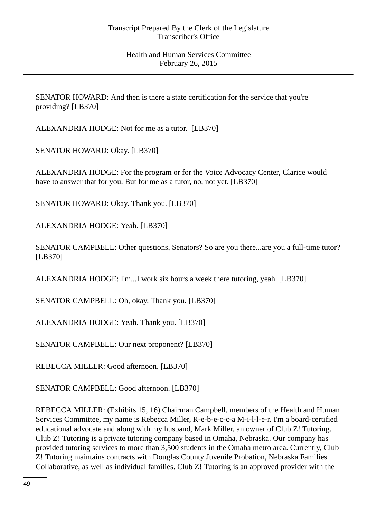SENATOR HOWARD: And then is there a state certification for the service that you're providing? [LB370]

ALEXANDRIA HODGE: Not for me as a tutor. [LB370]

SENATOR HOWARD: Okay. [LB370]

ALEXANDRIA HODGE: For the program or for the Voice Advocacy Center, Clarice would have to answer that for you. But for me as a tutor, no, not yet. [LB370]

SENATOR HOWARD: Okay. Thank you. [LB370]

ALEXANDRIA HODGE: Yeah. [LB370]

SENATOR CAMPBELL: Other questions, Senators? So are you there...are you a full-time tutor? [LB370]

ALEXANDRIA HODGE: I'm...I work six hours a week there tutoring, yeah. [LB370]

SENATOR CAMPBELL: Oh, okay. Thank you. [LB370]

ALEXANDRIA HODGE: Yeah. Thank you. [LB370]

SENATOR CAMPBELL: Our next proponent? [LB370]

REBECCA MILLER: Good afternoon. [LB370]

SENATOR CAMPBELL: Good afternoon. [LB370]

REBECCA MILLER: (Exhibits 15, 16) Chairman Campbell, members of the Health and Human Services Committee, my name is Rebecca Miller, R-e-b-e-c-c-a M-i-l-l-e-r. I'm a board-certified educational advocate and along with my husband, Mark Miller, an owner of Club Z! Tutoring. Club Z! Tutoring is a private tutoring company based in Omaha, Nebraska. Our company has provided tutoring services to more than 3,500 students in the Omaha metro area. Currently, Club Z! Tutoring maintains contracts with Douglas County Juvenile Probation, Nebraska Families Collaborative, as well as individual families. Club Z! Tutoring is an approved provider with the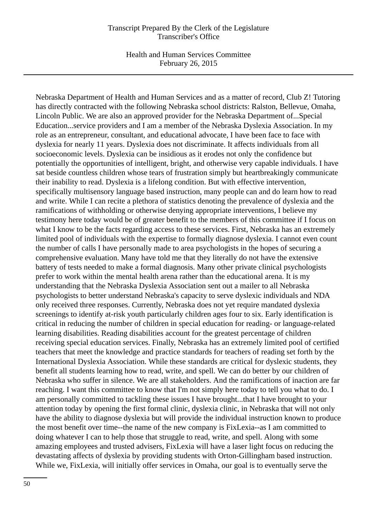Health and Human Services Committee February 26, 2015

Nebraska Department of Health and Human Services and as a matter of record, Club Z! Tutoring has directly contracted with the following Nebraska school districts: Ralston, Bellevue, Omaha, Lincoln Public. We are also an approved provider for the Nebraska Department of...Special Education...service providers and I am a member of the Nebraska Dyslexia Association. In my role as an entrepreneur, consultant, and educational advocate, I have been face to face with dyslexia for nearly 11 years. Dyslexia does not discriminate. It affects individuals from all socioeconomic levels. Dyslexia can be insidious as it erodes not only the confidence but potentially the opportunities of intelligent, bright, and otherwise very capable individuals. I have sat beside countless children whose tears of frustration simply but heartbreakingly communicate their inability to read. Dyslexia is a lifelong condition. But with effective intervention, specifically multisensory language based instruction, many people can and do learn how to read and write. While I can recite a plethora of statistics denoting the prevalence of dyslexia and the ramifications of withholding or otherwise denying appropriate interventions, I believe my testimony here today would be of greater benefit to the members of this committee if I focus on what I know to be the facts regarding access to these services. First, Nebraska has an extremely limited pool of individuals with the expertise to formally diagnose dyslexia. I cannot even count the number of calls I have personally made to area psychologists in the hopes of securing a comprehensive evaluation. Many have told me that they literally do not have the extensive battery of tests needed to make a formal diagnosis. Many other private clinical psychologists prefer to work within the mental health arena rather than the educational arena. It is my understanding that the Nebraska Dyslexia Association sent out a mailer to all Nebraska psychologists to better understand Nebraska's capacity to serve dyslexic individuals and NDA only received three responses. Currently, Nebraska does not yet require mandated dyslexia screenings to identify at-risk youth particularly children ages four to six. Early identification is critical in reducing the number of children in special education for reading- or language-related learning disabilities. Reading disabilities account for the greatest percentage of children receiving special education services. Finally, Nebraska has an extremely limited pool of certified teachers that meet the knowledge and practice standards for teachers of reading set forth by the International Dyslexia Association. While these standards are critical for dyslexic students, they benefit all students learning how to read, write, and spell. We can do better by our children of Nebraska who suffer in silence. We are all stakeholders. And the ramifications of inaction are far reaching. I want this committee to know that I'm not simply here today to tell you what to do. I am personally committed to tackling these issues I have brought...that I have brought to your attention today by opening the first formal clinic, dyslexia clinic, in Nebraska that will not only have the ability to diagnose dyslexia but will provide the individual instruction known to produce the most benefit over time--the name of the new company is FixLexia--as I am committed to doing whatever I can to help those that struggle to read, write, and spell. Along with some amazing employees and trusted advisers, FixLexia will have a laser light focus on reducing the devastating affects of dyslexia by providing students with Orton-Gillingham based instruction. While we, FixLexia, will initially offer services in Omaha, our goal is to eventually serve the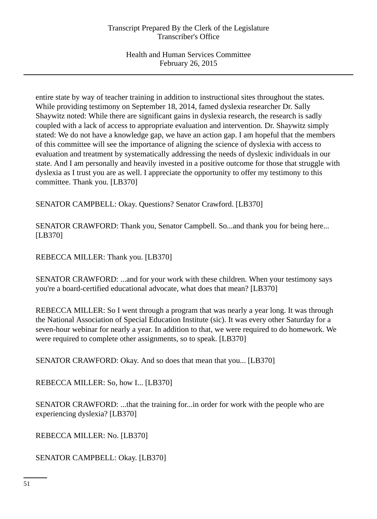entire state by way of teacher training in addition to instructional sites throughout the states. While providing testimony on September 18, 2014, famed dyslexia researcher Dr. Sally Shaywitz noted: While there are significant gains in dyslexia research, the research is sadly coupled with a lack of access to appropriate evaluation and intervention. Dr. Shaywitz simply stated: We do not have a knowledge gap, we have an action gap. I am hopeful that the members of this committee will see the importance of aligning the science of dyslexia with access to evaluation and treatment by systematically addressing the needs of dyslexic individuals in our state. And I am personally and heavily invested in a positive outcome for those that struggle with dyslexia as I trust you are as well. I appreciate the opportunity to offer my testimony to this committee. Thank you. [LB370]

SENATOR CAMPBELL: Okay. Questions? Senator Crawford. [LB370]

SENATOR CRAWFORD: Thank you, Senator Campbell. So...and thank you for being here... [LB370]

REBECCA MILLER: Thank you. [LB370]

SENATOR CRAWFORD: ...and for your work with these children. When your testimony says you're a board-certified educational advocate, what does that mean? [LB370]

REBECCA MILLER: So I went through a program that was nearly a year long. It was through the National Association of Special Education Institute (sic). It was every other Saturday for a seven-hour webinar for nearly a year. In addition to that, we were required to do homework. We were required to complete other assignments, so to speak. [LB370]

SENATOR CRAWFORD: Okay. And so does that mean that you... [LB370]

REBECCA MILLER: So, how I... [LB370]

SENATOR CRAWFORD: ...that the training for...in order for work with the people who are experiencing dyslexia? [LB370]

REBECCA MILLER: No. [LB370]

SENATOR CAMPBELL: Okay. [LB370]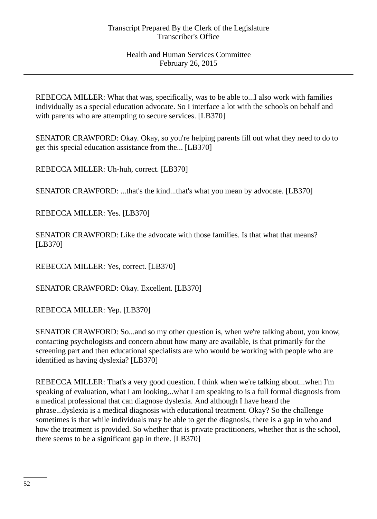REBECCA MILLER: What that was, specifically, was to be able to...I also work with families individually as a special education advocate. So I interface a lot with the schools on behalf and with parents who are attempting to secure services. [LB370]

SENATOR CRAWFORD: Okay. Okay, so you're helping parents fill out what they need to do to get this special education assistance from the... [LB370]

REBECCA MILLER: Uh-huh, correct. [LB370]

SENATOR CRAWFORD: ...that's the kind...that's what you mean by advocate. [LB370]

REBECCA MILLER: Yes. [LB370]

SENATOR CRAWFORD: Like the advocate with those families. Is that what that means? [LB370]

REBECCA MILLER: Yes, correct. [LB370]

SENATOR CRAWFORD: Okay. Excellent. [LB370]

REBECCA MILLER: Yep. [LB370]

SENATOR CRAWFORD: So...and so my other question is, when we're talking about, you know, contacting psychologists and concern about how many are available, is that primarily for the screening part and then educational specialists are who would be working with people who are identified as having dyslexia? [LB370]

REBECCA MILLER: That's a very good question. I think when we're talking about...when I'm speaking of evaluation, what I am looking...what I am speaking to is a full formal diagnosis from a medical professional that can diagnose dyslexia. And although I have heard the phrase...dyslexia is a medical diagnosis with educational treatment. Okay? So the challenge sometimes is that while individuals may be able to get the diagnosis, there is a gap in who and how the treatment is provided. So whether that is private practitioners, whether that is the school, there seems to be a significant gap in there. [LB370]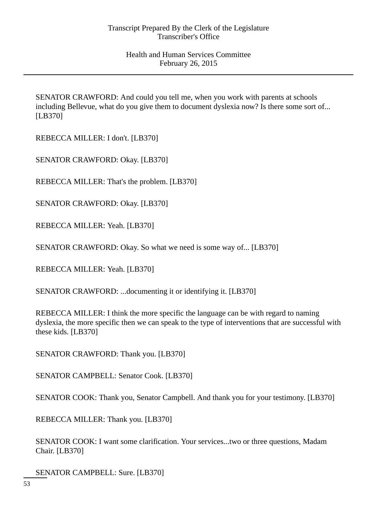SENATOR CRAWFORD: And could you tell me, when you work with parents at schools including Bellevue, what do you give them to document dyslexia now? Is there some sort of... [LB370]

REBECCA MILLER: I don't. [LB370]

SENATOR CRAWFORD: Okay. [LB370]

REBECCA MILLER: That's the problem. [LB370]

SENATOR CRAWFORD: Okay. [LB370]

REBECCA MILLER: Yeah. [LB370]

SENATOR CRAWFORD: Okay. So what we need is some way of... [LB370]

REBECCA MILLER: Yeah. [LB370]

SENATOR CRAWFORD: ...documenting it or identifying it. [LB370]

REBECCA MILLER: I think the more specific the language can be with regard to naming dyslexia, the more specific then we can speak to the type of interventions that are successful with these kids. [LB370]

SENATOR CRAWFORD: Thank you. [LB370]

SENATOR CAMPBELL: Senator Cook. [LB370]

SENATOR COOK: Thank you, Senator Campbell. And thank you for your testimony. [LB370]

REBECCA MILLER: Thank you. [LB370]

SENATOR COOK: I want some clarification. Your services...two or three questions, Madam Chair. [LB370]

SENATOR CAMPBELL: Sure. [LB370]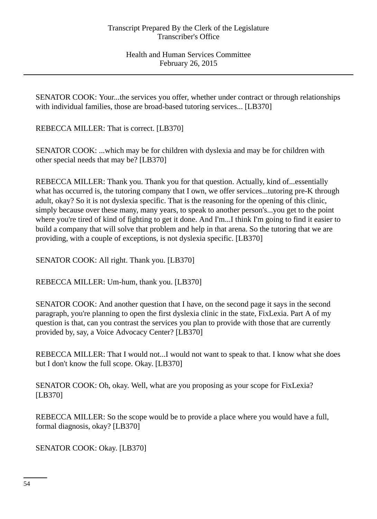SENATOR COOK: Your...the services you offer, whether under contract or through relationships with individual families, those are broad-based tutoring services... [LB370]

REBECCA MILLER: That is correct. [LB370]

SENATOR COOK: ...which may be for children with dyslexia and may be for children with other special needs that may be? [LB370]

REBECCA MILLER: Thank you. Thank you for that question. Actually, kind of...essentially what has occurred is, the tutoring company that I own, we offer services...tutoring pre-K through adult, okay? So it is not dyslexia specific. That is the reasoning for the opening of this clinic, simply because over these many, many years, to speak to another person's...you get to the point where you're tired of kind of fighting to get it done. And I'm...I think I'm going to find it easier to build a company that will solve that problem and help in that arena. So the tutoring that we are providing, with a couple of exceptions, is not dyslexia specific. [LB370]

SENATOR COOK: All right. Thank you. [LB370]

REBECCA MILLER: Um-hum, thank you. [LB370]

SENATOR COOK: And another question that I have, on the second page it says in the second paragraph, you're planning to open the first dyslexia clinic in the state, FixLexia. Part A of my question is that, can you contrast the services you plan to provide with those that are currently provided by, say, a Voice Advocacy Center? [LB370]

REBECCA MILLER: That I would not...I would not want to speak to that. I know what she does but I don't know the full scope. Okay. [LB370]

SENATOR COOK: Oh, okay. Well, what are you proposing as your scope for FixLexia? [LB370]

REBECCA MILLER: So the scope would be to provide a place where you would have a full, formal diagnosis, okay? [LB370]

SENATOR COOK: Okay. [LB370]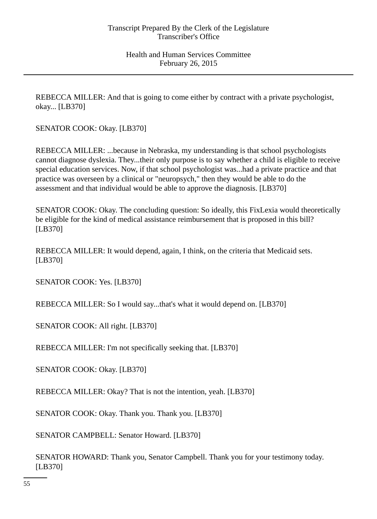REBECCA MILLER: And that is going to come either by contract with a private psychologist, okay... [LB370]

SENATOR COOK: Okay. [LB370]

REBECCA MILLER: ...because in Nebraska, my understanding is that school psychologists cannot diagnose dyslexia. They...their only purpose is to say whether a child is eligible to receive special education services. Now, if that school psychologist was...had a private practice and that practice was overseen by a clinical or "neuropsych," then they would be able to do the assessment and that individual would be able to approve the diagnosis. [LB370]

SENATOR COOK: Okay. The concluding question: So ideally, this FixLexia would theoretically be eligible for the kind of medical assistance reimbursement that is proposed in this bill? [LB370]

REBECCA MILLER: It would depend, again, I think, on the criteria that Medicaid sets. [LB370]

SENATOR COOK: Yes. [LB370]

REBECCA MILLER: So I would say...that's what it would depend on. [LB370]

SENATOR COOK: All right. [LB370]

REBECCA MILLER: I'm not specifically seeking that. [LB370]

SENATOR COOK: Okay. [LB370]

REBECCA MILLER: Okay? That is not the intention, yeah. [LB370]

SENATOR COOK: Okay. Thank you. Thank you. [LB370]

SENATOR CAMPBELL: Senator Howard. [LB370]

SENATOR HOWARD: Thank you, Senator Campbell. Thank you for your testimony today. [LB370]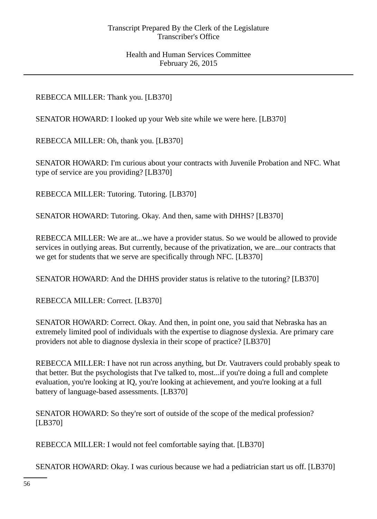# REBECCA MILLER: Thank you. [LB370]

SENATOR HOWARD: I looked up your Web site while we were here. [LB370]

REBECCA MILLER: Oh, thank you. [LB370]

SENATOR HOWARD: I'm curious about your contracts with Juvenile Probation and NFC. What type of service are you providing? [LB370]

REBECCA MILLER: Tutoring. Tutoring. [LB370]

SENATOR HOWARD: Tutoring. Okay. And then, same with DHHS? [LB370]

REBECCA MILLER: We are at...we have a provider status. So we would be allowed to provide services in outlying areas. But currently, because of the privatization, we are...our contracts that we get for students that we serve are specifically through NFC. [LB370]

SENATOR HOWARD: And the DHHS provider status is relative to the tutoring? [LB370]

REBECCA MILLER: Correct. [LB370]

SENATOR HOWARD: Correct. Okay. And then, in point one, you said that Nebraska has an extremely limited pool of individuals with the expertise to diagnose dyslexia. Are primary care providers not able to diagnose dyslexia in their scope of practice? [LB370]

REBECCA MILLER: I have not run across anything, but Dr. Vautravers could probably speak to that better. But the psychologists that I've talked to, most...if you're doing a full and complete evaluation, you're looking at IQ, you're looking at achievement, and you're looking at a full battery of language-based assessments. [LB370]

SENATOR HOWARD: So they're sort of outside of the scope of the medical profession? [LB370]

REBECCA MILLER: I would not feel comfortable saying that. [LB370]

SENATOR HOWARD: Okay. I was curious because we had a pediatrician start us off. [LB370]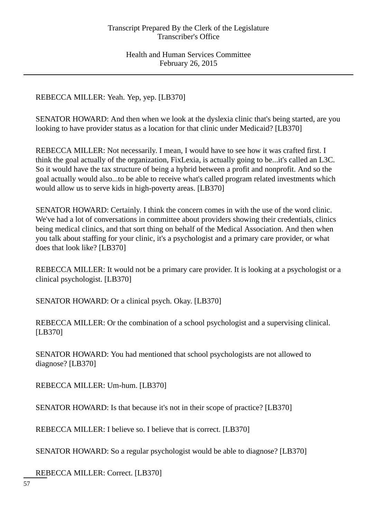REBECCA MILLER: Yeah. Yep, yep. [LB370]

SENATOR HOWARD: And then when we look at the dyslexia clinic that's being started, are you looking to have provider status as a location for that clinic under Medicaid? [LB370]

REBECCA MILLER: Not necessarily. I mean, I would have to see how it was crafted first. I think the goal actually of the organization, FixLexia, is actually going to be...it's called an L3C. So it would have the tax structure of being a hybrid between a profit and nonprofit. And so the goal actually would also...to be able to receive what's called program related investments which would allow us to serve kids in high-poverty areas. [LB370]

SENATOR HOWARD: Certainly. I think the concern comes in with the use of the word clinic. We've had a lot of conversations in committee about providers showing their credentials, clinics being medical clinics, and that sort thing on behalf of the Medical Association. And then when you talk about staffing for your clinic, it's a psychologist and a primary care provider, or what does that look like? [LB370]

REBECCA MILLER: It would not be a primary care provider. It is looking at a psychologist or a clinical psychologist. [LB370]

SENATOR HOWARD: Or a clinical psych. Okay. [LB370]

REBECCA MILLER: Or the combination of a school psychologist and a supervising clinical. [LB370]

SENATOR HOWARD: You had mentioned that school psychologists are not allowed to diagnose? [LB370]

REBECCA MILLER: Um-hum. [LB370]

SENATOR HOWARD: Is that because it's not in their scope of practice? [LB370]

REBECCA MILLER: I believe so. I believe that is correct. [LB370]

SENATOR HOWARD: So a regular psychologist would be able to diagnose? [LB370]

REBECCA MILLER: Correct. [LB370]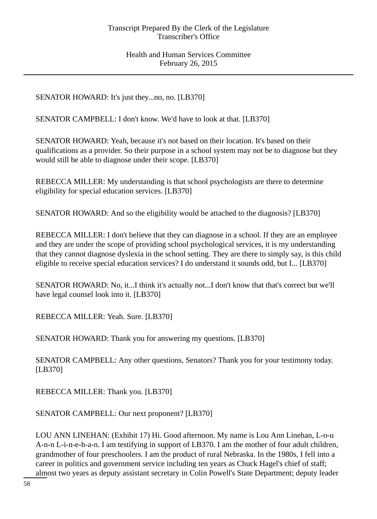SENATOR HOWARD: It's just they...no, no. [LB370]

SENATOR CAMPBELL: I don't know. We'd have to look at that. [LB370]

SENATOR HOWARD: Yeah, because it's not based on their location. It's based on their qualifications as a provider. So their purpose in a school system may not be to diagnose but they would still be able to diagnose under their scope. [LB370]

REBECCA MILLER: My understanding is that school psychologists are there to determine eligibility for special education services. [LB370]

SENATOR HOWARD: And so the eligibility would be attached to the diagnosis? [LB370]

REBECCA MILLER: I don't believe that they can diagnose in a school. If they are an employee and they are under the scope of providing school psychological services, it is my understanding that they cannot diagnose dyslexia in the school setting. They are there to simply say, is this child eligible to receive special education services? I do understand it sounds odd, but I... [LB370]

SENATOR HOWARD: No, it...I think it's actually not...I don't know that that's correct but we'll have legal counsel look into it. [LB370]

REBECCA MILLER: Yeah. Sure. [LB370]

SENATOR HOWARD: Thank you for answering my questions. [LB370]

SENATOR CAMPBELL: Any other questions, Senators? Thank you for your testimony today. [LB370]

REBECCA MILLER: Thank you. [LB370]

SENATOR CAMPBELL: Our next proponent? [LB370]

LOU ANN LINEHAN: (Exhibit 17) Hi. Good afternoon. My name is Lou Ann Linehan, L-o-u A-n-n L-i-n-e-h-a-n. I am testifying in support of LB370. I am the mother of four adult children, grandmother of four preschoolers. I am the product of rural Nebraska. In the 1980s, I fell into a career in politics and government service including ten years as Chuck Hagel's chief of staff; almost two years as deputy assistant secretary in Colin Powell's State Department; deputy leader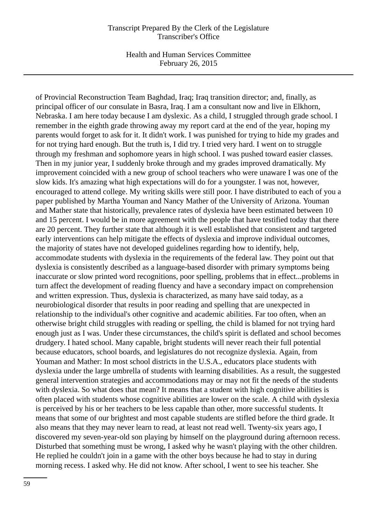Health and Human Services Committee February 26, 2015

of Provincial Reconstruction Team Baghdad, Iraq; Iraq transition director; and, finally, as principal officer of our consulate in Basra, Iraq. I am a consultant now and live in Elkhorn, Nebraska. I am here today because I am dyslexic. As a child, I struggled through grade school. I remember in the eighth grade throwing away my report card at the end of the year, hoping my parents would forget to ask for it. It didn't work. I was punished for trying to hide my grades and for not trying hard enough. But the truth is, I did try. I tried very hard. I went on to struggle through my freshman and sophomore years in high school. I was pushed toward easier classes. Then in my junior year, I suddenly broke through and my grades improved dramatically. My improvement coincided with a new group of school teachers who were unaware I was one of the slow kids. It's amazing what high expectations will do for a youngster. I was not, however, encouraged to attend college. My writing skills were still poor. I have distributed to each of you a paper published by Martha Youman and Nancy Mather of the University of Arizona. Youman and Mather state that historically, prevalence rates of dyslexia have been estimated between 10 and 15 percent. I would be in more agreement with the people that have testified today that there are 20 percent. They further state that although it is well established that consistent and targeted early interventions can help mitigate the effects of dyslexia and improve individual outcomes, the majority of states have not developed guidelines regarding how to identify, help, accommodate students with dyslexia in the requirements of the federal law. They point out that dyslexia is consistently described as a language-based disorder with primary symptoms being inaccurate or slow printed word recognitions, poor spelling, problems that in effect...problems in turn affect the development of reading fluency and have a secondary impact on comprehension and written expression. Thus, dyslexia is characterized, as many have said today, as a neurobiological disorder that results in poor reading and spelling that are unexpected in relationship to the individual's other cognitive and academic abilities. Far too often, when an otherwise bright child struggles with reading or spelling, the child is blamed for not trying hard enough just as I was. Under these circumstances, the child's spirit is deflated and school becomes drudgery. I hated school. Many capable, bright students will never reach their full potential because educators, school boards, and legislatures do not recognize dyslexia. Again, from Youman and Mather: In most school districts in the U.S.A., educators place students with dyslexia under the large umbrella of students with learning disabilities. As a result, the suggested general intervention strategies and accommodations may or may not fit the needs of the students with dyslexia. So what does that mean? It means that a student with high cognitive abilities is often placed with students whose cognitive abilities are lower on the scale. A child with dyslexia is perceived by his or her teachers to be less capable than other, more successful students. It means that some of our brightest and most capable students are stifled before the third grade. It also means that they may never learn to read, at least not read well. Twenty-six years ago, I discovered my seven-year-old son playing by himself on the playground during afternoon recess. Disturbed that something must be wrong, I asked why he wasn't playing with the other children. He replied he couldn't join in a game with the other boys because he had to stay in during morning recess. I asked why. He did not know. After school, I went to see his teacher. She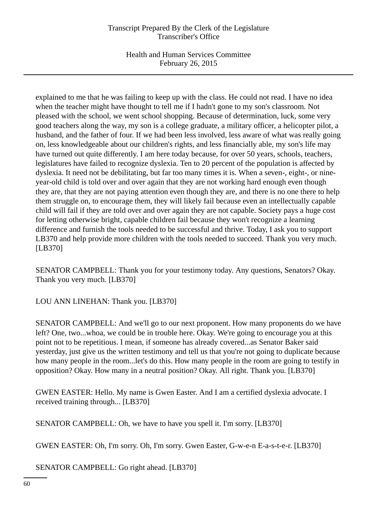Health and Human Services Committee February 26, 2015

explained to me that he was failing to keep up with the class. He could not read. I have no idea when the teacher might have thought to tell me if I hadn't gone to my son's classroom. Not pleased with the school, we went school shopping. Because of determination, luck, some very good teachers along the way, my son is a college graduate, a military officer, a helicopter pilot, a husband, and the father of four. If we had been less involved, less aware of what was really going on, less knowledgeable about our children's rights, and less financially able, my son's life may have turned out quite differently. I am here today because, for over 50 years, schools, teachers, legislatures have failed to recognize dyslexia. Ten to 20 percent of the population is affected by dyslexia. It need not be debilitating, but far too many times it is. When a seven-, eight-, or nineyear-old child is told over and over again that they are not working hard enough even though they are, that they are not paying attention even though they are, and there is no one there to help them struggle on, to encourage them, they will likely fail because even an intellectually capable child will fail if they are told over and over again they are not capable. Society pays a huge cost for letting otherwise bright, capable children fail because they won't recognize a learning difference and furnish the tools needed to be successful and thrive. Today, I ask you to support LB370 and help provide more children with the tools needed to succeed. Thank you very much. [LB370]

SENATOR CAMPBELL: Thank you for your testimony today. Any questions, Senators? Okay. Thank you very much. [LB370]

LOU ANN LINEHAN: Thank you. [LB370]

SENATOR CAMPBELL: And we'll go to our next proponent. How many proponents do we have left? One, two...whoa, we could be in trouble here. Okay. We're going to encourage you at this point not to be repetitious. I mean, if someone has already covered...as Senator Baker said yesterday, just give us the written testimony and tell us that you're not going to duplicate because how many people in the room...let's do this. How many people in the room are going to testify in opposition? Okay. How many in a neutral position? Okay. All right. Thank you. [LB370]

GWEN EASTER: Hello. My name is Gwen Easter. And I am a certified dyslexia advocate. I received training through... [LB370]

SENATOR CAMPBELL: Oh, we have to have you spell it. I'm sorry. [LB370]

GWEN EASTER: Oh, I'm sorry. Oh, I'm sorry. Gwen Easter, G-w-e-n E-a-s-t-e-r. [LB370]

SENATOR CAMPBELL: Go right ahead. [LB370]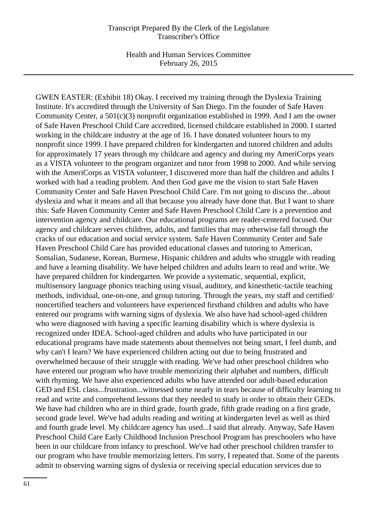Health and Human Services Committee February 26, 2015

GWEN EASTER: (Exhibit 18) Okay. I received my training through the Dyslexia Training Institute. It's accredited through the University of San Diego. I'm the founder of Safe Haven Community Center, a 501(c)(3) nonprofit organization established in 1999. And I am the owner of Safe Haven Preschool Child Care accredited, licensed childcare established in 2000. I started working in the childcare industry at the age of 16. I have donated volunteer hours to my nonprofit since 1999. I have prepared children for kindergarten and tutored children and adults for approximately 17 years through my childcare and agency and during my AmeriCorps years as a VISTA volunteer to the program organizer and tutor from 1998 to 2000. And while serving with the AmeriCorps as VISTA volunteer, I discovered more than half the children and adults I worked with had a reading problem. And then God gave me the vision to start Safe Haven Community Center and Safe Haven Preschool Child Care. I'm not going to discuss the...about dyslexia and what it means and all that because you already have done that. But I want to share this: Safe Haven Community Center and Safe Haven Preschool Child Care is a prevention and intervention agency and childcare. Our educational programs are reader-centered focused. Our agency and childcare serves children, adults, and families that may otherwise fall through the cracks of our education and social service system. Safe Haven Community Center and Safe Haven Preschool Child Care has provided educational classes and tutoring to American, Somalian, Sudanese, Korean, Burmese, Hispanic children and adults who struggle with reading and have a learning disability. We have helped children and adults learn to read and write. We have prepared children for kindergarten. We provide a systematic, sequential, explicit, multisensory language phonics teaching using visual, auditory, and kinesthetic-tactile teaching methods, individual, one-on-one, and group tutoring. Through the years, my staff and certified/ noncertified teachers and volunteers have experienced firsthand children and adults who have entered our programs with warning signs of dyslexia. We also have had school-aged children who were diagnosed with having a specific learning disability which is where dyslexia is recognized under IDEA. School-aged children and adults who have participated in our educational programs have made statements about themselves not being smart, I feel dumb, and why can't I learn? We have experienced children acting out due to being frustrated and overwhelmed because of their struggle with reading. We've had other preschool children who have entered our program who have trouble memorizing their alphabet and numbers, difficult with rhyming. We have also experienced adults who have attended our adult-based education GED and ESL class...frustration...witnessed some nearly in tears because of difficulty learning to read and write and comprehend lessons that they needed to study in order to obtain their GEDs. We have had children who are in third grade, fourth grade, fifth grade reading on a first grade, second grade level. We've had adults reading and writing at kindergarten level as well as third and fourth grade level. My childcare agency has used...I said that already. Anyway, Safe Haven Preschool Child Care Early Childhood Inclusion Preschool Program has preschoolers who have been in our childcare from infancy to preschool. We've had other preschool children transfer to our program who have trouble memorizing letters. I'm sorry, I repeated that. Some of the parents admit to observing warning signs of dyslexia or receiving special education services due to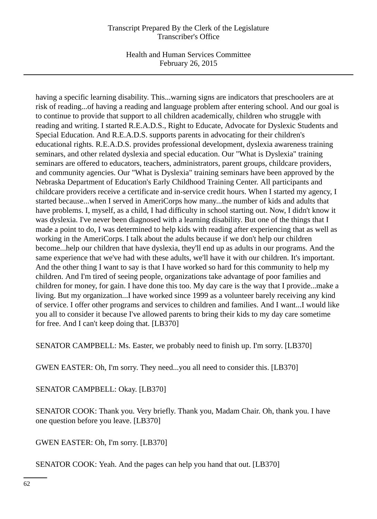Health and Human Services Committee February 26, 2015

having a specific learning disability. This...warning signs are indicators that preschoolers are at risk of reading...of having a reading and language problem after entering school. And our goal is to continue to provide that support to all children academically, children who struggle with reading and writing. I started R.E.A.D.S., Right to Educate, Advocate for Dyslexic Students and Special Education. And R.E.A.D.S. supports parents in advocating for their children's educational rights. R.E.A.D.S. provides professional development, dyslexia awareness training seminars, and other related dyslexia and special education. Our "What is Dyslexia" training seminars are offered to educators, teachers, administrators, parent groups, childcare providers, and community agencies. Our "What is Dyslexia" training seminars have been approved by the Nebraska Department of Education's Early Childhood Training Center. All participants and childcare providers receive a certificate and in-service credit hours. When I started my agency, I started because...when I served in AmeriCorps how many...the number of kids and adults that have problems. I, myself, as a child, I had difficulty in school starting out. Now, I didn't know it was dyslexia. I've never been diagnosed with a learning disability. But one of the things that I made a point to do, I was determined to help kids with reading after experiencing that as well as working in the AmeriCorps. I talk about the adults because if we don't help our children become...help our children that have dyslexia, they'll end up as adults in our programs. And the same experience that we've had with these adults, we'll have it with our children. It's important. And the other thing I want to say is that I have worked so hard for this community to help my children. And I'm tired of seeing people, organizations take advantage of poor families and children for money, for gain. I have done this too. My day care is the way that I provide...make a living. But my organization...I have worked since 1999 as a volunteer barely receiving any kind of service. I offer other programs and services to children and families. And I want...I would like you all to consider it because I've allowed parents to bring their kids to my day care sometime for free. And I can't keep doing that. [LB370]

SENATOR CAMPBELL: Ms. Easter, we probably need to finish up. I'm sorry. [LB370]

GWEN EASTER: Oh, I'm sorry. They need...you all need to consider this. [LB370]

SENATOR CAMPBELL: Okay. [LB370]

SENATOR COOK: Thank you. Very briefly. Thank you, Madam Chair. Oh, thank you. I have one question before you leave. [LB370]

GWEN EASTER: Oh, I'm sorry. [LB370]

SENATOR COOK: Yeah. And the pages can help you hand that out. [LB370]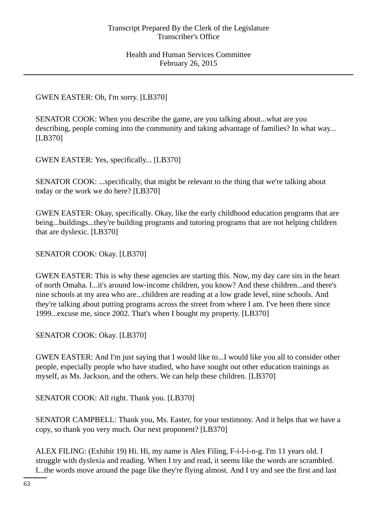## GWEN EASTER: Oh, I'm sorry. [LB370]

SENATOR COOK: When you describe the game, are you talking about...what are you describing, people coming into the community and taking advantage of families? In what way... [LB370]

GWEN EASTER: Yes, specifically... [LB370]

SENATOR COOK: ...specifically, that might be relevant to the thing that we're talking about today or the work we do here? [LB370]

GWEN EASTER: Okay, specifically. Okay, like the early childhood education programs that are being...buildings...they're building programs and tutoring programs that are not helping children that are dyslexic. [LB370]

SENATOR COOK: Okay. [LB370]

GWEN EASTER: This is why these agencies are starting this. Now, my day care sits in the heart of north Omaha. I...it's around low-income children, you know? And these children...and there's nine schools at my area who are...children are reading at a low grade level, nine schools. And they're talking about putting programs across the street from where I am. I've been there since 1999...excuse me, since 2002. That's when I bought my property. [LB370]

SENATOR COOK: Okay. [LB370]

GWEN EASTER: And I'm just saying that I would like to...I would like you all to consider other people, especially people who have studied, who have sought out other education trainings as myself, as Ms. Jackson, and the others. We can help these children. [LB370]

SENATOR COOK: All right. Thank you. [LB370]

SENATOR CAMPBELL: Thank you, Ms. Easter, for your testimony. And it helps that we have a copy, so thank you very much. Our next proponent? [LB370]

ALEX FILING: (Exhibit 19) Hi. Hi, my name is Alex Filing, F-i-l-i-n-g. I'm 11 years old. I struggle with dyslexia and reading. When I try and read, it seems like the words are scrambled. I...the words move around the page like they're flying almost. And I try and see the first and last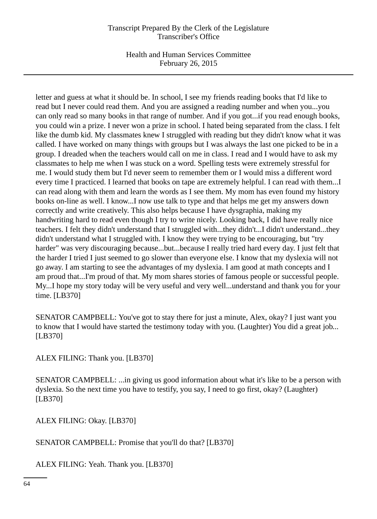Health and Human Services Committee February 26, 2015

letter and guess at what it should be. In school, I see my friends reading books that I'd like to read but I never could read them. And you are assigned a reading number and when you...you can only read so many books in that range of number. And if you got...if you read enough books, you could win a prize. I never won a prize in school. I hated being separated from the class. I felt like the dumb kid. My classmates knew I struggled with reading but they didn't know what it was called. I have worked on many things with groups but I was always the last one picked to be in a group. I dreaded when the teachers would call on me in class. I read and I would have to ask my classmates to help me when I was stuck on a word. Spelling tests were extremely stressful for me. I would study them but I'd never seem to remember them or I would miss a different word every time I practiced. I learned that books on tape are extremely helpful. I can read with them...I can read along with them and learn the words as I see them. My mom has even found my history books on-line as well. I know...I now use talk to type and that helps me get my answers down correctly and write creatively. This also helps because I have dysgraphia, making my handwriting hard to read even though I try to write nicely. Looking back, I did have really nice teachers. I felt they didn't understand that I struggled with...they didn't...I didn't understand...they didn't understand what I struggled with. I know they were trying to be encouraging, but "try harder" was very discouraging because...but...because I really tried hard every day. I just felt that the harder I tried I just seemed to go slower than everyone else. I know that my dyslexia will not go away. I am starting to see the advantages of my dyslexia. I am good at math concepts and I am proud that...I'm proud of that. My mom shares stories of famous people or successful people. My...I hope my story today will be very useful and very well...understand and thank you for your time. [LB370]

SENATOR CAMPBELL: You've got to stay there for just a minute, Alex, okay? I just want you to know that I would have started the testimony today with you. (Laughter) You did a great job... [LB370]

ALEX FILING: Thank you. [LB370]

SENATOR CAMPBELL: ...in giving us good information about what it's like to be a person with dyslexia. So the next time you have to testify, you say, I need to go first, okay? (Laughter) [LB370]

ALEX FILING: Okay. [LB370]

SENATOR CAMPBELL: Promise that you'll do that? [LB370]

ALEX FILING: Yeah. Thank you. [LB370]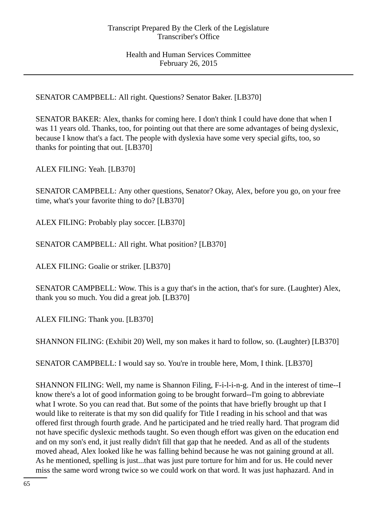SENATOR CAMPBELL: All right. Questions? Senator Baker. [LB370]

SENATOR BAKER: Alex, thanks for coming here. I don't think I could have done that when I was 11 years old. Thanks, too, for pointing out that there are some advantages of being dyslexic, because I know that's a fact. The people with dyslexia have some very special gifts, too, so thanks for pointing that out. [LB370]

ALEX FILING: Yeah. [LB370]

SENATOR CAMPBELL: Any other questions, Senator? Okay, Alex, before you go, on your free time, what's your favorite thing to do? [LB370]

ALEX FILING: Probably play soccer. [LB370]

SENATOR CAMPBELL: All right. What position? [LB370]

ALEX FILING: Goalie or striker. [LB370]

SENATOR CAMPBELL: Wow. This is a guy that's in the action, that's for sure. (Laughter) Alex, thank you so much. You did a great job. [LB370]

ALEX FILING: Thank you. [LB370]

SHANNON FILING: (Exhibit 20) Well, my son makes it hard to follow, so. (Laughter) [LB370]

SENATOR CAMPBELL: I would say so. You're in trouble here, Mom, I think. [LB370]

SHANNON FILING: Well, my name is Shannon Filing, F-i-l-i-n-g. And in the interest of time--I know there's a lot of good information going to be brought forward--I'm going to abbreviate what I wrote. So you can read that. But some of the points that have briefly brought up that I would like to reiterate is that my son did qualify for Title I reading in his school and that was offered first through fourth grade. And he participated and he tried really hard. That program did not have specific dyslexic methods taught. So even though effort was given on the education end and on my son's end, it just really didn't fill that gap that he needed. And as all of the students moved ahead, Alex looked like he was falling behind because he was not gaining ground at all. As he mentioned, spelling is just...that was just pure torture for him and for us. He could never miss the same word wrong twice so we could work on that word. It was just haphazard. And in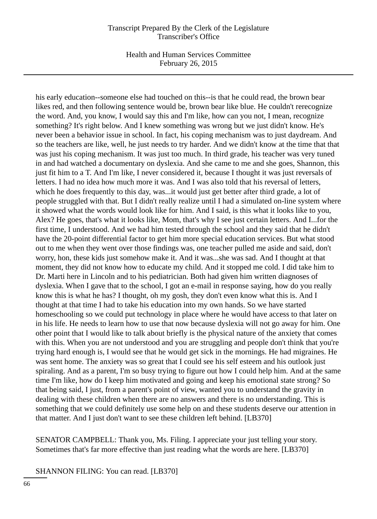Health and Human Services Committee February 26, 2015

his early education--someone else had touched on this--is that he could read, the brown bear likes red, and then following sentence would be, brown bear like blue. He couldn't rerecognize the word. And, you know, I would say this and I'm like, how can you not, I mean, recognize something? It's right below. And I knew something was wrong but we just didn't know. He's never been a behavior issue in school. In fact, his coping mechanism was to just daydream. And so the teachers are like, well, he just needs to try harder. And we didn't know at the time that that was just his coping mechanism. It was just too much. In third grade, his teacher was very tuned in and had watched a documentary on dyslexia. And she came to me and she goes, Shannon, this just fit him to a T. And I'm like, I never considered it, because I thought it was just reversals of letters. I had no idea how much more it was. And I was also told that his reversal of letters, which he does frequently to this day, was...it would just get better after third grade, a lot of people struggled with that. But I didn't really realize until I had a simulated on-line system where it showed what the words would look like for him. And I said, is this what it looks like to you, Alex? He goes, that's what it looks like, Mom, that's why I see just certain letters. And I...for the first time, I understood. And we had him tested through the school and they said that he didn't have the 20-point differential factor to get him more special education services. But what stood out to me when they went over those findings was, one teacher pulled me aside and said, don't worry, hon, these kids just somehow make it. And it was...she was sad. And I thought at that moment, they did not know how to educate my child. And it stopped me cold. I did take him to Dr. Marti here in Lincoln and to his pediatrician. Both had given him written diagnoses of dyslexia. When I gave that to the school, I got an e-mail in response saying, how do you really know this is what he has? I thought, oh my gosh, they don't even know what this is. And I thought at that time I had to take his education into my own hands. So we have started homeschooling so we could put technology in place where he would have access to that later on in his life. He needs to learn how to use that now because dyslexia will not go away for him. One other point that I would like to talk about briefly is the physical nature of the anxiety that comes with this. When you are not understood and you are struggling and people don't think that you're trying hard enough is, I would see that he would get sick in the mornings. He had migraines. He was sent home. The anxiety was so great that I could see his self esteem and his outlook just spiraling. And as a parent, I'm so busy trying to figure out how I could help him. And at the same time I'm like, how do I keep him motivated and going and keep his emotional state strong? So that being said, I just, from a parent's point of view, wanted you to understand the gravity in dealing with these children when there are no answers and there is no understanding. This is something that we could definitely use some help on and these students deserve our attention in that matter. And I just don't want to see these children left behind. [LB370]

SENATOR CAMPBELL: Thank you, Ms. Filing. I appreciate your just telling your story. Sometimes that's far more effective than just reading what the words are here. [LB370]

SHANNON FILING: You can read. [LB370]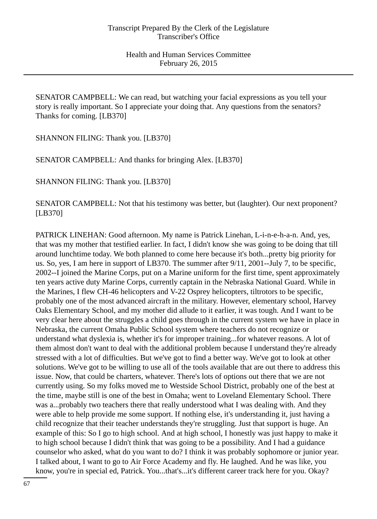SENATOR CAMPBELL: We can read, but watching your facial expressions as you tell your story is really important. So I appreciate your doing that. Any questions from the senators? Thanks for coming. [LB370]

SHANNON FILING: Thank you. [LB370]

SENATOR CAMPBELL: And thanks for bringing Alex. [LB370]

SHANNON FILING: Thank you. [LB370]

SENATOR CAMPBELL: Not that his testimony was better, but (laughter). Our next proponent? [LB370]

PATRICK LINEHAN: Good afternoon. My name is Patrick Linehan, L-i-n-e-h-a-n. And, yes, that was my mother that testified earlier. In fact, I didn't know she was going to be doing that till around lunchtime today. We both planned to come here because it's both...pretty big priority for us. So, yes, I am here in support of LB370. The summer after 9/11, 2001--July 7, to be specific, 2002--I joined the Marine Corps, put on a Marine uniform for the first time, spent approximately ten years active duty Marine Corps, currently captain in the Nebraska National Guard. While in the Marines, I flew CH-46 helicopters and V-22 Osprey helicopters, tiltrotors to be specific, probably one of the most advanced aircraft in the military. However, elementary school, Harvey Oaks Elementary School, and my mother did allude to it earlier, it was tough. And I want to be very clear here about the struggles a child goes through in the current system we have in place in Nebraska, the current Omaha Public School system where teachers do not recognize or understand what dyslexia is, whether it's for improper training...for whatever reasons. A lot of them almost don't want to deal with the additional problem because I understand they're already stressed with a lot of difficulties. But we've got to find a better way. We've got to look at other solutions. We've got to be willing to use all of the tools available that are out there to address this issue. Now, that could be charters, whatever. There's lots of options out there that we are not currently using. So my folks moved me to Westside School District, probably one of the best at the time, maybe still is one of the best in Omaha; went to Loveland Elementary School. There was a...probably two teachers there that really understood what I was dealing with. And they were able to help provide me some support. If nothing else, it's understanding it, just having a child recognize that their teacher understands they're struggling. Just that support is huge. An example of this: So I go to high school. And at high school, I honestly was just happy to make it to high school because I didn't think that was going to be a possibility. And I had a guidance counselor who asked, what do you want to do? I think it was probably sophomore or junior year. I talked about, I want to go to Air Force Academy and fly. He laughed. And he was like, you know, you're in special ed, Patrick. You...that's...it's different career track here for you. Okay?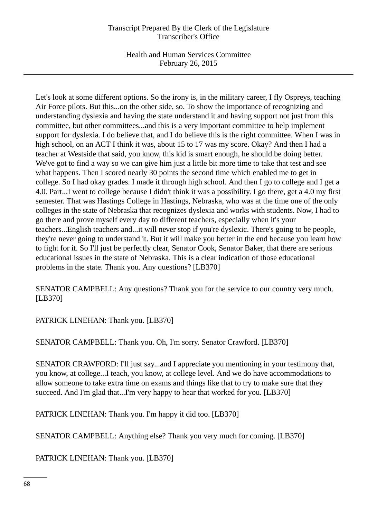Health and Human Services Committee February 26, 2015

Let's look at some different options. So the irony is, in the military career, I fly Ospreys, teaching Air Force pilots. But this...on the other side, so. To show the importance of recognizing and understanding dyslexia and having the state understand it and having support not just from this committee, but other committees...and this is a very important committee to help implement support for dyslexia. I do believe that, and I do believe this is the right committee. When I was in high school, on an ACT I think it was, about 15 to 17 was my score. Okay? And then I had a teacher at Westside that said, you know, this kid is smart enough, he should be doing better. We've got to find a way so we can give him just a little bit more time to take that test and see what happens. Then I scored nearly 30 points the second time which enabled me to get in college. So I had okay grades. I made it through high school. And then I go to college and I get a 4.0. Part...I went to college because I didn't think it was a possibility. I go there, get a 4.0 my first semester. That was Hastings College in Hastings, Nebraska, who was at the time one of the only colleges in the state of Nebraska that recognizes dyslexia and works with students. Now, I had to go there and prove myself every day to different teachers, especially when it's your teachers...English teachers and...it will never stop if you're dyslexic. There's going to be people, they're never going to understand it. But it will make you better in the end because you learn how to fight for it. So I'll just be perfectly clear, Senator Cook, Senator Baker, that there are serious educational issues in the state of Nebraska. This is a clear indication of those educational problems in the state. Thank you. Any questions? [LB370]

SENATOR CAMPBELL: Any questions? Thank you for the service to our country very much. [LB370]

PATRICK LINEHAN: Thank you. [LB370]

SENATOR CAMPBELL: Thank you. Oh, I'm sorry. Senator Crawford. [LB370]

SENATOR CRAWFORD: I'll just say...and I appreciate you mentioning in your testimony that, you know, at college...I teach, you know, at college level. And we do have accommodations to allow someone to take extra time on exams and things like that to try to make sure that they succeed. And I'm glad that...I'm very happy to hear that worked for you. [LB370]

PATRICK LINEHAN: Thank you. I'm happy it did too. [LB370]

SENATOR CAMPBELL: Anything else? Thank you very much for coming. [LB370]

PATRICK LINEHAN: Thank you. [LB370]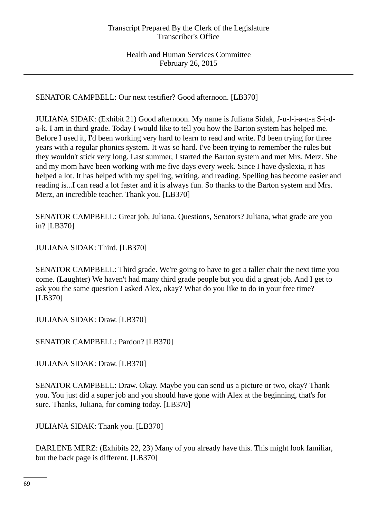SENATOR CAMPBELL: Our next testifier? Good afternoon. [LB370]

JULIANA SIDAK: (Exhibit 21) Good afternoon. My name is Juliana Sidak, J-u-l-i-a-n-a S-i-da-k. I am in third grade. Today I would like to tell you how the Barton system has helped me. Before I used it, I'd been working very hard to learn to read and write. I'd been trying for three years with a regular phonics system. It was so hard. I've been trying to remember the rules but they wouldn't stick very long. Last summer, I started the Barton system and met Mrs. Merz. She and my mom have been working with me five days every week. Since I have dyslexia, it has helped a lot. It has helped with my spelling, writing, and reading. Spelling has become easier and reading is...I can read a lot faster and it is always fun. So thanks to the Barton system and Mrs. Merz, an incredible teacher. Thank you. [LB370]

SENATOR CAMPBELL: Great job, Juliana. Questions, Senators? Juliana, what grade are you in? [LB370]

JULIANA SIDAK: Third. [LB370]

SENATOR CAMPBELL: Third grade. We're going to have to get a taller chair the next time you come. (Laughter) We haven't had many third grade people but you did a great job. And I get to ask you the same question I asked Alex, okay? What do you like to do in your free time? [LB370]

JULIANA SIDAK: Draw. [LB370]

SENATOR CAMPBELL: Pardon? [LB370]

JULIANA SIDAK: Draw. [LB370]

SENATOR CAMPBELL: Draw. Okay. Maybe you can send us a picture or two, okay? Thank you. You just did a super job and you should have gone with Alex at the beginning, that's for sure. Thanks, Juliana, for coming today. [LB370]

JULIANA SIDAK: Thank you. [LB370]

DARLENE MERZ: (Exhibits 22, 23) Many of you already have this. This might look familiar, but the back page is different. [LB370]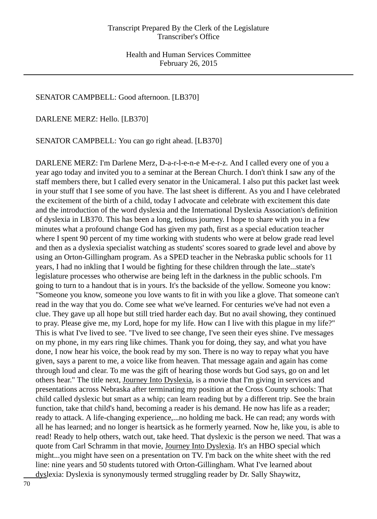## SENATOR CAMPBELL: Good afternoon. [LB370]

DARLENE MERZ: Hello. [LB370]

SENATOR CAMPBELL: You can go right ahead. [LB370]

DARLENE MERZ: I'm Darlene Merz, D-a-r-l-e-n-e M-e-r-z. And I called every one of you a year ago today and invited you to a seminar at the Berean Church. I don't think I saw any of the staff members there, but I called every senator in the Unicameral. I also put this packet last week in your stuff that I see some of you have. The last sheet is different. As you and I have celebrated the excitement of the birth of a child, today I advocate and celebrate with excitement this date and the introduction of the word dyslexia and the International Dyslexia Association's definition of dyslexia in LB370. This has been a long, tedious journey. I hope to share with you in a few minutes what a profound change God has given my path, first as a special education teacher where I spent 90 percent of my time working with students who were at below grade read level and then as a dyslexia specialist watching as students' scores soared to grade level and above by using an Orton-Gillingham program. As a SPED teacher in the Nebraska public schools for 11 years, I had no inkling that I would be fighting for these children through the late...state's legislature processes who otherwise are being left in the darkness in the public schools. I'm going to turn to a handout that is in yours. It's the backside of the yellow. Someone you know: "Someone you know, someone you love wants to fit in with you like a glove. That someone can't read in the way that you do. Come see what we've learned. For centuries we've had not even a clue. They gave up all hope but still tried harder each day. But no avail showing, they continued to pray. Please give me, my Lord, hope for my life. How can I live with this plague in my life?" This is what I've lived to see. "I've lived to see change, I've seen their eyes shine. I've messages on my phone, in my ears ring like chimes. Thank you for doing, they say, and what you have done, I now hear his voice, the book read by my son. There is no way to repay what you have given, says a parent to me, a voice like from heaven. That message again and again has come through loud and clear. To me was the gift of hearing those words but God says, go on and let others hear." The title next, Journey Into Dyslexia, is a movie that I'm giving in services and presentations across Nebraska after terminating my position at the Cross County schools: That child called dyslexic but smart as a whip; can learn reading but by a different trip. See the brain function, take that child's hand, becoming a reader is his demand. He now has life as a reader; ready to attack. A life-changing experience,...no holding me back. He can read; any words with all he has learned; and no longer is heartsick as he formerly yearned. Now he, like you, is able to read! Ready to help others, watch out, take heed. That dyslexic is the person we need. That was a quote from Carl Schramm in that movie, Journey Into Dyslexia. It's an HBO special which might...you might have seen on a presentation on TV. I'm back on the white sheet with the red line: nine years and 50 students tutored with Orton-Gillingham. What I've learned about dyslexia: Dyslexia is synonymously termed struggling reader by Dr. Sally Shaywitz,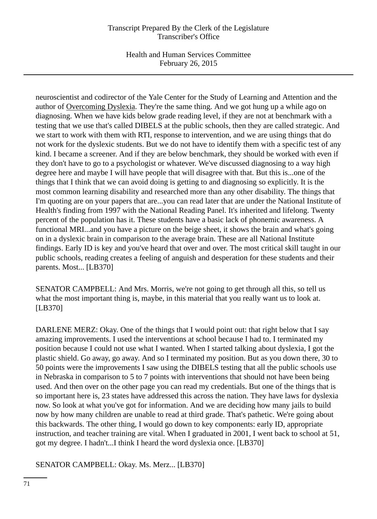Health and Human Services Committee February 26, 2015

neuroscientist and codirector of the Yale Center for the Study of Learning and Attention and the author of Overcoming Dyslexia. They're the same thing. And we got hung up a while ago on diagnosing. When we have kids below grade reading level, if they are not at benchmark with a testing that we use that's called DIBELS at the public schools, then they are called strategic. And we start to work with them with RTI, response to intervention, and we are using things that do not work for the dyslexic students. But we do not have to identify them with a specific test of any kind. I became a screener. And if they are below benchmark, they should be worked with even if they don't have to go to a psychologist or whatever. We've discussed diagnosing to a way high degree here and maybe I will have people that will disagree with that. But this is...one of the things that I think that we can avoid doing is getting to and diagnosing so explicitly. It is the most common learning disability and researched more than any other disability. The things that I'm quoting are on your papers that are...you can read later that are under the National Institute of Health's finding from 1997 with the National Reading Panel. It's inherited and lifelong. Twenty percent of the population has it. These students have a basic lack of phonemic awareness. A functional MRI...and you have a picture on the beige sheet, it shows the brain and what's going on in a dyslexic brain in comparison to the average brain. These are all National Institute findings. Early ID is key and you've heard that over and over. The most critical skill taught in our public schools, reading creates a feeling of anguish and desperation for these students and their parents. Most... [LB370]

SENATOR CAMPBELL: And Mrs. Morris, we're not going to get through all this, so tell us what the most important thing is, maybe, in this material that you really want us to look at. [LB370]

DARLENE MERZ: Okay. One of the things that I would point out: that right below that I say amazing improvements. I used the interventions at school because I had to. I terminated my position because I could not use what I wanted. When I started talking about dyslexia, I got the plastic shield. Go away, go away. And so I terminated my position. But as you down there, 30 to 50 points were the improvements I saw using the DIBELS testing that all the public schools use in Nebraska in comparison to 5 to 7 points with interventions that should not have been being used. And then over on the other page you can read my credentials. But one of the things that is so important here is, 23 states have addressed this across the nation. They have laws for dyslexia now. So look at what you've got for information. And we are deciding how many jails to build now by how many children are unable to read at third grade. That's pathetic. We're going about this backwards. The other thing, I would go down to key components: early ID, appropriate instruction, and teacher training are vital. When I graduated in 2001, I went back to school at 51, got my degree. I hadn't...I think I heard the word dyslexia once. [LB370]

SENATOR CAMPBELL: Okay. Ms. Merz... [LB370]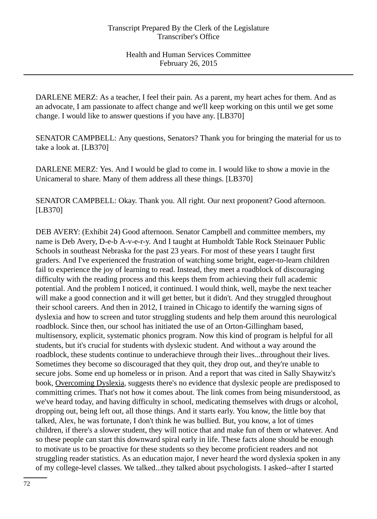DARLENE MERZ: As a teacher, I feel their pain. As a parent, my heart aches for them. And as an advocate, I am passionate to affect change and we'll keep working on this until we get some change. I would like to answer questions if you have any. [LB370]

SENATOR CAMPBELL: Any questions, Senators? Thank you for bringing the material for us to take a look at. [LB370]

DARLENE MERZ: Yes. And I would be glad to come in. I would like to show a movie in the Unicameral to share. Many of them address all these things. [LB370]

SENATOR CAMPBELL: Okay. Thank you. All right. Our next proponent? Good afternoon. [LB370]

DEB AVERY: (Exhibit 24) Good afternoon. Senator Campbell and committee members, my name is Deb Avery, D-e-b A-v-e-r-y. And I taught at Humboldt Table Rock Steinauer Public Schools in southeast Nebraska for the past 23 years. For most of these years I taught first graders. And I've experienced the frustration of watching some bright, eager-to-learn children fail to experience the joy of learning to read. Instead, they meet a roadblock of discouraging difficulty with the reading process and this keeps them from achieving their full academic potential. And the problem I noticed, it continued. I would think, well, maybe the next teacher will make a good connection and it will get better, but it didn't. And they struggled throughout their school careers. And then in 2012, I trained in Chicago to identify the warning signs of dyslexia and how to screen and tutor struggling students and help them around this neurological roadblock. Since then, our school has initiated the use of an Orton-Gillingham based, multisensory, explicit, systematic phonics program. Now this kind of program is helpful for all students, but it's crucial for students with dyslexic student. And without a way around the roadblock, these students continue to underachieve through their lives...throughout their lives. Sometimes they become so discouraged that they quit, they drop out, and they're unable to secure jobs. Some end up homeless or in prison. And a report that was cited in Sally Shaywitz's book, Overcoming Dyslexia, suggests there's no evidence that dyslexic people are predisposed to committing crimes. That's not how it comes about. The link comes from being misunderstood, as we've heard today, and having difficulty in school, medicating themselves with drugs or alcohol, dropping out, being left out, all those things. And it starts early. You know, the little boy that talked, Alex, he was fortunate, I don't think he was bullied. But, you know, a lot of times children, if there's a slower student, they will notice that and make fun of them or whatever. And so these people can start this downward spiral early in life. These facts alone should be enough to motivate us to be proactive for these students so they become proficient readers and not struggling reader statistics. As an education major, I never heard the word dyslexia spoken in any of my college-level classes. We talked...they talked about psychologists. I asked--after I started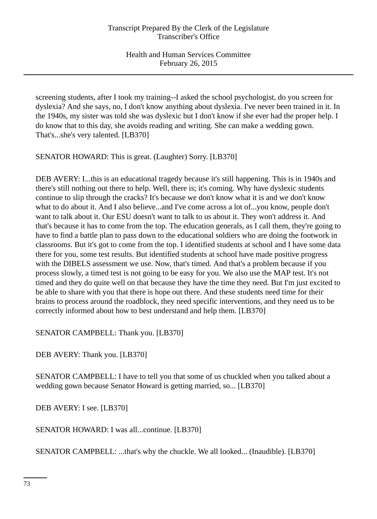screening students, after I took my training--I asked the school psychologist, do you screen for dyslexia? And she says, no, I don't know anything about dyslexia. I've never been trained in it. In the 1940s, my sister was told she was dyslexic but I don't know if she ever had the proper help. I do know that to this day, she avoids reading and writing. She can make a wedding gown. That's...she's very talented. [LB370]

SENATOR HOWARD: This is great. (Laughter) Sorry. [LB370]

DEB AVERY: I...this is an educational tragedy because it's still happening. This is in 1940s and there's still nothing out there to help. Well, there is; it's coming. Why have dyslexic students continue to slip through the cracks? It's because we don't know what it is and we don't know what to do about it. And I also believe...and I've come across a lot of...you know, people don't want to talk about it. Our ESU doesn't want to talk to us about it. They won't address it. And that's because it has to come from the top. The education generals, as I call them, they're going to have to find a battle plan to pass down to the educational soldiers who are doing the footwork in classrooms. But it's got to come from the top. I identified students at school and I have some data there for you, some test results. But identified students at school have made positive progress with the DIBELS assessment we use. Now, that's timed. And that's a problem because if you process slowly, a timed test is not going to be easy for you. We also use the MAP test. It's not timed and they do quite well on that because they have the time they need. But I'm just excited to be able to share with you that there is hope out there. And these students need time for their brains to process around the roadblock, they need specific interventions, and they need us to be correctly informed about how to best understand and help them. [LB370]

SENATOR CAMPBELL: Thank you. [LB370]

DEB AVERY: Thank you. [LB370]

SENATOR CAMPBELL: I have to tell you that some of us chuckled when you talked about a wedding gown because Senator Howard is getting married, so... [LB370]

DEB AVERY: I see. [LB370]

SENATOR HOWARD: I was all...continue. [LB370]

SENATOR CAMPBELL: ...that's why the chuckle. We all looked... (Inaudible). [LB370]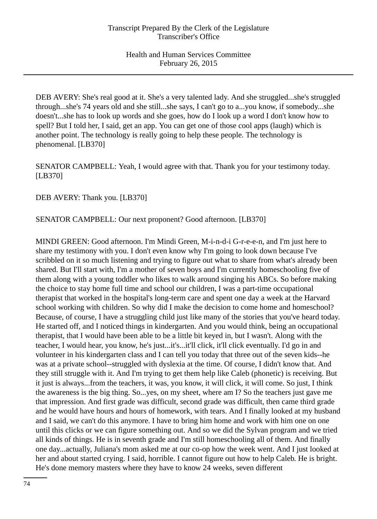DEB AVERY: She's real good at it. She's a very talented lady. And she struggled...she's struggled through...she's 74 years old and she still...she says, I can't go to a...you know, if somebody...she doesn't...she has to look up words and she goes, how do I look up a word I don't know how to spell? But I told her, I said, get an app. You can get one of those cool apps (laugh) which is another point. The technology is really going to help these people. The technology is phenomenal. [LB370]

SENATOR CAMPBELL: Yeah, I would agree with that. Thank you for your testimony today. [LB370]

DEB AVERY: Thank you. [LB370]

SENATOR CAMPBELL: Our next proponent? Good afternoon. [LB370]

MINDI GREEN: Good afternoon. I'm Mindi Green, M-i-n-d-i G-r-e-e-n, and I'm just here to share my testimony with you. I don't even know why I'm going to look down because I've scribbled on it so much listening and trying to figure out what to share from what's already been shared. But I'll start with, I'm a mother of seven boys and I'm currently homeschooling five of them along with a young toddler who likes to walk around singing his ABCs. So before making the choice to stay home full time and school our children, I was a part-time occupational therapist that worked in the hospital's long-term care and spent one day a week at the Harvard school working with children. So why did I make the decision to come home and homeschool? Because, of course, I have a struggling child just like many of the stories that you've heard today. He started off, and I noticed things in kindergarten. And you would think, being an occupational therapist, that I would have been able to be a little bit keyed in, but I wasn't. Along with the teacher, I would hear, you know, he's just...it's...it'll click, it'll click eventually. I'd go in and volunteer in his kindergarten class and I can tell you today that three out of the seven kids--he was at a private school--struggled with dyslexia at the time. Of course, I didn't know that. And they still struggle with it. And I'm trying to get them help like Caleb (phonetic) is receiving. But it just is always...from the teachers, it was, you know, it will click, it will come. So just, I think the awareness is the big thing. So...yes, on my sheet, where am I? So the teachers just gave me that impression. And first grade was difficult, second grade was difficult, then came third grade and he would have hours and hours of homework, with tears. And I finally looked at my husband and I said, we can't do this anymore. I have to bring him home and work with him one on one until this clicks or we can figure something out. And so we did the Sylvan program and we tried all kinds of things. He is in seventh grade and I'm still homeschooling all of them. And finally one day...actually, Juliana's mom asked me at our co-op how the week went. And I just looked at her and about started crying. I said, horrible. I cannot figure out how to help Caleb. He is bright. He's done memory masters where they have to know 24 weeks, seven different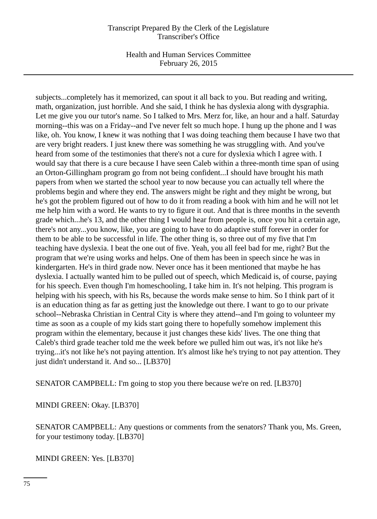Health and Human Services Committee February 26, 2015

subjects...completely has it memorized, can spout it all back to you. But reading and writing, math, organization, just horrible. And she said, I think he has dyslexia along with dysgraphia. Let me give you our tutor's name. So I talked to Mrs. Merz for, like, an hour and a half. Saturday morning--this was on a Friday--and I've never felt so much hope. I hung up the phone and I was like, oh. You know, I knew it was nothing that I was doing teaching them because I have two that are very bright readers. I just knew there was something he was struggling with. And you've heard from some of the testimonies that there's not a cure for dyslexia which I agree with. I would say that there is a cure because I have seen Caleb within a three-month time span of using an Orton-Gillingham program go from not being confident...I should have brought his math papers from when we started the school year to now because you can actually tell where the problems begin and where they end. The answers might be right and they might be wrong, but he's got the problem figured out of how to do it from reading a book with him and he will not let me help him with a word. He wants to try to figure it out. And that is three months in the seventh grade which...he's 13, and the other thing I would hear from people is, once you hit a certain age, there's not any...you know, like, you are going to have to do adaptive stuff forever in order for them to be able to be successful in life. The other thing is, so three out of my five that I'm teaching have dyslexia. I beat the one out of five. Yeah, you all feel bad for me, right? But the program that we're using works and helps. One of them has been in speech since he was in kindergarten. He's in third grade now. Never once has it been mentioned that maybe he has dyslexia. I actually wanted him to be pulled out of speech, which Medicaid is, of course, paying for his speech. Even though I'm homeschooling, I take him in. It's not helping. This program is helping with his speech, with his Rs, because the words make sense to him. So I think part of it is an education thing as far as getting just the knowledge out there. I want to go to our private school--Nebraska Christian in Central City is where they attend--and I'm going to volunteer my time as soon as a couple of my kids start going there to hopefully somehow implement this program within the elementary, because it just changes these kids' lives. The one thing that Caleb's third grade teacher told me the week before we pulled him out was, it's not like he's trying...it's not like he's not paying attention. It's almost like he's trying to not pay attention. They just didn't understand it. And so... [LB370]

SENATOR CAMPBELL: I'm going to stop you there because we're on red. [LB370]

MINDI GREEN: Okay. [LB370]

SENATOR CAMPBELL: Any questions or comments from the senators? Thank you, Ms. Green, for your testimony today. [LB370]

MINDI GREEN: Yes. [LB370]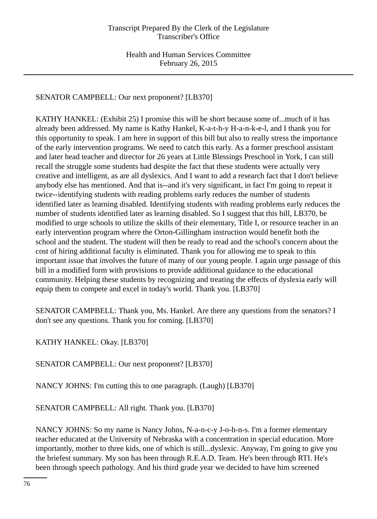SENATOR CAMPBELL: Our next proponent? [LB370]

KATHY HANKEL: (Exhibit 25) I promise this will be short because some of...much of it has already been addressed. My name is Kathy Hankel, K-a-t-h-y H-a-n-k-e-l, and I thank you for this opportunity to speak. I am here in support of this bill but also to really stress the importance of the early intervention programs. We need to catch this early. As a former preschool assistant and later head teacher and director for 26 years at Little Blessings Preschool in York, I can still recall the struggle some students had despite the fact that these students were actually very creative and intelligent, as are all dyslexics. And I want to add a research fact that I don't believe anybody else has mentioned. And that is--and it's very significant, in fact I'm going to repeat it twice--identifying students with reading problems early reduces the number of students identified later as learning disabled. Identifying students with reading problems early reduces the number of students identified later as learning disabled. So I suggest that this bill, LB370, be modified to urge schools to utilize the skills of their elementary, Title I, or resource teacher in an early intervention program where the Orton-Gillingham instruction would benefit both the school and the student. The student will then be ready to read and the school's concern about the cost of hiring additional faculty is eliminated. Thank you for allowing me to speak to this important issue that involves the future of many of our young people. I again urge passage of this bill in a modified form with provisions to provide additional guidance to the educational community. Helping these students by recognizing and treating the effects of dyslexia early will equip them to compete and excel in today's world. Thank you. [LB370]

SENATOR CAMPBELL: Thank you, Ms. Hankel. Are there any questions from the senators? I don't see any questions. Thank you for coming. [LB370]

KATHY HANKEL: Okay. [LB370]

SENATOR CAMPBELL: Our next proponent? [LB370]

NANCY JOHNS: I'm cutting this to one paragraph. (Laugh) [LB370]

SENATOR CAMPBELL: All right. Thank you. [LB370]

NANCY JOHNS: So my name is Nancy Johns, N-a-n-c-y J-o-h-n-s. I'm a former elementary teacher educated at the University of Nebraska with a concentration in special education. More importantly, mother to three kids, one of which is still...dyslexic. Anyway, I'm going to give you the briefest summary. My son has been through R.E.A.D. Team. He's been through RTI. He's been through speech pathology. And his third grade year we decided to have him screened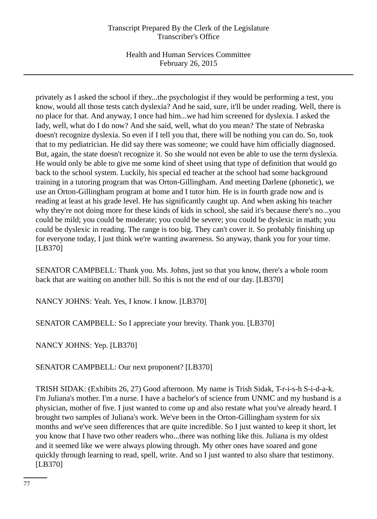Health and Human Services Committee February 26, 2015

privately as I asked the school if they...the psychologist if they would be performing a test, you know, would all those tests catch dyslexia? And he said, sure, it'll be under reading. Well, there is no place for that. And anyway, I once had him...we had him screened for dyslexia. I asked the lady, well, what do I do now? And she said, well, what do you mean? The state of Nebraska doesn't recognize dyslexia. So even if I tell you that, there will be nothing you can do. So, took that to my pediatrician. He did say there was someone; we could have him officially diagnosed. But, again, the state doesn't recognize it. So she would not even be able to use the term dyslexia. He would only be able to give me some kind of sheet using that type of definition that would go back to the school system. Luckily, his special ed teacher at the school had some background training in a tutoring program that was Orton-Gillingham. And meeting Darlene (phonetic), we use an Orton-Gillingham program at home and I tutor him. He is in fourth grade now and is reading at least at his grade level. He has significantly caught up. And when asking his teacher why they're not doing more for these kinds of kids in school, she said it's because there's no...you could be mild; you could be moderate; you could be severe; you could be dyslexic in math; you could be dyslexic in reading. The range is too big. They can't cover it. So probably finishing up for everyone today, I just think we're wanting awareness. So anyway, thank you for your time. [LB370]

SENATOR CAMPBELL: Thank you. Ms. Johns, just so that you know, there's a whole room back that are waiting on another bill. So this is not the end of our day. [LB370]

NANCY JOHNS: Yeah. Yes, I know. I know. [LB370]

SENATOR CAMPBELL: So I appreciate your brevity. Thank you. [LB370]

NANCY JOHNS: Yep. [LB370]

SENATOR CAMPBELL: Our next proponent? [LB370]

TRISH SIDAK: (Exhibits 26, 27) Good afternoon. My name is Trish Sidak, T-r-i-s-h S-i-d-a-k. I'm Juliana's mother. I'm a nurse. I have a bachelor's of science from UNMC and my husband is a physician, mother of five. I just wanted to come up and also restate what you've already heard. I brought two samples of Juliana's work. We've been in the Orton-Gillingham system for six months and we've seen differences that are quite incredible. So I just wanted to keep it short, let you know that I have two other readers who...there was nothing like this. Juliana is my oldest and it seemed like we were always plowing through. My other ones have soared and gone quickly through learning to read, spell, write. And so I just wanted to also share that testimony. [LB370]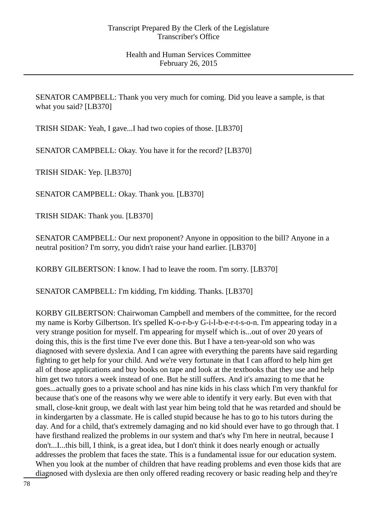SENATOR CAMPBELL: Thank you very much for coming. Did you leave a sample, is that what you said? [LB370]

TRISH SIDAK: Yeah, I gave...I had two copies of those. [LB370]

SENATOR CAMPBELL: Okay. You have it for the record? [LB370]

TRISH SIDAK: Yep. [LB370]

SENATOR CAMPBELL: Okay. Thank you. [LB370]

TRISH SIDAK: Thank you. [LB370]

SENATOR CAMPBELL: Our next proponent? Anyone in opposition to the bill? Anyone in a neutral position? I'm sorry, you didn't raise your hand earlier. [LB370]

KORBY GILBERTSON: I know. I had to leave the room. I'm sorry. [LB370]

SENATOR CAMPBELL: I'm kidding, I'm kidding. Thanks. [LB370]

KORBY GILBERTSON: Chairwoman Campbell and members of the committee, for the record my name is Korby Gilbertson. It's spelled K-o-r-b-y G-i-l-b-e-r-t-s-o-n. I'm appearing today in a very strange position for myself. I'm appearing for myself which is...out of over 20 years of doing this, this is the first time I've ever done this. But I have a ten-year-old son who was diagnosed with severe dyslexia. And I can agree with everything the parents have said regarding fighting to get help for your child. And we're very fortunate in that I can afford to help him get all of those applications and buy books on tape and look at the textbooks that they use and help him get two tutors a week instead of one. But he still suffers. And it's amazing to me that he goes...actually goes to a private school and has nine kids in his class which I'm very thankful for because that's one of the reasons why we were able to identify it very early. But even with that small, close-knit group, we dealt with last year him being told that he was retarded and should be in kindergarten by a classmate. He is called stupid because he has to go to his tutors during the day. And for a child, that's extremely damaging and no kid should ever have to go through that. I have firsthand realized the problems in our system and that's why I'm here in neutral, because I don't...I...this bill, I think, is a great idea, but I don't think it does nearly enough or actually addresses the problem that faces the state. This is a fundamental issue for our education system. When you look at the number of children that have reading problems and even those kids that are diagnosed with dyslexia are then only offered reading recovery or basic reading help and they're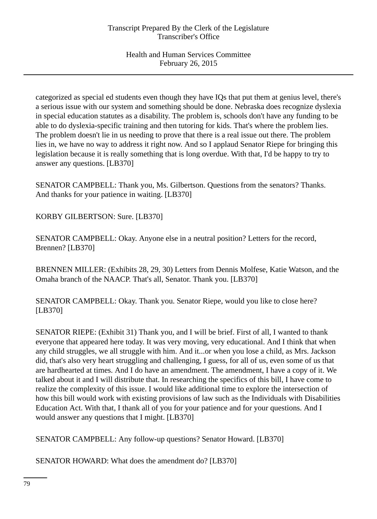categorized as special ed students even though they have IQs that put them at genius level, there's a serious issue with our system and something should be done. Nebraska does recognize dyslexia in special education statutes as a disability. The problem is, schools don't have any funding to be able to do dyslexia-specific training and then tutoring for kids. That's where the problem lies. The problem doesn't lie in us needing to prove that there is a real issue out there. The problem lies in, we have no way to address it right now. And so I applaud Senator Riepe for bringing this legislation because it is really something that is long overdue. With that, I'd be happy to try to answer any questions. [LB370]

SENATOR CAMPBELL: Thank you, Ms. Gilbertson. Questions from the senators? Thanks. And thanks for your patience in waiting. [LB370]

KORBY GILBERTSON: Sure. [LB370]

SENATOR CAMPBELL: Okay. Anyone else in a neutral position? Letters for the record, Brennen? [LB370]

BRENNEN MILLER: (Exhibits 28, 29, 30) Letters from Dennis Molfese, Katie Watson, and the Omaha branch of the NAACP. That's all, Senator. Thank you. [LB370]

SENATOR CAMPBELL: Okay. Thank you. Senator Riepe, would you like to close here? [LB370]

SENATOR RIEPE: (Exhibit 31) Thank you, and I will be brief. First of all, I wanted to thank everyone that appeared here today. It was very moving, very educational. And I think that when any child struggles, we all struggle with him. And it...or when you lose a child, as Mrs. Jackson did, that's also very heart struggling and challenging, I guess, for all of us, even some of us that are hardhearted at times. And I do have an amendment. The amendment, I have a copy of it. We talked about it and I will distribute that. In researching the specifics of this bill, I have come to realize the complexity of this issue. I would like additional time to explore the intersection of how this bill would work with existing provisions of law such as the Individuals with Disabilities Education Act. With that, I thank all of you for your patience and for your questions. And I would answer any questions that I might. [LB370]

SENATOR CAMPBELL: Any follow-up questions? Senator Howard. [LB370]

SENATOR HOWARD: What does the amendment do? [LB370]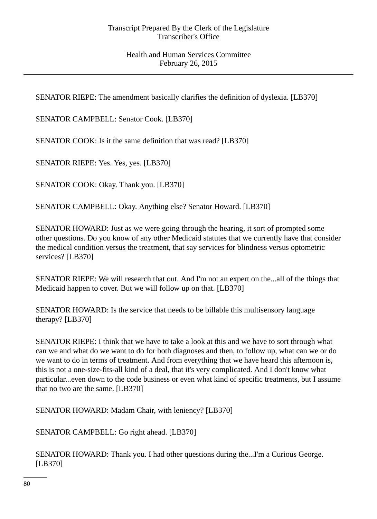SENATOR RIEPE: The amendment basically clarifies the definition of dyslexia. [LB370]

SENATOR CAMPBELL: Senator Cook. [LB370]

SENATOR COOK: Is it the same definition that was read? [LB370]

SENATOR RIEPE: Yes. Yes, yes. [LB370]

SENATOR COOK: Okay. Thank you. [LB370]

SENATOR CAMPBELL: Okay. Anything else? Senator Howard. [LB370]

SENATOR HOWARD: Just as we were going through the hearing, it sort of prompted some other questions. Do you know of any other Medicaid statutes that we currently have that consider the medical condition versus the treatment, that say services for blindness versus optometric services? [LB370]

SENATOR RIEPE: We will research that out. And I'm not an expert on the...all of the things that Medicaid happen to cover. But we will follow up on that. [LB370]

SENATOR HOWARD: Is the service that needs to be billable this multisensory language therapy? [LB370]

SENATOR RIEPE: I think that we have to take a look at this and we have to sort through what can we and what do we want to do for both diagnoses and then, to follow up, what can we or do we want to do in terms of treatment. And from everything that we have heard this afternoon is, this is not a one-size-fits-all kind of a deal, that it's very complicated. And I don't know what particular...even down to the code business or even what kind of specific treatments, but I assume that no two are the same. [LB370]

SENATOR HOWARD: Madam Chair, with leniency? [LB370]

SENATOR CAMPBELL: Go right ahead. [LB370]

SENATOR HOWARD: Thank you. I had other questions during the...I'm a Curious George. [LB370]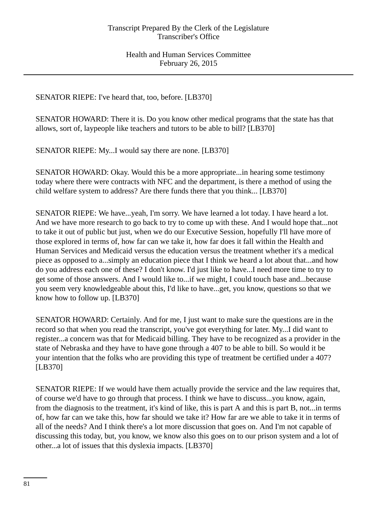SENATOR RIEPE: I've heard that, too, before. [LB370]

SENATOR HOWARD: There it is. Do you know other medical programs that the state has that allows, sort of, laypeople like teachers and tutors to be able to bill? [LB370]

SENATOR RIEPE: My...I would say there are none. [LB370]

SENATOR HOWARD: Okay. Would this be a more appropriate...in hearing some testimony today where there were contracts with NFC and the department, is there a method of using the child welfare system to address? Are there funds there that you think... [LB370]

SENATOR RIEPE: We have...yeah, I'm sorry. We have learned a lot today. I have heard a lot. And we have more research to go back to try to come up with these. And I would hope that...not to take it out of public but just, when we do our Executive Session, hopefully I'll have more of those explored in terms of, how far can we take it, how far does it fall within the Health and Human Services and Medicaid versus the education versus the treatment whether it's a medical piece as opposed to a...simply an education piece that I think we heard a lot about that...and how do you address each one of these? I don't know. I'd just like to have...I need more time to try to get some of those answers. And I would like to...if we might, I could touch base and...because you seem very knowledgeable about this, I'd like to have...get, you know, questions so that we know how to follow up. [LB370]

SENATOR HOWARD: Certainly. And for me, I just want to make sure the questions are in the record so that when you read the transcript, you've got everything for later. My...I did want to register...a concern was that for Medicaid billing. They have to be recognized as a provider in the state of Nebraska and they have to have gone through a 407 to be able to bill. So would it be your intention that the folks who are providing this type of treatment be certified under a 407? [LB370]

SENATOR RIEPE: If we would have them actually provide the service and the law requires that, of course we'd have to go through that process. I think we have to discuss...you know, again, from the diagnosis to the treatment, it's kind of like, this is part A and this is part B, not...in terms of, how far can we take this, how far should we take it? How far are we able to take it in terms of all of the needs? And I think there's a lot more discussion that goes on. And I'm not capable of discussing this today, but, you know, we know also this goes on to our prison system and a lot of other...a lot of issues that this dyslexia impacts. [LB370]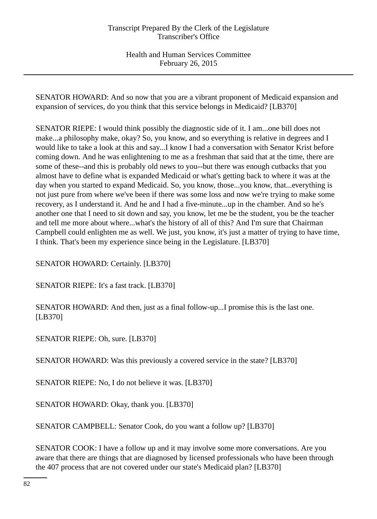SENATOR HOWARD: And so now that you are a vibrant proponent of Medicaid expansion and expansion of services, do you think that this service belongs in Medicaid? [LB370]

SENATOR RIEPE: I would think possibly the diagnostic side of it. I am...one bill does not make...a philosophy make, okay? So, you know, and so everything is relative in degrees and I would like to take a look at this and say...I know I had a conversation with Senator Krist before coming down. And he was enlightening to me as a freshman that said that at the time, there are some of these--and this is probably old news to you--but there was enough cutbacks that you almost have to define what is expanded Medicaid or what's getting back to where it was at the day when you started to expand Medicaid. So, you know, those...you know, that...everything is not just pure from where we've been if there was some loss and now we're trying to make some recovery, as I understand it. And he and I had a five-minute...up in the chamber. And so he's another one that I need to sit down and say, you know, let me be the student, you be the teacher and tell me more about where...what's the history of all of this? And I'm sure that Chairman Campbell could enlighten me as well. We just, you know, it's just a matter of trying to have time, I think. That's been my experience since being in the Legislature. [LB370]

SENATOR HOWARD: Certainly. [LB370]

SENATOR RIEPE: It's a fast track. [LB370]

SENATOR HOWARD: And then, just as a final follow-up...I promise this is the last one. [LB370]

SENATOR RIEPE: Oh, sure. [LB370]

SENATOR HOWARD: Was this previously a covered service in the state? [LB370]

SENATOR RIEPE: No, I do not believe it was. [LB370]

SENATOR HOWARD: Okay, thank you. [LB370]

SENATOR CAMPBELL: Senator Cook, do you want a follow up? [LB370]

SENATOR COOK: I have a follow up and it may involve some more conversations. Are you aware that there are things that are diagnosed by licensed professionals who have been through the 407 process that are not covered under our state's Medicaid plan? [LB370]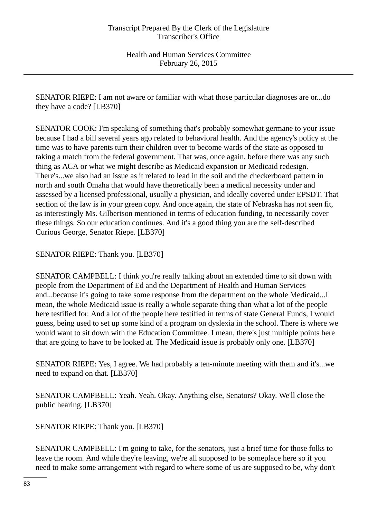SENATOR RIEPE: I am not aware or familiar with what those particular diagnoses are or...do they have a code? [LB370]

SENATOR COOK: I'm speaking of something that's probably somewhat germane to your issue because I had a bill several years ago related to behavioral health. And the agency's policy at the time was to have parents turn their children over to become wards of the state as opposed to taking a match from the federal government. That was, once again, before there was any such thing as ACA or what we might describe as Medicaid expansion or Medicaid redesign. There's...we also had an issue as it related to lead in the soil and the checkerboard pattern in north and south Omaha that would have theoretically been a medical necessity under and assessed by a licensed professional, usually a physician, and ideally covered under EPSDT. That section of the law is in your green copy. And once again, the state of Nebraska has not seen fit, as interestingly Ms. Gilbertson mentioned in terms of education funding, to necessarily cover these things. So our education continues. And it's a good thing you are the self-described Curious George, Senator Riepe. [LB370]

SENATOR RIEPE: Thank you. [LB370]

SENATOR CAMPBELL: I think you're really talking about an extended time to sit down with people from the Department of Ed and the Department of Health and Human Services and...because it's going to take some response from the department on the whole Medicaid...I mean, the whole Medicaid issue is really a whole separate thing than what a lot of the people here testified for. And a lot of the people here testified in terms of state General Funds, I would guess, being used to set up some kind of a program on dyslexia in the school. There is where we would want to sit down with the Education Committee. I mean, there's just multiple points here that are going to have to be looked at. The Medicaid issue is probably only one. [LB370]

SENATOR RIEPE: Yes, I agree. We had probably a ten-minute meeting with them and it's...we need to expand on that. [LB370]

SENATOR CAMPBELL: Yeah. Yeah. Okay. Anything else, Senators? Okay. We'll close the public hearing. [LB370]

SENATOR RIEPE: Thank you. [LB370]

SENATOR CAMPBELL: I'm going to take, for the senators, just a brief time for those folks to leave the room. And while they're leaving, we're all supposed to be someplace here so if you need to make some arrangement with regard to where some of us are supposed to be, why don't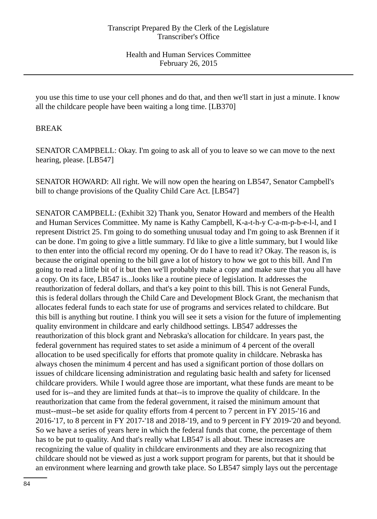you use this time to use your cell phones and do that, and then we'll start in just a minute. I know all the childcare people have been waiting a long time. [LB370]

# BREAK

SENATOR CAMPBELL: Okay. I'm going to ask all of you to leave so we can move to the next hearing, please. [LB547]

SENATOR HOWARD: All right. We will now open the hearing on LB547, Senator Campbell's bill to change provisions of the Quality Child Care Act. [LB547]

SENATOR CAMPBELL: (Exhibit 32) Thank you, Senator Howard and members of the Health and Human Services Committee. My name is Kathy Campbell, K-a-t-h-y C-a-m-p-b-e-l-l, and I represent District 25. I'm going to do something unusual today and I'm going to ask Brennen if it can be done. I'm going to give a little summary. I'd like to give a little summary, but I would like to then enter into the official record my opening. Or do I have to read it? Okay. The reason is, is because the original opening to the bill gave a lot of history to how we got to this bill. And I'm going to read a little bit of it but then we'll probably make a copy and make sure that you all have a copy. On its face, LB547 is...looks like a routine piece of legislation. It addresses the reauthorization of federal dollars, and that's a key point to this bill. This is not General Funds, this is federal dollars through the Child Care and Development Block Grant, the mechanism that allocates federal funds to each state for use of programs and services related to childcare. But this bill is anything but routine. I think you will see it sets a vision for the future of implementing quality environment in childcare and early childhood settings. LB547 addresses the reauthorization of this block grant and Nebraska's allocation for childcare. In years past, the federal government has required states to set aside a minimum of 4 percent of the overall allocation to be used specifically for efforts that promote quality in childcare. Nebraska has always chosen the minimum 4 percent and has used a significant portion of those dollars on issues of childcare licensing administration and regulating basic health and safety for licensed childcare providers. While I would agree those are important, what these funds are meant to be used for is--and they are limited funds at that--is to improve the quality of childcare. In the reauthorization that came from the federal government, it raised the minimum amount that must--must--be set aside for quality efforts from 4 percent to 7 percent in FY 2015-'16 and 2016-'17, to 8 percent in FY 2017-'18 and 2018-'19, and to 9 percent in FY 2019-'20 and beyond. So we have a series of years here in which the federal funds that come, the percentage of them has to be put to quality. And that's really what LB547 is all about. These increases are recognizing the value of quality in childcare environments and they are also recognizing that childcare should not be viewed as just a work support program for parents, but that it should be an environment where learning and growth take place. So LB547 simply lays out the percentage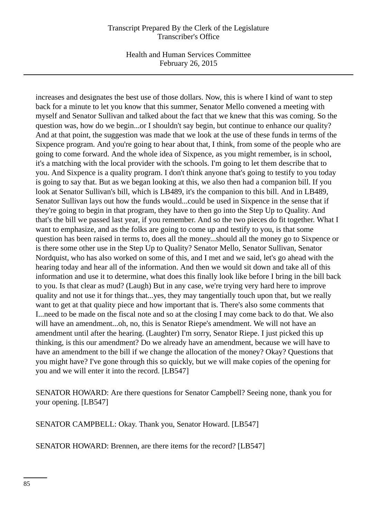Health and Human Services Committee February 26, 2015

increases and designates the best use of those dollars. Now, this is where I kind of want to step back for a minute to let you know that this summer, Senator Mello convened a meeting with myself and Senator Sullivan and talked about the fact that we knew that this was coming. So the question was, how do we begin...or I shouldn't say begin, but continue to enhance our quality? And at that point, the suggestion was made that we look at the use of these funds in terms of the Sixpence program. And you're going to hear about that, I think, from some of the people who are going to come forward. And the whole idea of Sixpence, as you might remember, is in school, it's a matching with the local provider with the schools. I'm going to let them describe that to you. And Sixpence is a quality program. I don't think anyone that's going to testify to you today is going to say that. But as we began looking at this, we also then had a companion bill. If you look at Senator Sullivan's bill, which is LB489, it's the companion to this bill. And in LB489, Senator Sullivan lays out how the funds would...could be used in Sixpence in the sense that if they're going to begin in that program, they have to then go into the Step Up to Quality. And that's the bill we passed last year, if you remember. And so the two pieces do fit together. What I want to emphasize, and as the folks are going to come up and testify to you, is that some question has been raised in terms to, does all the money...should all the money go to Sixpence or is there some other use in the Step Up to Quality? Senator Mello, Senator Sullivan, Senator Nordquist, who has also worked on some of this, and I met and we said, let's go ahead with the hearing today and hear all of the information. And then we would sit down and take all of this information and use it to determine, what does this finally look like before I bring in the bill back to you. Is that clear as mud? (Laugh) But in any case, we're trying very hard here to improve quality and not use it for things that...yes, they may tangentially touch upon that, but we really want to get at that quality piece and how important that is. There's also some comments that I...need to be made on the fiscal note and so at the closing I may come back to do that. We also will have an amendment...oh, no, this is Senator Riepe's amendment. We will not have an amendment until after the hearing. (Laughter) I'm sorry, Senator Riepe. I just picked this up thinking, is this our amendment? Do we already have an amendment, because we will have to have an amendment to the bill if we change the allocation of the money? Okay? Questions that you might have? I've gone through this so quickly, but we will make copies of the opening for you and we will enter it into the record. [LB547]

SENATOR HOWARD: Are there questions for Senator Campbell? Seeing none, thank you for your opening. [LB547]

SENATOR CAMPBELL: Okay. Thank you, Senator Howard. [LB547]

SENATOR HOWARD: Brennen, are there items for the record? [LB547]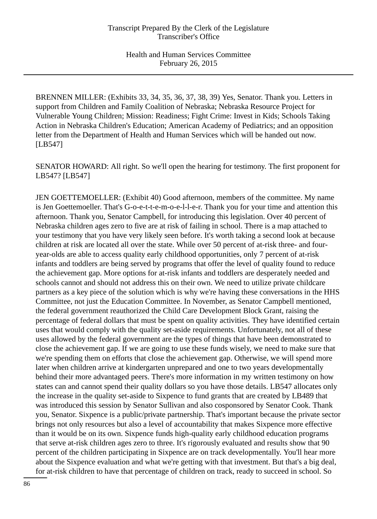BRENNEN MILLER: (Exhibits 33, 34, 35, 36, 37, 38, 39) Yes, Senator. Thank you. Letters in support from Children and Family Coalition of Nebraska; Nebraska Resource Project for Vulnerable Young Children; Mission: Readiness; Fight Crime: Invest in Kids; Schools Taking Action in Nebraska Children's Education; American Academy of Pediatrics; and an opposition letter from the Department of Health and Human Services which will be handed out now. [LB547]

SENATOR HOWARD: All right. So we'll open the hearing for testimony. The first proponent for LB547? [LB547]

JEN GOETTEMOELLER: (Exhibit 40) Good afternoon, members of the committee. My name is Jen Goettemoeller. That's G-o-e-t-t-e-m-o-e-l-l-e-r. Thank you for your time and attention this afternoon. Thank you, Senator Campbell, for introducing this legislation. Over 40 percent of Nebraska children ages zero to five are at risk of failing in school. There is a map attached to your testimony that you have very likely seen before. It's worth taking a second look at because children at risk are located all over the state. While over 50 percent of at-risk three- and fouryear-olds are able to access quality early childhood opportunities, only 7 percent of at-risk infants and toddlers are being served by programs that offer the level of quality found to reduce the achievement gap. More options for at-risk infants and toddlers are desperately needed and schools cannot and should not address this on their own. We need to utilize private childcare partners as a key piece of the solution which is why we're having these conversations in the HHS Committee, not just the Education Committee. In November, as Senator Campbell mentioned, the federal government reauthorized the Child Care Development Block Grant, raising the percentage of federal dollars that must be spent on quality activities. They have identified certain uses that would comply with the quality set-aside requirements. Unfortunately, not all of these uses allowed by the federal government are the types of things that have been demonstrated to close the achievement gap. If we are going to use these funds wisely, we need to make sure that we're spending them on efforts that close the achievement gap. Otherwise, we will spend more later when children arrive at kindergarten unprepared and one to two years developmentally behind their more advantaged peers. There's more information in my written testimony on how states can and cannot spend their quality dollars so you have those details. LB547 allocates only the increase in the quality set-aside to Sixpence to fund grants that are created by LB489 that was introduced this session by Senator Sullivan and also cosponsored by Senator Cook. Thank you, Senator. Sixpence is a public/private partnership. That's important because the private sector brings not only resources but also a level of accountability that makes Sixpence more effective than it would be on its own. Sixpence funds high-quality early childhood education programs that serve at-risk children ages zero to three. It's rigorously evaluated and results show that 90 percent of the children participating in Sixpence are on track developmentally. You'll hear more about the Sixpence evaluation and what we're getting with that investment. But that's a big deal, for at-risk children to have that percentage of children on track, ready to succeed in school. So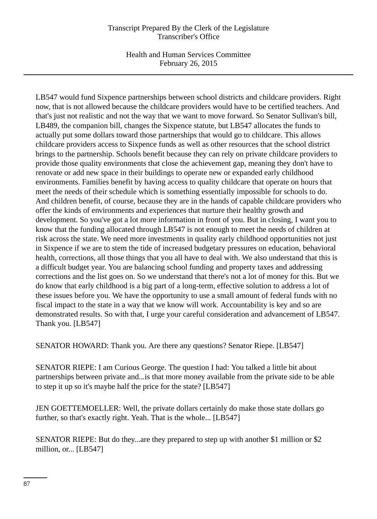Health and Human Services Committee February 26, 2015

LB547 would fund Sixpence partnerships between school districts and childcare providers. Right now, that is not allowed because the childcare providers would have to be certified teachers. And that's just not realistic and not the way that we want to move forward. So Senator Sullivan's bill, LB489, the companion bill, changes the Sixpence statute, but LB547 allocates the funds to actually put some dollars toward those partnerships that would go to childcare. This allows childcare providers access to Sixpence funds as well as other resources that the school district brings to the partnership. Schools benefit because they can rely on private childcare providers to provide those quality environments that close the achievement gap, meaning they don't have to renovate or add new space in their buildings to operate new or expanded early childhood environments. Families benefit by having access to quality childcare that operate on hours that meet the needs of their schedule which is something essentially impossible for schools to do. And children benefit, of course, because they are in the hands of capable childcare providers who offer the kinds of environments and experiences that nurture their healthy growth and development. So you've got a lot more information in front of you. But in closing, I want you to know that the funding allocated through LB547 is not enough to meet the needs of children at risk across the state. We need more investments in quality early childhood opportunities not just in Sixpence if we are to stem the tide of increased budgetary pressures on education, behavioral health, corrections, all those things that you all have to deal with. We also understand that this is a difficult budget year. You are balancing school funding and property taxes and addressing corrections and the list goes on. So we understand that there's not a lot of money for this. But we do know that early childhood is a big part of a long-term, effective solution to address a lot of these issues before you. We have the opportunity to use a small amount of federal funds with no fiscal impact to the state in a way that we know will work. Accountability is key and so are demonstrated results. So with that, I urge your careful consideration and advancement of LB547. Thank you. [LB547]

SENATOR HOWARD: Thank you. Are there any questions? Senator Riepe. [LB547]

SENATOR RIEPE: I am Curious George. The question I had: You talked a little bit about partnerships between private and...is that more money available from the private side to be able to step it up so it's maybe half the price for the state? [LB547]

JEN GOETTEMOELLER: Well, the private dollars certainly do make those state dollars go further, so that's exactly right. Yeah. That is the whole... [LB547]

SENATOR RIEPE: But do they...are they prepared to step up with another \$1 million or \$2 million, or... [LB547]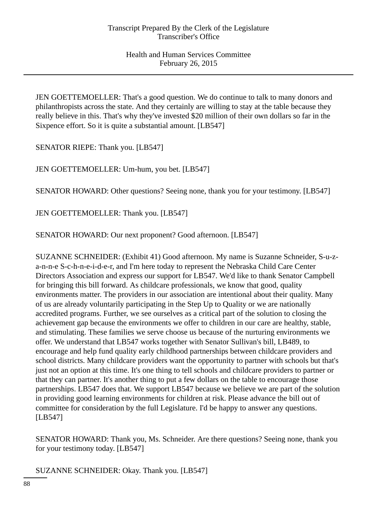JEN GOETTEMOELLER: That's a good question. We do continue to talk to many donors and philanthropists across the state. And they certainly are willing to stay at the table because they really believe in this. That's why they've invested \$20 million of their own dollars so far in the Sixpence effort. So it is quite a substantial amount. [LB547]

SENATOR RIEPE: Thank you. [LB547]

JEN GOETTEMOELLER: Um-hum, you bet. [LB547]

SENATOR HOWARD: Other questions? Seeing none, thank you for your testimony. [LB547]

JEN GOETTEMOELLER: Thank you. [LB547]

SENATOR HOWARD: Our next proponent? Good afternoon. [LB547]

SUZANNE SCHNEIDER: (Exhibit 41) Good afternoon. My name is Suzanne Schneider, S-u-za-n-n-e S-c-h-n-e-i-d-e-r, and I'm here today to represent the Nebraska Child Care Center Directors Association and express our support for LB547. We'd like to thank Senator Campbell for bringing this bill forward. As childcare professionals, we know that good, quality environments matter. The providers in our association are intentional about their quality. Many of us are already voluntarily participating in the Step Up to Quality or we are nationally accredited programs. Further, we see ourselves as a critical part of the solution to closing the achievement gap because the environments we offer to children in our care are healthy, stable, and stimulating. These families we serve choose us because of the nurturing environments we offer. We understand that LB547 works together with Senator Sullivan's bill, LB489, to encourage and help fund quality early childhood partnerships between childcare providers and school districts. Many childcare providers want the opportunity to partner with schools but that's just not an option at this time. It's one thing to tell schools and childcare providers to partner or that they can partner. It's another thing to put a few dollars on the table to encourage those partnerships. LB547 does that. We support LB547 because we believe we are part of the solution in providing good learning environments for children at risk. Please advance the bill out of committee for consideration by the full Legislature. I'd be happy to answer any questions. [LB547]

SENATOR HOWARD: Thank you, Ms. Schneider. Are there questions? Seeing none, thank you for your testimony today. [LB547]

SUZANNE SCHNEIDER: Okay. Thank you. [LB547]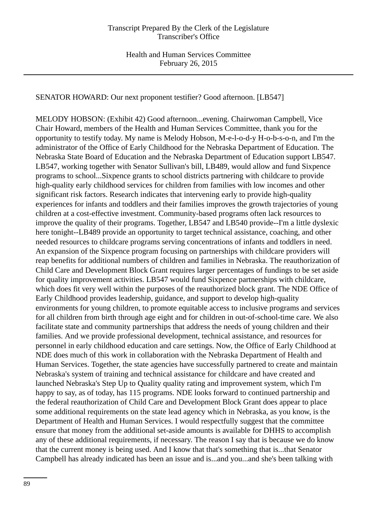SENATOR HOWARD: Our next proponent testifier? Good afternoon. [LB547]

MELODY HOBSON: (Exhibit 42) Good afternoon...evening. Chairwoman Campbell, Vice Chair Howard, members of the Health and Human Services Committee, thank you for the opportunity to testify today. My name is Melody Hobson, M-e-l-o-d-y H-o-b-s-o-n, and I'm the administrator of the Office of Early Childhood for the Nebraska Department of Education. The Nebraska State Board of Education and the Nebraska Department of Education support LB547. LB547, working together with Senator Sullivan's bill, LB489, would allow and fund Sixpence programs to school...Sixpence grants to school districts partnering with childcare to provide high-quality early childhood services for children from families with low incomes and other significant risk factors. Research indicates that intervening early to provide high-quality experiences for infants and toddlers and their families improves the growth trajectories of young children at a cost-effective investment. Community-based programs often lack resources to improve the quality of their programs. Together, LB547 and LB540 provide--I'm a little dyslexic here tonight--LB489 provide an opportunity to target technical assistance, coaching, and other needed resources to childcare programs serving concentrations of infants and toddlers in need. An expansion of the Sixpence program focusing on partnerships with childcare providers will reap benefits for additional numbers of children and families in Nebraska. The reauthorization of Child Care and Development Block Grant requires larger percentages of fundings to be set aside for quality improvement activities. LB547 would fund Sixpence partnerships with childcare, which does fit very well within the purposes of the reauthorized block grant. The NDE Office of Early Childhood provides leadership, guidance, and support to develop high-quality environments for young children, to promote equitable access to inclusive programs and services for all children from birth through age eight and for children in out-of-school-time care. We also facilitate state and community partnerships that address the needs of young children and their families. And we provide professional development, technical assistance, and resources for personnel in early childhood education and care settings. Now, the Office of Early Childhood at NDE does much of this work in collaboration with the Nebraska Department of Health and Human Services. Together, the state agencies have successfully partnered to create and maintain Nebraska's system of training and technical assistance for childcare and have created and launched Nebraska's Step Up to Quality quality rating and improvement system, which I'm happy to say, as of today, has 115 programs. NDE looks forward to continued partnership and the federal reauthorization of Child Care and Development Block Grant does appear to place some additional requirements on the state lead agency which in Nebraska, as you know, is the Department of Health and Human Services. I would respectfully suggest that the committee ensure that money from the additional set-aside amounts is available for DHHS to accomplish any of these additional requirements, if necessary. The reason I say that is because we do know that the current money is being used. And I know that that's something that is...that Senator Campbell has already indicated has been an issue and is...and you...and she's been talking with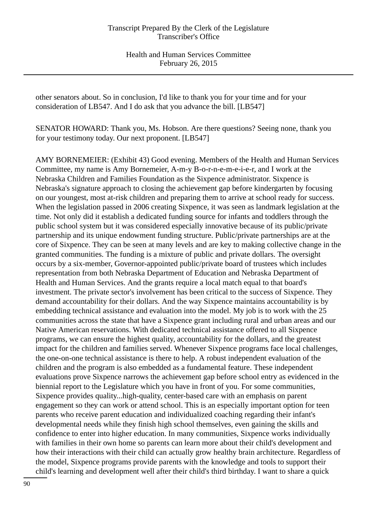other senators about. So in conclusion, I'd like to thank you for your time and for your consideration of LB547. And I do ask that you advance the bill. [LB547]

SENATOR HOWARD: Thank you, Ms. Hobson. Are there questions? Seeing none, thank you for your testimony today. Our next proponent. [LB547]

AMY BORNEMEIER: (Exhibit 43) Good evening. Members of the Health and Human Services Committee, my name is Amy Bornemeier, A-m-y B-o-r-n-e-m-e-i-e-r, and I work at the Nebraska Children and Families Foundation as the Sixpence administrator. Sixpence is Nebraska's signature approach to closing the achievement gap before kindergarten by focusing on our youngest, most at-risk children and preparing them to arrive at school ready for success. When the legislation passed in 2006 creating Sixpence, it was seen as landmark legislation at the time. Not only did it establish a dedicated funding source for infants and toddlers through the public school system but it was considered especially innovative because of its public/private partnership and its unique endowment funding structure. Public/private partnerships are at the core of Sixpence. They can be seen at many levels and are key to making collective change in the granted communities. The funding is a mixture of public and private dollars. The oversight occurs by a six-member, Governor-appointed public/private board of trustees which includes representation from both Nebraska Department of Education and Nebraska Department of Health and Human Services. And the grants require a local match equal to that board's investment. The private sector's involvement has been critical to the success of Sixpence. They demand accountability for their dollars. And the way Sixpence maintains accountability is by embedding technical assistance and evaluation into the model. My job is to work with the 25 communities across the state that have a Sixpence grant including rural and urban areas and our Native American reservations. With dedicated technical assistance offered to all Sixpence programs, we can ensure the highest quality, accountability for the dollars, and the greatest impact for the children and families served. Whenever Sixpence programs face local challenges, the one-on-one technical assistance is there to help. A robust independent evaluation of the children and the program is also embedded as a fundamental feature. These independent evaluations prove Sixpence narrows the achievement gap before school entry as evidenced in the biennial report to the Legislature which you have in front of you. For some communities, Sixpence provides quality...high-quality, center-based care with an emphasis on parent engagement so they can work or attend school. This is an especially important option for teen parents who receive parent education and individualized coaching regarding their infant's developmental needs while they finish high school themselves, even gaining the skills and confidence to enter into higher education. In many communities, Sixpence works individually with families in their own home so parents can learn more about their child's development and how their interactions with their child can actually grow healthy brain architecture. Regardless of the model, Sixpence programs provide parents with the knowledge and tools to support their child's learning and development well after their child's third birthday. I want to share a quick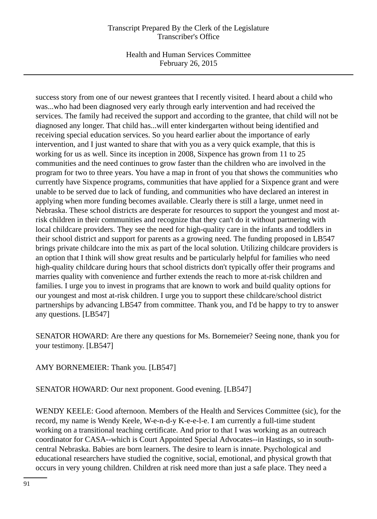Health and Human Services Committee February 26, 2015

success story from one of our newest grantees that I recently visited. I heard about a child who was...who had been diagnosed very early through early intervention and had received the services. The family had received the support and according to the grantee, that child will not be diagnosed any longer. That child has...will enter kindergarten without being identified and receiving special education services. So you heard earlier about the importance of early intervention, and I just wanted to share that with you as a very quick example, that this is working for us as well. Since its inception in 2008, Sixpence has grown from 11 to 25 communities and the need continues to grow faster than the children who are involved in the program for two to three years. You have a map in front of you that shows the communities who currently have Sixpence programs, communities that have applied for a Sixpence grant and were unable to be served due to lack of funding, and communities who have declared an interest in applying when more funding becomes available. Clearly there is still a large, unmet need in Nebraska. These school districts are desperate for resources to support the youngest and most atrisk children in their communities and recognize that they can't do it without partnering with local childcare providers. They see the need for high-quality care in the infants and toddlers in their school district and support for parents as a growing need. The funding proposed in LB547 brings private childcare into the mix as part of the local solution. Utilizing childcare providers is an option that I think will show great results and be particularly helpful for families who need high-quality childcare during hours that school districts don't typically offer their programs and marries quality with convenience and further extends the reach to more at-risk children and families. I urge you to invest in programs that are known to work and build quality options for our youngest and most at-risk children. I urge you to support these childcare/school district partnerships by advancing LB547 from committee. Thank you, and I'd be happy to try to answer any questions. [LB547]

SENATOR HOWARD: Are there any questions for Ms. Bornemeier? Seeing none, thank you for your testimony. [LB547]

AMY BORNEMEIER: Thank you. [LB547]

SENATOR HOWARD: Our next proponent. Good evening. [LB547]

WENDY KEELE: Good afternoon. Members of the Health and Services Committee (sic), for the record, my name is Wendy Keele, W-e-n-d-y K-e-e-l-e. I am currently a full-time student working on a transitional teaching certificate. And prior to that I was working as an outreach coordinator for CASA--which is Court Appointed Special Advocates--in Hastings, so in southcentral Nebraska. Babies are born learners. The desire to learn is innate. Psychological and educational researchers have studied the cognitive, social, emotional, and physical growth that occurs in very young children. Children at risk need more than just a safe place. They need a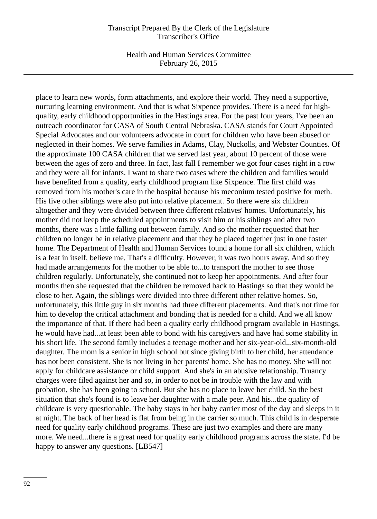Health and Human Services Committee February 26, 2015

place to learn new words, form attachments, and explore their world. They need a supportive, nurturing learning environment. And that is what Sixpence provides. There is a need for highquality, early childhood opportunities in the Hastings area. For the past four years, I've been an outreach coordinator for CASA of South Central Nebraska. CASA stands for Court Appointed Special Advocates and our volunteers advocate in court for children who have been abused or neglected in their homes. We serve families in Adams, Clay, Nuckolls, and Webster Counties. Of the approximate 100 CASA children that we served last year, about 10 percent of those were between the ages of zero and three. In fact, last fall I remember we got four cases right in a row and they were all for infants. I want to share two cases where the children and families would have benefited from a quality, early childhood program like Sixpence. The first child was removed from his mother's care in the hospital because his meconium tested positive for meth. His five other siblings were also put into relative placement. So there were six children altogether and they were divided between three different relatives' homes. Unfortunately, his mother did not keep the scheduled appointments to visit him or his siblings and after two months, there was a little falling out between family. And so the mother requested that her children no longer be in relative placement and that they be placed together just in one foster home. The Department of Health and Human Services found a home for all six children, which is a feat in itself, believe me. That's a difficulty. However, it was two hours away. And so they had made arrangements for the mother to be able to...to transport the mother to see those children regularly. Unfortunately, she continued not to keep her appointments. And after four months then she requested that the children be removed back to Hastings so that they would be close to her. Again, the siblings were divided into three different other relative homes. So, unfortunately, this little guy in six months had three different placements. And that's not time for him to develop the critical attachment and bonding that is needed for a child. And we all know the importance of that. If there had been a quality early childhood program available in Hastings, he would have had...at least been able to bond with his caregivers and have had some stability in his short life. The second family includes a teenage mother and her six-year-old...six-month-old daughter. The mom is a senior in high school but since giving birth to her child, her attendance has not been consistent. She is not living in her parents' home. She has no money. She will not apply for childcare assistance or child support. And she's in an abusive relationship. Truancy charges were filed against her and so, in order to not be in trouble with the law and with probation, she has been going to school. But she has no place to leave her child. So the best situation that she's found is to leave her daughter with a male peer. And his...the quality of childcare is very questionable. The baby stays in her baby carrier most of the day and sleeps in it at night. The back of her head is flat from being in the carrier so much. This child is in desperate need for quality early childhood programs. These are just two examples and there are many more. We need...there is a great need for quality early childhood programs across the state. I'd be happy to answer any questions. [LB547]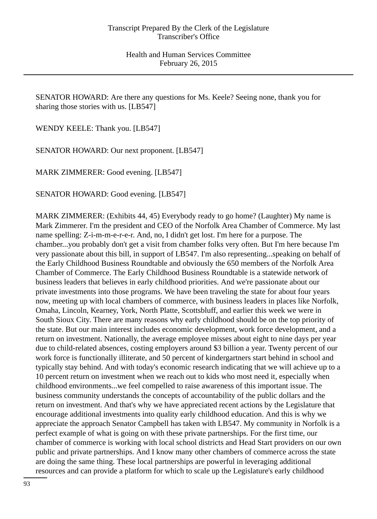SENATOR HOWARD: Are there any questions for Ms. Keele? Seeing none, thank you for sharing those stories with us. [LB547]

WENDY KEELE: Thank you. [LB547]

SENATOR HOWARD: Our next proponent. [LB547]

MARK ZIMMERER: Good evening. [LB547]

SENATOR HOWARD: Good evening. [LB547]

MARK ZIMMERER: (Exhibits 44, 45) Everybody ready to go home? (Laughter) My name is Mark Zimmerer. I'm the president and CEO of the Norfolk Area Chamber of Commerce. My last name spelling: Z-i-m-m-e-r-e-r. And, no, I didn't get lost. I'm here for a purpose. The chamber...you probably don't get a visit from chamber folks very often. But I'm here because I'm very passionate about this bill, in support of LB547. I'm also representing...speaking on behalf of the Early Childhood Business Roundtable and obviously the 650 members of the Norfolk Area Chamber of Commerce. The Early Childhood Business Roundtable is a statewide network of business leaders that believes in early childhood priorities. And we're passionate about our private investments into those programs. We have been traveling the state for about four years now, meeting up with local chambers of commerce, with business leaders in places like Norfolk, Omaha, Lincoln, Kearney, York, North Platte, Scottsbluff, and earlier this week we were in South Sioux City. There are many reasons why early childhood should be on the top priority of the state. But our main interest includes economic development, work force development, and a return on investment. Nationally, the average employee misses about eight to nine days per year due to child-related absences, costing employers around \$3 billion a year. Twenty percent of our work force is functionally illiterate, and 50 percent of kindergartners start behind in school and typically stay behind. And with today's economic research indicating that we will achieve up to a 10 percent return on investment when we reach out to kids who most need it, especially when childhood environments...we feel compelled to raise awareness of this important issue. The business community understands the concepts of accountability of the public dollars and the return on investment. And that's why we have appreciated recent actions by the Legislature that encourage additional investments into quality early childhood education. And this is why we appreciate the approach Senator Campbell has taken with LB547. My community in Norfolk is a perfect example of what is going on with these private partnerships. For the first time, our chamber of commerce is working with local school districts and Head Start providers on our own public and private partnerships. And I know many other chambers of commerce across the state are doing the same thing. These local partnerships are powerful in leveraging additional resources and can provide a platform for which to scale up the Legislature's early childhood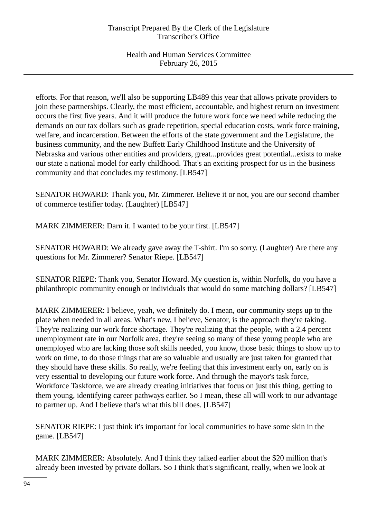efforts. For that reason, we'll also be supporting LB489 this year that allows private providers to join these partnerships. Clearly, the most efficient, accountable, and highest return on investment occurs the first five years. And it will produce the future work force we need while reducing the demands on our tax dollars such as grade repetition, special education costs, work force training, welfare, and incarceration. Between the efforts of the state government and the Legislature, the business community, and the new Buffett Early Childhood Institute and the University of Nebraska and various other entities and providers, great...provides great potential...exists to make our state a national model for early childhood. That's an exciting prospect for us in the business community and that concludes my testimony. [LB547]

SENATOR HOWARD: Thank you, Mr. Zimmerer. Believe it or not, you are our second chamber of commerce testifier today. (Laughter) [LB547]

MARK ZIMMERER: Darn it. I wanted to be your first. [LB547]

SENATOR HOWARD: We already gave away the T-shirt. I'm so sorry. (Laughter) Are there any questions for Mr. Zimmerer? Senator Riepe. [LB547]

SENATOR RIEPE: Thank you, Senator Howard. My question is, within Norfolk, do you have a philanthropic community enough or individuals that would do some matching dollars? [LB547]

MARK ZIMMERER: I believe, yeah, we definitely do. I mean, our community steps up to the plate when needed in all areas. What's new, I believe, Senator, is the approach they're taking. They're realizing our work force shortage. They're realizing that the people, with a 2.4 percent unemployment rate in our Norfolk area, they're seeing so many of these young people who are unemployed who are lacking those soft skills needed, you know, those basic things to show up to work on time, to do those things that are so valuable and usually are just taken for granted that they should have these skills. So really, we're feeling that this investment early on, early on is very essential to developing our future work force. And through the mayor's task force, Workforce Taskforce, we are already creating initiatives that focus on just this thing, getting to them young, identifying career pathways earlier. So I mean, these all will work to our advantage to partner up. And I believe that's what this bill does. [LB547]

SENATOR RIEPE: I just think it's important for local communities to have some skin in the game. [LB547]

MARK ZIMMERER: Absolutely. And I think they talked earlier about the \$20 million that's already been invested by private dollars. So I think that's significant, really, when we look at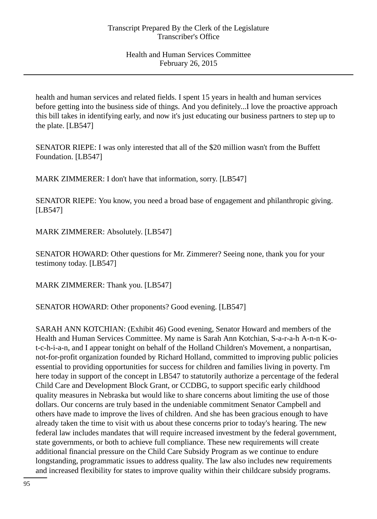health and human services and related fields. I spent 15 years in health and human services before getting into the business side of things. And you definitely...I love the proactive approach this bill takes in identifying early, and now it's just educating our business partners to step up to the plate. [LB547]

SENATOR RIEPE: I was only interested that all of the \$20 million wasn't from the Buffett Foundation. [LB547]

MARK ZIMMERER: I don't have that information, sorry. [LB547]

SENATOR RIEPE: You know, you need a broad base of engagement and philanthropic giving. [LB547]

MARK ZIMMERER: Absolutely. [LB547]

SENATOR HOWARD: Other questions for Mr. Zimmerer? Seeing none, thank you for your testimony today. [LB547]

MARK ZIMMERER: Thank you. [LB547]

SENATOR HOWARD: Other proponents? Good evening. [LB547]

SARAH ANN KOTCHIAN: (Exhibit 46) Good evening, Senator Howard and members of the Health and Human Services Committee. My name is Sarah Ann Kotchian, S-a-r-a-h A-n-n K-ot-c-h-i-a-n, and I appear tonight on behalf of the Holland Children's Movement, a nonpartisan, not-for-profit organization founded by Richard Holland, committed to improving public policies essential to providing opportunities for success for children and families living in poverty. I'm here today in support of the concept in LB547 to statutorily authorize a percentage of the federal Child Care and Development Block Grant, or CCDBG, to support specific early childhood quality measures in Nebraska but would like to share concerns about limiting the use of those dollars. Our concerns are truly based in the undeniable commitment Senator Campbell and others have made to improve the lives of children. And she has been gracious enough to have already taken the time to visit with us about these concerns prior to today's hearing. The new federal law includes mandates that will require increased investment by the federal government, state governments, or both to achieve full compliance. These new requirements will create additional financial pressure on the Child Care Subsidy Program as we continue to endure longstanding, programmatic issues to address quality. The law also includes new requirements and increased flexibility for states to improve quality within their childcare subsidy programs.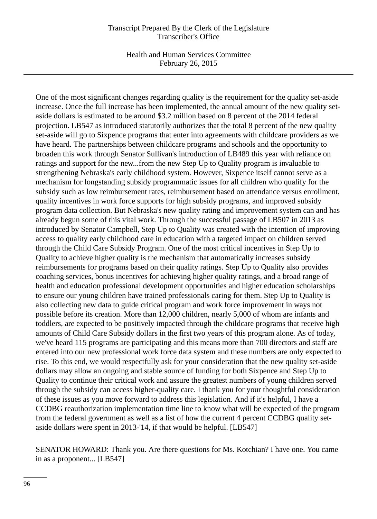Health and Human Services Committee February 26, 2015

One of the most significant changes regarding quality is the requirement for the quality set-aside increase. Once the full increase has been implemented, the annual amount of the new quality setaside dollars is estimated to be around \$3.2 million based on 8 percent of the 2014 federal projection. LB547 as introduced statutorily authorizes that the total 8 percent of the new quality set-aside will go to Sixpence programs that enter into agreements with childcare providers as we have heard. The partnerships between childcare programs and schools and the opportunity to broaden this work through Senator Sullivan's introduction of LB489 this year with reliance on ratings and support for the new...from the new Step Up to Quality program is invaluable to strengthening Nebraska's early childhood system. However, Sixpence itself cannot serve as a mechanism for longstanding subsidy programmatic issues for all children who qualify for the subsidy such as low reimbursement rates, reimbursement based on attendance versus enrollment, quality incentives in work force supports for high subsidy programs, and improved subsidy program data collection. But Nebraska's new quality rating and improvement system can and has already begun some of this vital work. Through the successful passage of LB507 in 2013 as introduced by Senator Campbell, Step Up to Quality was created with the intention of improving access to quality early childhood care in education with a targeted impact on children served through the Child Care Subsidy Program. One of the most critical incentives in Step Up to Quality to achieve higher quality is the mechanism that automatically increases subsidy reimbursements for programs based on their quality ratings. Step Up to Quality also provides coaching services, bonus incentives for achieving higher quality ratings, and a broad range of health and education professional development opportunities and higher education scholarships to ensure our young children have trained professionals caring for them. Step Up to Quality is also collecting new data to guide critical program and work force improvement in ways not possible before its creation. More than 12,000 children, nearly 5,000 of whom are infants and toddlers, are expected to be positively impacted through the childcare programs that receive high amounts of Child Care Subsidy dollars in the first two years of this program alone. As of today, we've heard 115 programs are participating and this means more than 700 directors and staff are entered into our new professional work force data system and these numbers are only expected to rise. To this end, we would respectfully ask for your consideration that the new quality set-aside dollars may allow an ongoing and stable source of funding for both Sixpence and Step Up to Quality to continue their critical work and assure the greatest numbers of young children served through the subsidy can access higher-quality care. I thank you for your thoughtful consideration of these issues as you move forward to address this legislation. And if it's helpful, I have a CCDBG reauthorization implementation time line to know what will be expected of the program from the federal government as well as a list of how the current 4 percent CCDBG quality setaside dollars were spent in 2013-'14, if that would be helpful. [LB547]

SENATOR HOWARD: Thank you. Are there questions for Ms. Kotchian? I have one. You came in as a proponent... [LB547]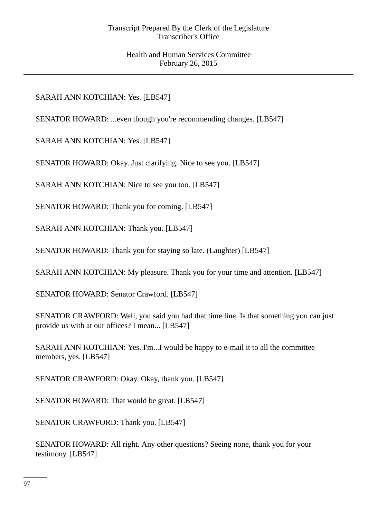SARAH ANN KOTCHIAN: Yes. [LB547]

SENATOR HOWARD: ...even though you're recommending changes. [LB547]

SARAH ANN KOTCHIAN: Yes. [LB547]

SENATOR HOWARD: Okay. Just clarifying. Nice to see you. [LB547]

SARAH ANN KOTCHIAN: Nice to see you too. [LB547]

SENATOR HOWARD: Thank you for coming. [LB547]

SARAH ANN KOTCHIAN: Thank you. [LB547]

SENATOR HOWARD: Thank you for staying so late. (Laughter) [LB547]

SARAH ANN KOTCHIAN: My pleasure. Thank you for your time and attention. [LB547]

SENATOR HOWARD: Senator Crawford. [LB547]

SENATOR CRAWFORD: Well, you said you had that time line. Is that something you can just provide us with at our offices? I mean... [LB547]

SARAH ANN KOTCHIAN: Yes. I'm...I would be happy to e-mail it to all the committee members, yes. [LB547]

SENATOR CRAWFORD: Okay. Okay, thank you. [LB547]

SENATOR HOWARD: That would be great. [LB547]

SENATOR CRAWFORD: Thank you. [LB547]

SENATOR HOWARD: All right. Any other questions? Seeing none, thank you for your testimony. [LB547]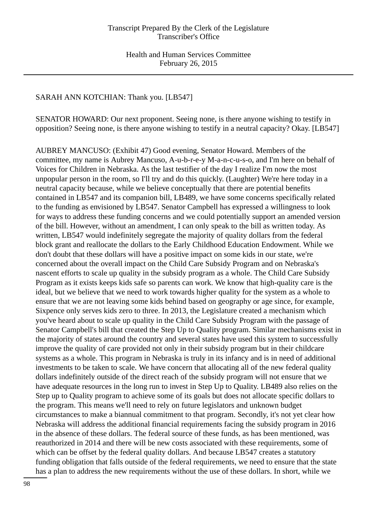## SARAH ANN KOTCHIAN: Thank you. [LB547]

SENATOR HOWARD: Our next proponent. Seeing none, is there anyone wishing to testify in opposition? Seeing none, is there anyone wishing to testify in a neutral capacity? Okay. [LB547]

AUBREY MANCUSO: (Exhibit 47) Good evening, Senator Howard. Members of the committee, my name is Aubrey Mancuso, A-u-b-r-e-y M-a-n-c-u-s-o, and I'm here on behalf of Voices for Children in Nebraska. As the last testifier of the day I realize I'm now the most unpopular person in the room, so I'll try and do this quickly. (Laughter) We're here today in a neutral capacity because, while we believe conceptually that there are potential benefits contained in LB547 and its companion bill, LB489, we have some concerns specifically related to the funding as envisioned by LB547. Senator Campbell has expressed a willingness to look for ways to address these funding concerns and we could potentially support an amended version of the bill. However, without an amendment, I can only speak to the bill as written today. As written, LB547 would indefinitely segregate the majority of quality dollars from the federal block grant and reallocate the dollars to the Early Childhood Education Endowment. While we don't doubt that these dollars will have a positive impact on some kids in our state, we're concerned about the overall impact on the Child Care Subsidy Program and on Nebraska's nascent efforts to scale up quality in the subsidy program as a whole. The Child Care Subsidy Program as it exists keeps kids safe so parents can work. We know that high-quality care is the ideal, but we believe that we need to work towards higher quality for the system as a whole to ensure that we are not leaving some kids behind based on geography or age since, for example, Sixpence only serves kids zero to three. In 2013, the Legislature created a mechanism which you've heard about to scale up quality in the Child Care Subsidy Program with the passage of Senator Campbell's bill that created the Step Up to Quality program. Similar mechanisms exist in the majority of states around the country and several states have used this system to successfully improve the quality of care provided not only in their subsidy program but in their childcare systems as a whole. This program in Nebraska is truly in its infancy and is in need of additional investments to be taken to scale. We have concern that allocating all of the new federal quality dollars indefinitely outside of the direct reach of the subsidy program will not ensure that we have adequate resources in the long run to invest in Step Up to Quality. LB489 also relies on the Step up to Quality program to achieve some of its goals but does not allocate specific dollars to the program. This means we'll need to rely on future legislators and unknown budget circumstances to make a biannual commitment to that program. Secondly, it's not yet clear how Nebraska will address the additional financial requirements facing the subsidy program in 2016 in the absence of these dollars. The federal source of these funds, as has been mentioned, was reauthorized in 2014 and there will be new costs associated with these requirements, some of which can be offset by the federal quality dollars. And because LB547 creates a statutory funding obligation that falls outside of the federal requirements, we need to ensure that the state has a plan to address the new requirements without the use of these dollars. In short, while we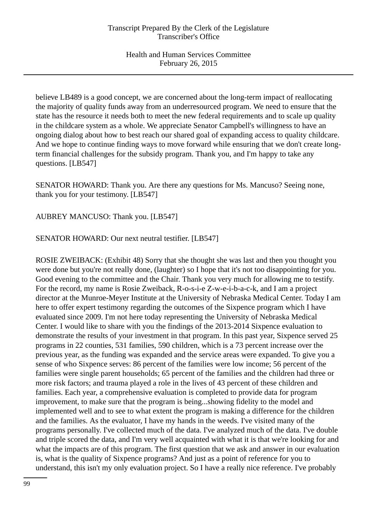believe LB489 is a good concept, we are concerned about the long-term impact of reallocating the majority of quality funds away from an underresourced program. We need to ensure that the state has the resource it needs both to meet the new federal requirements and to scale up quality in the childcare system as a whole. We appreciate Senator Campbell's willingness to have an ongoing dialog about how to best reach our shared goal of expanding access to quality childcare. And we hope to continue finding ways to move forward while ensuring that we don't create longterm financial challenges for the subsidy program. Thank you, and I'm happy to take any questions. [LB547]

SENATOR HOWARD: Thank you. Are there any questions for Ms. Mancuso? Seeing none, thank you for your testimony. [LB547]

AUBREY MANCUSO: Thank you. [LB547]

SENATOR HOWARD: Our next neutral testifier. [LB547]

ROSIE ZWEIBACK: (Exhibit 48) Sorry that she thought she was last and then you thought you were done but you're not really done, (laughter) so I hope that it's not too disappointing for you. Good evening to the committee and the Chair. Thank you very much for allowing me to testify. For the record, my name is Rosie Zweiback, R-o-s-i-e Z-w-e-i-b-a-c-k, and I am a project director at the Munroe-Meyer Institute at the University of Nebraska Medical Center. Today I am here to offer expert testimony regarding the outcomes of the Sixpence program which I have evaluated since 2009. I'm not here today representing the University of Nebraska Medical Center. I would like to share with you the findings of the 2013-2014 Sixpence evaluation to demonstrate the results of your investment in that program. In this past year, Sixpence served 25 programs in 22 counties, 531 families, 590 children, which is a 73 percent increase over the previous year, as the funding was expanded and the service areas were expanded. To give you a sense of who Sixpence serves: 86 percent of the families were low income; 56 percent of the families were single parent households; 65 percent of the families and the children had three or more risk factors; and trauma played a role in the lives of 43 percent of these children and families. Each year, a comprehensive evaluation is completed to provide data for program improvement, to make sure that the program is being...showing fidelity to the model and implemented well and to see to what extent the program is making a difference for the children and the families. As the evaluator, I have my hands in the weeds. I've visited many of the programs personally. I've collected much of the data. I've analyzed much of the data. I've double and triple scored the data, and I'm very well acquainted with what it is that we're looking for and what the impacts are of this program. The first question that we ask and answer in our evaluation is, what is the quality of Sixpence programs? And just as a point of reference for you to understand, this isn't my only evaluation project. So I have a really nice reference. I've probably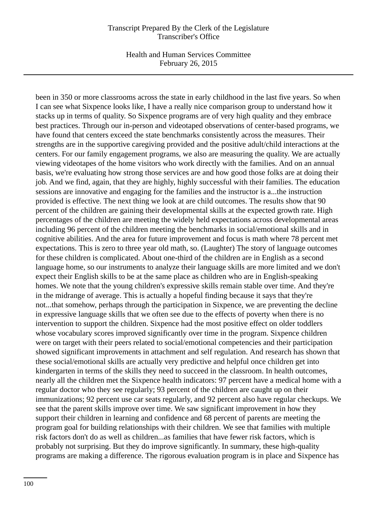Health and Human Services Committee February 26, 2015

been in 350 or more classrooms across the state in early childhood in the last five years. So when I can see what Sixpence looks like, I have a really nice comparison group to understand how it stacks up in terms of quality. So Sixpence programs are of very high quality and they embrace best practices. Through our in-person and videotaped observations of center-based programs, we have found that centers exceed the state benchmarks consistently across the measures. Their strengths are in the supportive caregiving provided and the positive adult/child interactions at the centers. For our family engagement programs, we also are measuring the quality. We are actually viewing videotapes of the home visitors who work directly with the families. And on an annual basis, we're evaluating how strong those services are and how good those folks are at doing their job. And we find, again, that they are highly, highly successful with their families. The education sessions are innovative and engaging for the families and the instructor is a...the instruction provided is effective. The next thing we look at are child outcomes. The results show that 90 percent of the children are gaining their developmental skills at the expected growth rate. High percentages of the children are meeting the widely held expectations across developmental areas including 96 percent of the children meeting the benchmarks in social/emotional skills and in cognitive abilities. And the area for future improvement and focus is math where 78 percent met expectations. This is zero to three year old math, so. (Laughter) The story of language outcomes for these children is complicated. About one-third of the children are in English as a second language home, so our instruments to analyze their language skills are more limited and we don't expect their English skills to be at the same place as children who are in English-speaking homes. We note that the young children's expressive skills remain stable over time. And they're in the midrange of average. This is actually a hopeful finding because it says that they're not...that somehow, perhaps through the participation in Sixpence, we are preventing the decline in expressive language skills that we often see due to the effects of poverty when there is no intervention to support the children. Sixpence had the most positive effect on older toddlers whose vocabulary scores improved significantly over time in the program. Sixpence children were on target with their peers related to social/emotional competencies and their participation showed significant improvements in attachment and self regulation. And research has shown that these social/emotional skills are actually very predictive and helpful once children get into kindergarten in terms of the skills they need to succeed in the classroom. In health outcomes, nearly all the children met the Sixpence health indicators: 97 percent have a medical home with a regular doctor who they see regularly; 93 percent of the children are caught up on their immunizations; 92 percent use car seats regularly, and 92 percent also have regular checkups. We see that the parent skills improve over time. We saw significant improvement in how they support their children in learning and confidence and 68 percent of parents are meeting the program goal for building relationships with their children. We see that families with multiple risk factors don't do as well as children...as families that have fewer risk factors, which is probably not surprising. But they do improve significantly. In summary, these high-quality programs are making a difference. The rigorous evaluation program is in place and Sixpence has